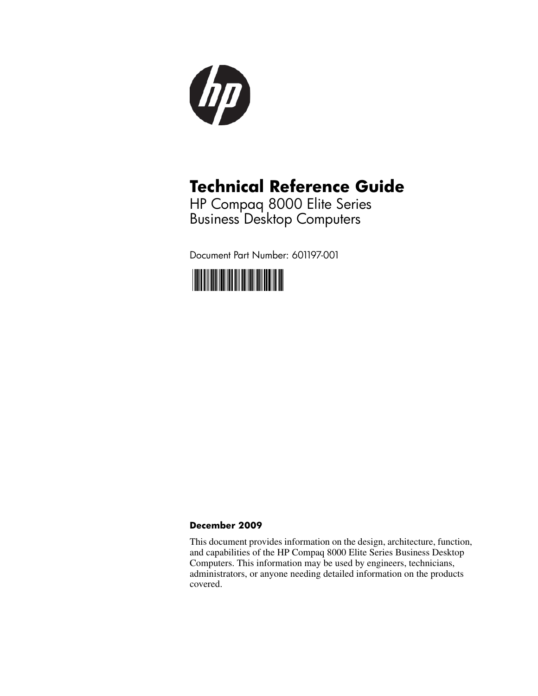

## **Technical Reference Guide**

HP Compaq 8000 Elite Series Business Desktop Computers

Document Part Number: 601197-001



#### **December 2009**

This document provides information on the design, architecture, function, and capabilities of the HP Compaq 8000 Elite Series Business Desktop Computers. This information may be used by engineers, technicians, administrators, or anyone needing detailed information on the products covered.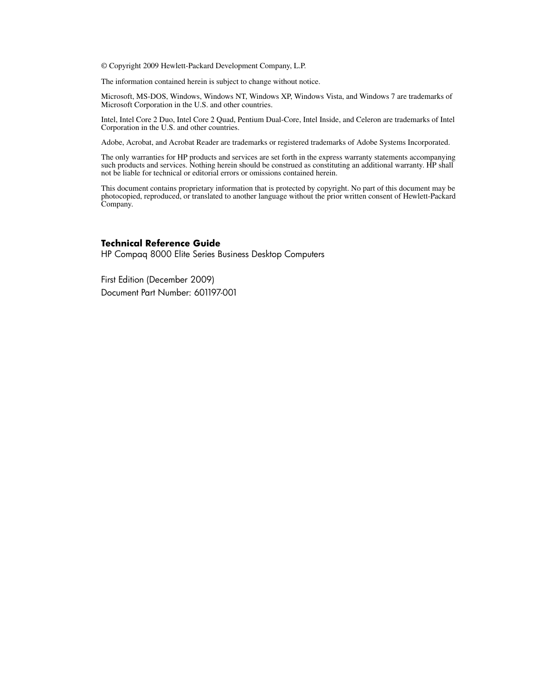© Copyright 2009 Hewlett-Packard Development Company, L.P.

The information contained herein is subject to change without notice.

Microsoft, MS-DOS, Windows, Windows NT, Windows XP, Windows Vista, and Windows 7 are trademarks of Microsoft Corporation in the U.S. and other countries.

Intel, Intel Core 2 Duo, Intel Core 2 Quad, Pentium Dual-Core, Intel Inside, and Celeron are trademarks of Intel Corporation in the U.S. and other countries.

Adobe, Acrobat, and Acrobat Reader are trademarks or registered trademarks of Adobe Systems Incorporated.

The only warranties for HP products and services are set forth in the express warranty statements accompanying such products and services. Nothing herein should be construed as constituting an additional warranty. HP shall not be liable for technical or editorial errors or omissions contained herein.

This document contains proprietary information that is protected by copyright. No part of this document may be photocopied, reproduced, or translated to another language without the prior written consent of Hewlett-Packard Company.

#### **Technical Reference Guide**

HP Compaq 8000 Elite Series Business Desktop Computers

First Edition (December 2009) Document Part Number: 601197-001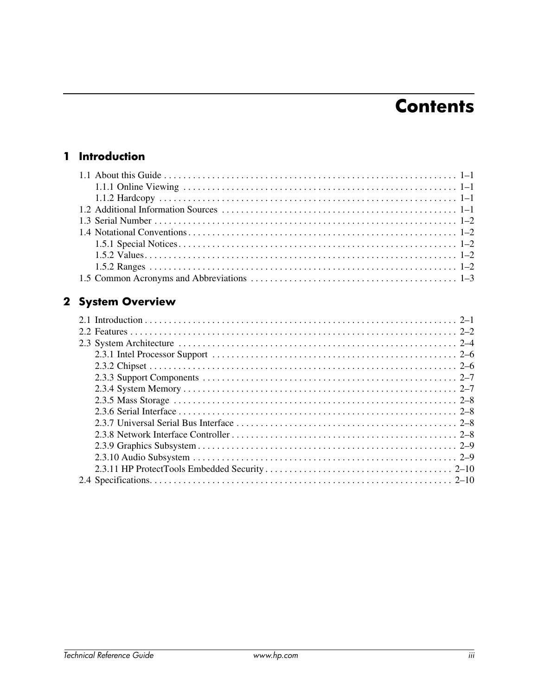## **Contents**

#### 1 Introduction

#### 2 System Overview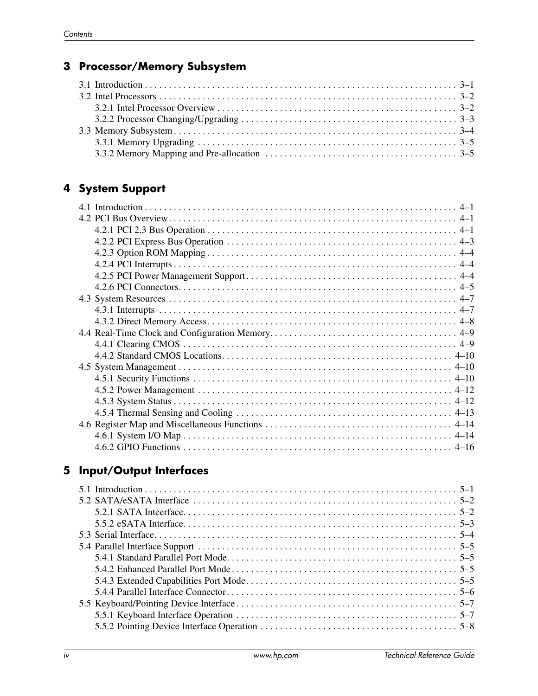#### **3 Processor/Memory Subsystem**

#### **4 System Support**

#### **5 Input/Output Interfaces**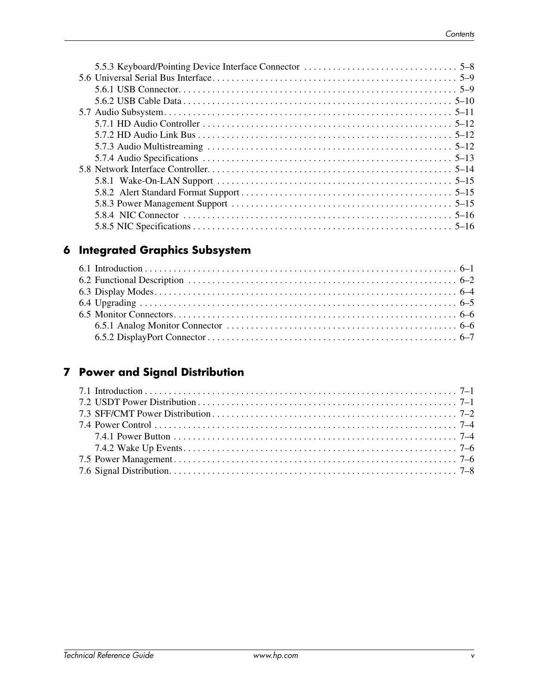#### **6 Integrated Graphics Subsystem**

#### **7 Power and Signal Distribution**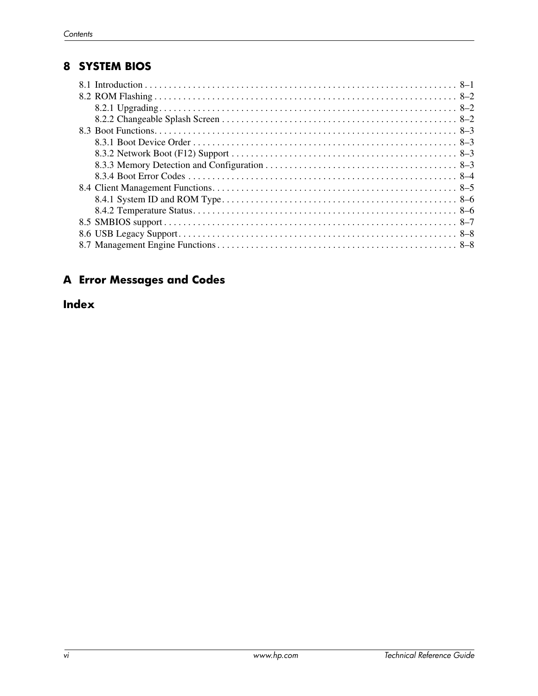#### **8 SYSTEM BIOS**

#### **A Error Messages and Codes**

#### **Index**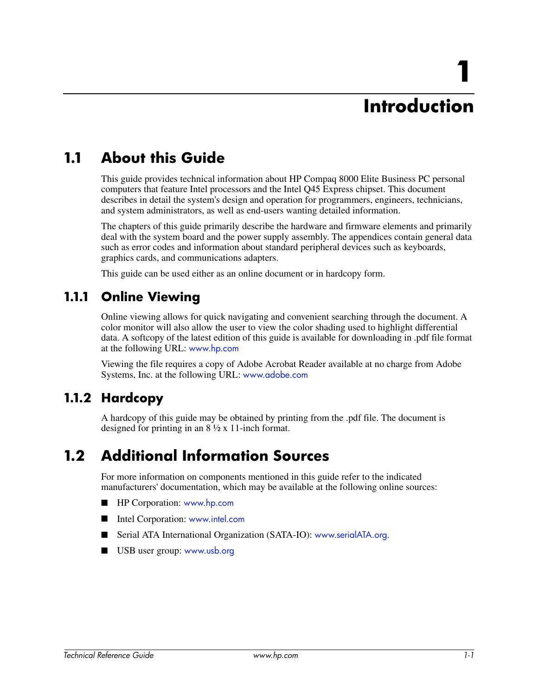# **1 Introduction**

## **1.1 About this Guide**

This guide provides technical information about HP Compaq 8000 Elite Business PC personal computers that feature Intel processors and the Intel Q45 Express chipset. This document describes in detail the system's design and operation for programmers, engineers, technicians, and system administrators, as well as end-users wanting detailed information.

The chapters of this guide primarily describe the hardware and firmware elements and primarily deal with the system board and the power supply assembly. The appendices contain general data such as error codes and information about standard peripheral devices such as keyboards, graphics cards, and communications adapters.

This guide can be used either as an online document or in hardcopy form.

#### **1.1.1 Online Viewing**

Online viewing allows for quick navigating and convenient searching through the document. A color monitor will also allow the user to view the color shading used to highlight differential data. A softcopy of the latest edition of this guide is available for downloading in .pdf file format at the following URL: www.hp.com

Viewing the file requires a copy of Adobe Acrobat Reader available at no charge from Adobe Systems, Inc. at the following URL: www.adobe.com

#### **1.1.2 Hardcopy**

A hardcopy of this guide may be obtained by printing from the .pdf file. The document is designed for printing in an 8 ½ x 11-inch format.

### **1.2 Additional Information Sources**

For more information on components mentioned in this guide refer to the indicated manufacturers' documentation, which may be available at the following online sources:

- HP Corporation: www.hp.com
- Intel Corporation: www.intel.com
- Serial ATA International Organization (SATA-IO): www.serialATA.org.
- USB user group: www.usb.org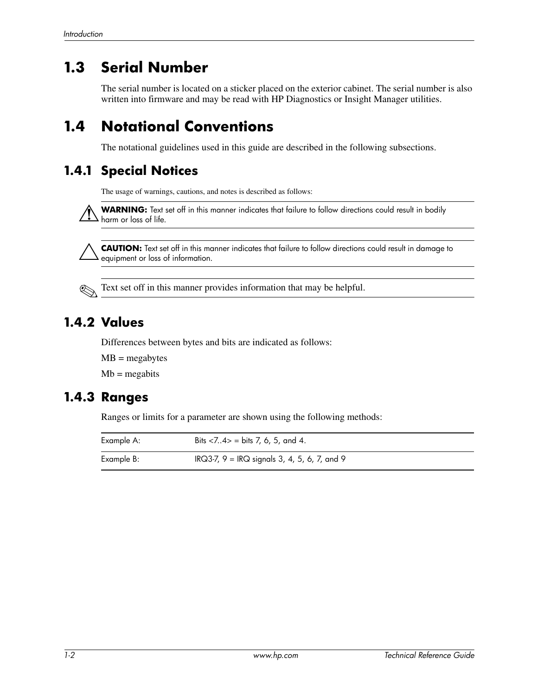### **1.3 Serial Number**

The serial number is located on a sticker placed on the exterior cabinet. The serial number is also written into firmware and may be read with HP Diagnostics or Insight Manager utilities.

### **1.4 Notational Conventions**

The notational guidelines used in this guide are described in the following subsections.

#### **1.4.1 Special Notices**

The usage of warnings, cautions, and notes is described as follows:

WARNING: Text set off in this manner indicates that failure to follow directions could result in bodily harm or loss of life.

Ä**CAUTION:** Text set off in this manner indicates that failure to follow directions could result in damage to equipment or loss of information.

✎Text set off in this manner provides information that may be helpful.

#### **1.4.2 Values**

Differences between bytes and bits are indicated as follows:

 $MB = megabytes$ 

 $Mb = megabits$ 

#### **1.4.3 Ranges**

Ranges or limits for a parameter are shown using the following methods:

| Example A: | Bits $<\!\!7.4\!\!>$ = bits 7, 6, 5, and 4.    |
|------------|------------------------------------------------|
| Example B: | IRQ3-7, $9 = IRQ$ signals 3, 4, 5, 6, 7, and 9 |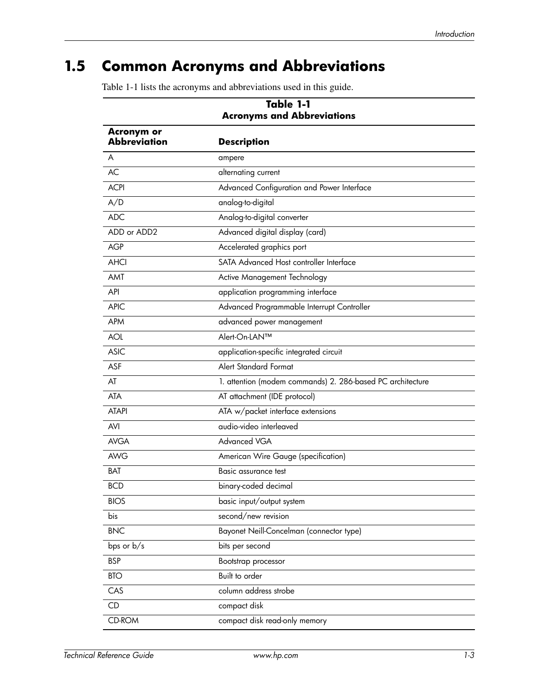## **1.5 Common Acronyms and Abbreviations**

Table 1-1 lists the acronyms and abbreviations used in this guide.

| Table 1-1<br><b>Acronyms and Abbreviations</b> |                                                            |  |
|------------------------------------------------|------------------------------------------------------------|--|
| <b>Acronym or</b><br><b>Abbreviation</b>       | <b>Description</b>                                         |  |
| A                                              | ampere                                                     |  |
| <b>AC</b>                                      | alternating current                                        |  |
| <b>ACPI</b>                                    | Advanced Configuration and Power Interface                 |  |
| A/D                                            | analog-to-digital                                          |  |
| <b>ADC</b>                                     | Analog-to-digital converter                                |  |
| ADD or ADD2                                    | Advanced digital display (card)                            |  |
| <b>AGP</b>                                     | Accelerated graphics port                                  |  |
| <b>AHCI</b>                                    | SATA Advanced Host controller Interface                    |  |
| AMT                                            | Active Management Technology                               |  |
| API                                            | application programming interface                          |  |
| <b>APIC</b>                                    | Advanced Programmable Interrupt Controller                 |  |
| <b>APM</b>                                     | advanced power management                                  |  |
| <b>AOL</b>                                     | Alert-On-LAN™                                              |  |
| <b>ASIC</b>                                    | application-specific integrated circuit                    |  |
| ASF                                            | <b>Alert Standard Format</b>                               |  |
| AT                                             | 1. attention (modem commands) 2. 286-based PC architecture |  |
| <b>ATA</b>                                     | AT attachment (IDE protocol)                               |  |
| <b>ATAPI</b>                                   | ATA w/packet interface extensions                          |  |
| <b>AVI</b>                                     | audio-video interleaved                                    |  |
| <b>AVGA</b>                                    | Advanced VGA                                               |  |
| AWG                                            | American Wire Gauge (specification)                        |  |
| BAT                                            | Basic assurance test                                       |  |
| <b>BCD</b>                                     | binary-coded decimal                                       |  |
| <b>BIOS</b>                                    | basic input/output system                                  |  |
| bis                                            | second/new revision                                        |  |
| <b>BNC</b>                                     | Bayonet Neill-Concelman (connector type)                   |  |
| bps or b/s                                     | bits per second                                            |  |
| <b>BSP</b>                                     | Bootstrap processor                                        |  |
| BTO                                            | Built to order                                             |  |
| CAS                                            | column address strobe                                      |  |
| CD                                             | compact disk                                               |  |
| CD-ROM                                         | compact disk read-only memory                              |  |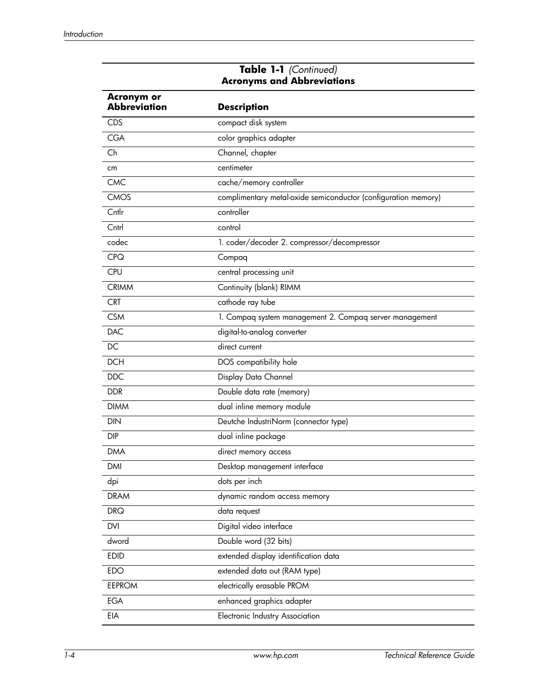| <b>Acronym or</b><br><b>Abbreviation</b> | <b>Description</b>                                             |
|------------------------------------------|----------------------------------------------------------------|
| <b>CDS</b>                               | compact disk system                                            |
| <b>CGA</b>                               | color graphics adapter                                         |
| Ch                                       | Channel, chapter                                               |
| cm                                       | centimeter                                                     |
| <b>CMC</b>                               | cache/memory controller                                        |
| <b>CMOS</b>                              | complimentary metal-oxide semiconductor (configuration memory) |
| Cntlr                                    | controller                                                     |
| Cntrl                                    | control                                                        |
| codec                                    | 1. coder/decoder 2. compressor/decompressor                    |
| <b>CPQ</b>                               | Compaq                                                         |
| <b>CPU</b>                               | central processing unit                                        |
| <b>CRIMM</b>                             | Continuity (blank) RIMM                                        |
| <b>CRT</b>                               | cathode ray tube                                               |
| <b>CSM</b>                               | 1. Compaq system management 2. Compaq server management        |
| <b>DAC</b>                               | digital-to-analog converter                                    |
| DC                                       | direct current                                                 |
| <b>DCH</b>                               | DOS compatibility hole                                         |
| <b>DDC</b>                               | Display Data Channel                                           |
| <b>DDR</b>                               | Double data rate (memory)                                      |
| <b>DIMM</b>                              | dual inline memory module                                      |
| DIN                                      | Deutche IndustriNorm (connector type)                          |
| <b>DIP</b>                               | dual inline package                                            |
| <b>DMA</b>                               | direct memory access                                           |
| DMI                                      | Desktop management interface                                   |
| dpi                                      | dots per inch                                                  |
| <b>DRAM</b>                              | dynamic random access memory                                   |
| <b>DRQ</b>                               | data request                                                   |
| DVI                                      | Digital video interface                                        |
| dword                                    | Double word (32 bits)                                          |
| <b>EDID</b>                              | extended display identification data                           |
| EDO                                      | extended data out (RAM type)                                   |
| <b>EEPROM</b>                            | electrically erasable PROM                                     |
| <b>EGA</b>                               | enhanced graphics adapter                                      |
| EIA                                      | Electronic Industry Association                                |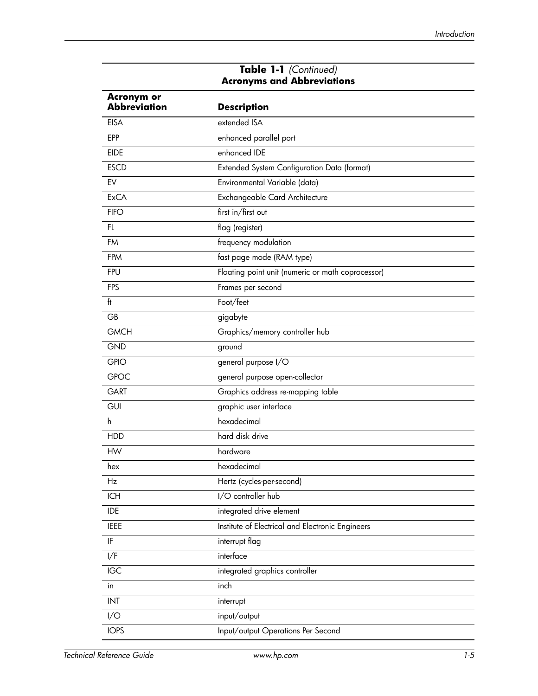| <b>Acronym or</b><br><b>Abbreviation</b> | <b>Description</b>                                |  |
|------------------------------------------|---------------------------------------------------|--|
| <b>EISA</b>                              | extended ISA                                      |  |
| <b>EPP</b>                               | enhanced parallel port                            |  |
| <b>EIDE</b>                              | enhanced IDE                                      |  |
| <b>ESCD</b>                              | Extended System Configuration Data (format)       |  |
| EV                                       | Environmental Variable (data)                     |  |
| <b>ExCA</b>                              | Exchangeable Card Architecture                    |  |
| <b>FIFO</b>                              | first in/first out                                |  |
| FL                                       | flag (register)                                   |  |
| FM                                       | frequency modulation                              |  |
| FPM                                      | fast page mode (RAM type)                         |  |
| <b>FPU</b>                               | Floating point unit (numeric or math coprocessor) |  |
| <b>FPS</b>                               | Frames per second                                 |  |
| ft                                       | Foot/feet                                         |  |
| GB                                       | gigabyte                                          |  |
| <b>GMCH</b>                              | Graphics/memory controller hub                    |  |
| <b>GND</b>                               | ground                                            |  |
| <b>GPIO</b>                              | general purpose I/O                               |  |
| <b>GPOC</b>                              | general purpose open-collector                    |  |
| GART                                     | Graphics address re-mapping table                 |  |
| <b>GUI</b>                               | graphic user interface                            |  |
| h.                                       | hexadecimal                                       |  |
| <b>HDD</b>                               | hard disk drive                                   |  |
| HW                                       | hardware                                          |  |
| hex                                      | hexadecimal                                       |  |
| Hz                                       | Hertz (cycles-per-second)                         |  |
| <b>ICH</b>                               | I/O controller hub                                |  |
| <b>IDE</b>                               | integrated drive element                          |  |
| <b>IEEE</b>                              | Institute of Electrical and Electronic Engineers  |  |
| IF                                       | interrupt flag                                    |  |
| I/F                                      | interface                                         |  |
| IGC                                      | integrated graphics controller                    |  |
| in                                       | inch                                              |  |
| <b>INT</b>                               | interrupt                                         |  |
| I/O                                      | input/output                                      |  |
| <b>IOPS</b>                              | Input/output Operations Per Second                |  |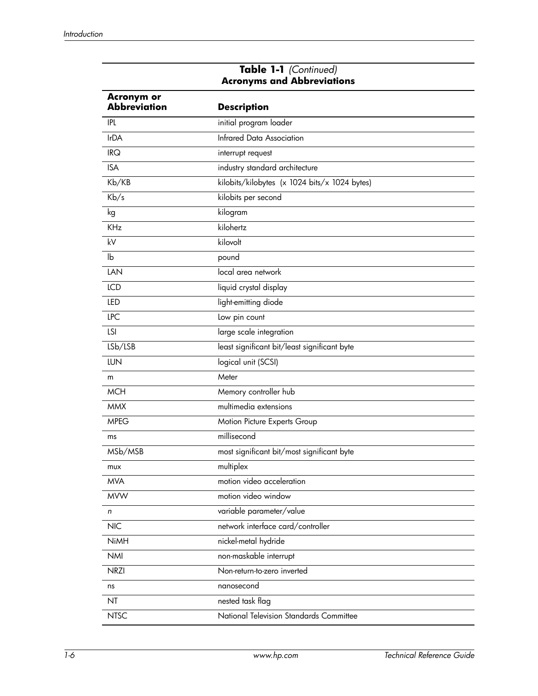| <b>Acronym or</b><br>Abbreviation | <b>Description</b>                            |
|-----------------------------------|-----------------------------------------------|
| <b>IPL</b>                        | initial program loader                        |
| <b>IrDA</b>                       | <b>Infrared Data Association</b>              |
| IRQ                               | interrupt request                             |
| <b>ISA</b>                        | industry standard architecture                |
| Kb/KB                             | kilobits/kilobytes (x 1024 bits/x 1024 bytes) |
| Kb/s                              | kilobits per second                           |
| kg                                | kilogram                                      |
| <b>KHz</b>                        | kilohertz                                     |
| kV                                | kilovolt                                      |
| lb                                | pound                                         |
| LAN                               | local area network                            |
| <b>ICD</b>                        | liquid crystal display                        |
| LED                               | light-emitting diode                          |
| <b>LPC</b>                        | Low pin count                                 |
| <b>LSI</b>                        | large scale integration                       |
| LSb/LSB                           | least significant bit/least significant byte  |
| <b>LUN</b>                        | logical unit (SCSI)                           |
| m                                 | Meter                                         |
| <b>MCH</b>                        | Memory controller hub                         |
| <b>MMX</b>                        | multimedia extensions                         |
| <b>MPEG</b>                       | Motion Picture Experts Group                  |
| ms                                | millisecond                                   |
| MSb/MSB                           | most significant bit/most significant byte    |
| mux                               | multiplex                                     |
| <b>MVA</b>                        | motion video acceleration                     |
| <b>MVW</b>                        | motion video window                           |
| n                                 | variable parameter/value                      |
| <b>NIC</b>                        | network interface card/controller             |
| <b>NiMH</b>                       | nickel-metal hydride                          |
| <b>NMI</b>                        | non-maskable interrupt                        |
| <b>NRZI</b>                       | Non-return-to-zero inverted                   |
| ns                                | nanosecond                                    |
| NT                                | nested task flag                              |
| <b>NTSC</b>                       | National Television Standards Committee       |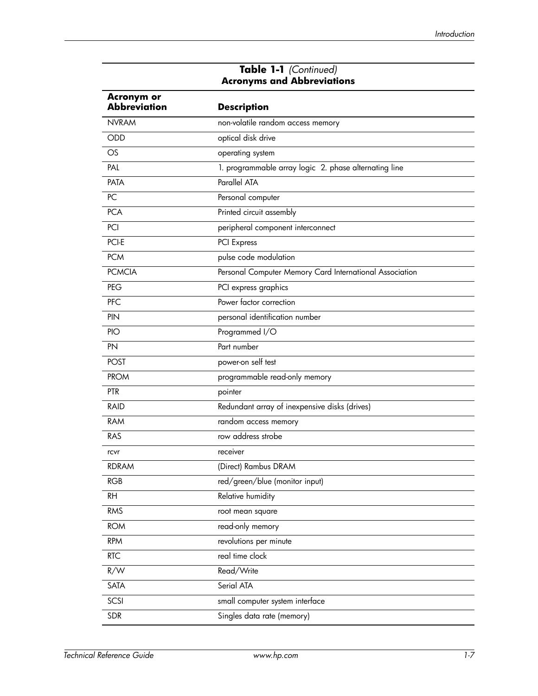| <b>Acronym or</b><br><b>Abbreviation</b> | <b>Description</b>                                      |
|------------------------------------------|---------------------------------------------------------|
| <b>NVRAM</b>                             | non-volatile random access memory                       |
| ODD                                      | optical disk drive                                      |
| $\circ$ s                                | operating system                                        |
| PAL                                      | 1. programmable array logic 2. phase alternating line   |
| PATA                                     | Parallel ATA                                            |
| PC                                       | Personal computer                                       |
| <b>PCA</b>                               | Printed circuit assembly                                |
| PCI                                      | peripheral component interconnect                       |
| PCI-E                                    | PCI Express                                             |
| <b>PCM</b>                               | pulse code modulation                                   |
| <b>PCMCIA</b>                            | Personal Computer Memory Card International Association |
| PEG                                      | PCI express graphics                                    |
| PFC                                      | Power factor correction                                 |
| PIN                                      | personal identification number                          |
| PIO                                      | Programmed I/O                                          |
| PN                                       | Part number                                             |
| <b>POST</b>                              | power-on self test                                      |
| <b>PROM</b>                              | programmable read-only memory                           |
| <b>PTR</b>                               | pointer                                                 |
| <b>RAID</b>                              | Redundant array of inexpensive disks (drives)           |
| <b>RAM</b>                               | random access memory                                    |
| <b>RAS</b>                               | row address strobe                                      |
| rcvr                                     | receiver                                                |
| <b>RDRAM</b>                             | (Direct) Rambus DRAM                                    |
| <b>RGB</b>                               | red/green/blue (monitor input)                          |
| <b>RH</b>                                | Relative humidity                                       |
| <b>RMS</b>                               | root mean square                                        |
| <b>ROM</b>                               | read-only memory                                        |
| <b>RPM</b>                               | revolutions per minute                                  |
| <b>RTC</b>                               | real time clock                                         |
| R/W                                      | Read/Write                                              |
| SATA                                     | Serial ATA                                              |
| SCSI                                     | small computer system interface                         |
| <b>SDR</b>                               | Singles data rate (memory)                              |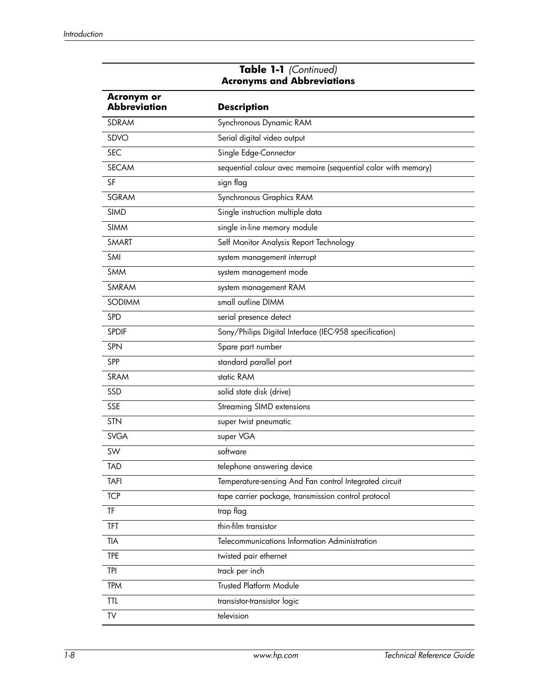| Acronym or<br><b>Abbreviation</b> | <b>Description</b>                                            |
|-----------------------------------|---------------------------------------------------------------|
| <b>SDRAM</b>                      | Synchronous Dynamic RAM                                       |
| SDVO                              | Serial digital video output                                   |
| <b>SEC</b>                        | Single Edge-Connector                                         |
| <b>SECAM</b>                      | sequential colour avec memoire (sequential color with memory) |
| SF                                | sign flag                                                     |
| <b>SGRAM</b>                      | Synchronous Graphics RAM                                      |
| <b>SIMD</b>                       | Single instruction multiple data                              |
| <b>SIMM</b>                       | single in-line memory module                                  |
| <b>SMART</b>                      | Self Monitor Analysis Report Technology                       |
| SMI                               | system management interrupt                                   |
| <b>SMM</b>                        | system management mode                                        |
| SMRAM                             | system management RAM                                         |
| <b>SODIMM</b>                     | small outline DIMM                                            |
| SPD                               | serial presence detect                                        |
| <b>SPDIF</b>                      | Sony/Philips Digital Interface (IEC-958 specification)        |
| <b>SPN</b>                        | Spare part number                                             |
| <b>SPP</b>                        | standard parallel port                                        |
| <b>SRAM</b>                       | static RAM                                                    |
| SSD                               | solid state disk (drive)                                      |
| <b>SSE</b>                        | <b>Streaming SIMD extensions</b>                              |
| <b>STN</b>                        | super twist pneumatic                                         |
| <b>SVGA</b>                       | super VGA                                                     |
| SW                                | software                                                      |
| <b>TAD</b>                        | telephone answering device                                    |
| <b>TAFI</b>                       | Temperature-sensing And Fan control Integrated circuit        |
| <b>TCP</b>                        | tape carrier package, transmission control protocol           |
| TF                                | trap flag                                                     |
| TFT                               | thin-film transistor                                          |
| <b>TIA</b>                        | Telecommunications Information Administration                 |
| <b>TPE</b>                        | twisted pair ethernet                                         |
| tpi                               | track per inch                                                |
| <b>TPM</b>                        | Trusted Platform Module                                       |
| ttl.                              | transistor-transistor logic                                   |
| TV                                | television                                                    |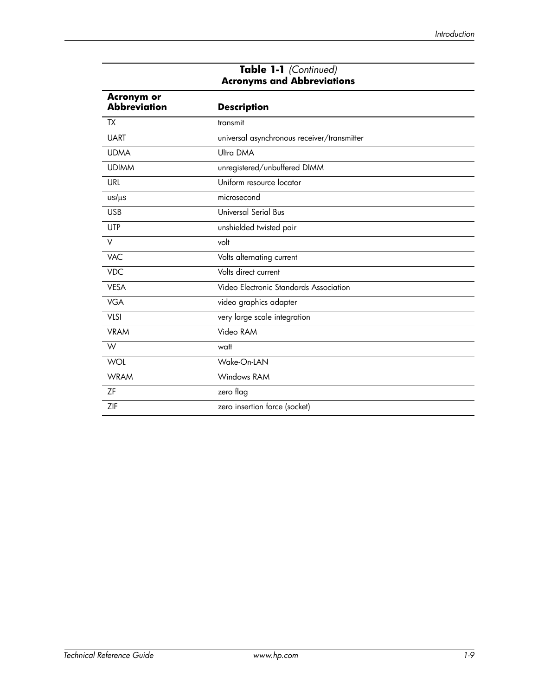| <b>Acronym or</b><br><b>Abbreviation</b> | <b>Description</b>                          |
|------------------------------------------|---------------------------------------------|
| <b>TX</b>                                | transmit                                    |
| <b>UART</b>                              | universal asynchronous receiver/transmitter |
| <b>UDMA</b>                              | Ultra DMA                                   |
| <b>UDIMM</b>                             | unregistered/unbuffered DIMM                |
| <b>URL</b>                               | Uniform resource locator                    |
| $us/\mu s$                               | microsecond                                 |
| <b>USB</b>                               | Universal Serial Bus                        |
| <b>UTP</b>                               | unshielded twisted pair                     |
| $\vee$                                   | volt                                        |
| <b>VAC</b>                               | Volts alternating current                   |
| <b>VDC</b>                               | Volts direct current                        |
| <b>VESA</b>                              | Video Electronic Standards Association      |
| <b>VGA</b>                               | video graphics adapter                      |
| <b>VLSI</b>                              | very large scale integration                |
| <b>VRAM</b>                              | Video RAM                                   |
| W                                        | watt                                        |
| <b>WOL</b>                               | Wake-On-LAN                                 |
| <b>WRAM</b>                              | Windows RAM                                 |
| ΖF                                       | zero flag                                   |
| ZIF                                      | zero insertion force (socket)               |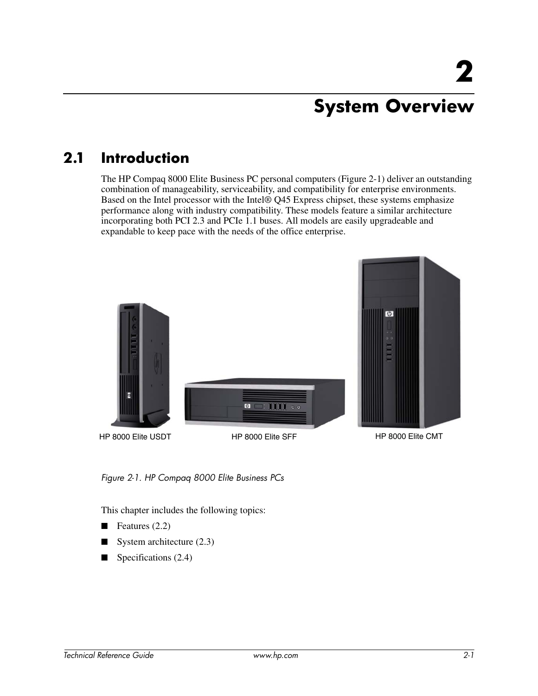## **System Overview**

### **2.1 Introduction**

The HP Compaq 8000 Elite Business PC personal computers (Figure 2-1) deliver an outstanding combination of manageability, serviceability, and compatibility for enterprise environments. Based on the Intel processor with the Intel® Q45 Express chipset, these systems emphasize performance along with industry compatibility. These models feature a similar architecture incorporating both PCI 2.3 and PCIe 1.1 buses. All models are easily upgradeable and expandable to keep pace with the needs of the office enterprise.



*Figure 2-1. HP Compaq 8000 Elite Business PCs*

This chapter includes the following topics:

- $\blacksquare$  Features (2.2)
- $\blacksquare$  System architecture (2.3)
- Specifications (2.4)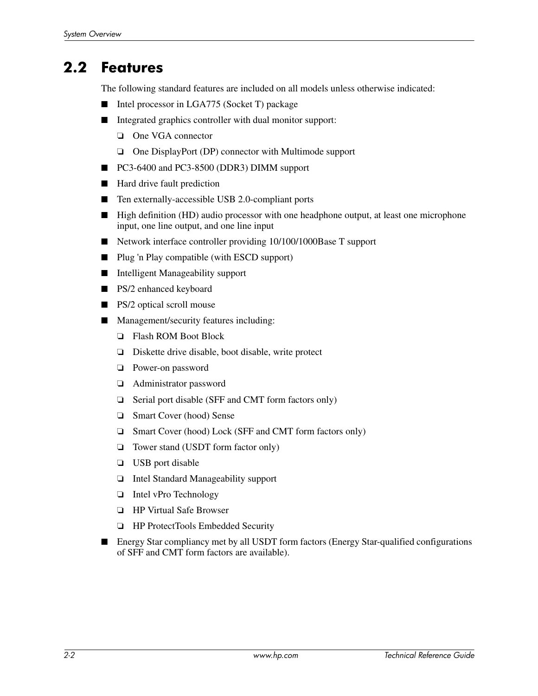### **2.2 Features**

The following standard features are included on all models unless otherwise indicated:

- Intel processor in LGA775 (Socket T) package
- Integrated graphics controller with dual monitor support:
	- ❏ One VGA connector
	- ❏ One DisplayPort (DP) connector with Multimode support
- PC3-6400 and PC3-8500 (DDR3) DIMM support
- Hard drive fault prediction
- Ten externally-accessible USB 2.0-compliant ports
- High definition (HD) audio processor with one headphone output, at least one microphone input, one line output, and one line input
- Network interface controller providing 10/100/1000Base T support
- Plug 'n Play compatible (with ESCD support)
- Intelligent Manageability support
- PS/2 enhanced keyboard
- PS/2 optical scroll mouse
- Management/security features including:
	- ❏ Flash ROM Boot Block
	- ❏ Diskette drive disable, boot disable, write protect
	- ❏ Power-on password
	- ❏ Administrator password
	- ❏ Serial port disable (SFF and CMT form factors only)
	- ❏ Smart Cover (hood) Sense
	- ❏ Smart Cover (hood) Lock (SFF and CMT form factors only)
	- ❏ Tower stand (USDT form factor only)
	- ❏ USB port disable
	- ❏ Intel Standard Manageability support
	- ❏ Intel vPro Technology
	- ❏ HP Virtual Safe Browser
	- ❏ HP ProtectTools Embedded Security
- Energy Star compliancy met by all USDT form factors (Energy Star-qualified configurations of SFF and CMT form factors are available).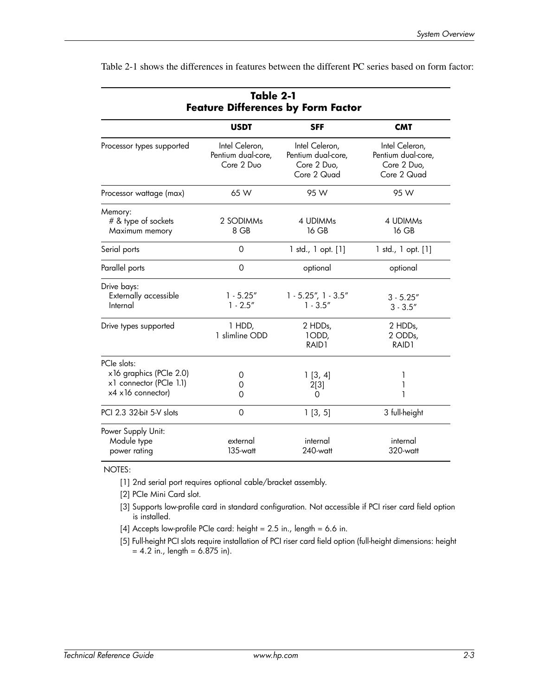|                                                                                         | Table 2-1<br><b>Feature Differences by Form Factor</b> |                                                                    |                                                                    |
|-----------------------------------------------------------------------------------------|--------------------------------------------------------|--------------------------------------------------------------------|--------------------------------------------------------------------|
|                                                                                         | <b>USDT</b>                                            | <b>SFF</b>                                                         | <b>CMT</b>                                                         |
| Processor types supported                                                               | Intel Celeron,<br>Pentium dual-core,<br>Core 2 Duo     | Intel Celeron,<br>Pentium dual-core,<br>Core 2 Duo,<br>Core 2 Quad | Intel Celeron,<br>Pentium dual-core,<br>Core 2 Duo,<br>Core 2 Quad |
| Processor wattage (max)                                                                 | 65 W                                                   | 95 W                                                               | 95 W                                                               |
| Memory:<br># & type of sockets<br>Maximum memory                                        | 2 SODIMMs<br>8 GB                                      | 4 UDIMMs<br>16 GB                                                  | 4 UDIMMs<br>16 GB                                                  |
| Serial ports                                                                            | 0                                                      | $1$ std., $1$ opt. $[1]$                                           | $1$ std., $1$ opt. $[1]$                                           |
| Parallel ports                                                                          | 0                                                      | optional                                                           | optional                                                           |
| Drive bays:<br>Externally accessible<br>Internal                                        | $1 - 5.25''$<br>$1 - 2.5"$                             | $1 - 5.25$ ", $1 - 3.5$ "<br>$1 - 3.5''$                           | $3 - 5.25''$<br>$3 - 3.5''$                                        |
| Drive types supported                                                                   | 1 HDD,<br>1 slimline ODD                               | 2 HDDs,<br>1ODD,<br>RAID1                                          | 2 HDDs,<br>2 ODDs,<br>RAID1                                        |
| PCIe slots:<br>x 16 graphics (PCIe 2.0)<br>x1 connector (PCle 1.1)<br>x4 x16 connector) | 0<br>0<br>O                                            | 1[3, 4]<br>2[3]<br>0                                               | 1<br>1<br>1                                                        |
| PCI 2.3 32-bit 5-V slots                                                                | 0                                                      | 1[3, 5]                                                            | 3 full-height                                                      |
| Power Supply Unit:<br>Module type<br>power rating                                       | external<br>$135$ -watt                                | internal<br>$240$ -watt                                            | internal<br>320-watt                                               |

Table 2-1 shows the differences in features between the different PC series based on form factor:

NOTES:

[1] 2nd serial port requires optional cable/bracket assembly.

[2] PCIe Mini Card slot.

- [3] Supports low-profile card in standard configuration. Not accessible if PCI riser card field option is installed.
- [4] Accepts low-profile PCIe card: height = 2.5 in., length = 6.6 in.
- [5] Full-height PCI slots require installation of PCI riser card field option (full-height dimensions: height  $= 4.2$  in., length  $= 6.875$  in).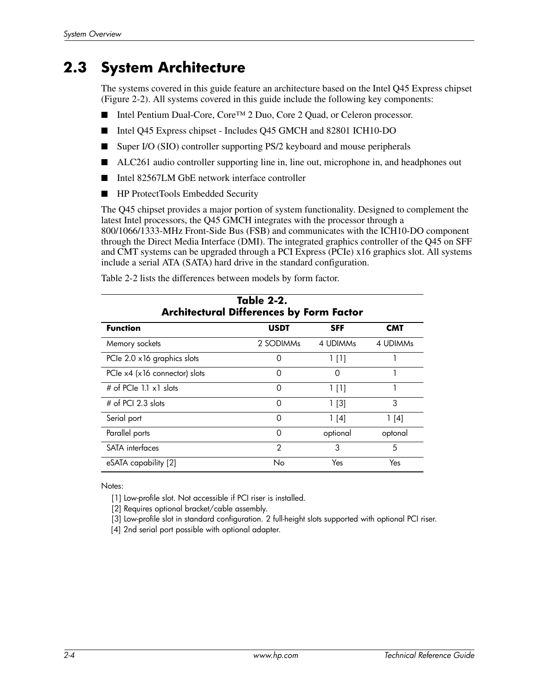#### **2.3 System Architecture**

The systems covered in this guide feature an architecture based on the Intel Q45 Express chipset (Figure 2-2). All systems covered in this guide include the following key components:

- Intel Pentium Dual-Core, Core<sup>™</sup> 2 Duo, Core 2 Quad, or Celeron processor.
- Intel Q45 Express chipset Includes Q45 GMCH and 82801 ICH10-DO
- Super I/O (SIO) controller supporting PS/2 keyboard and mouse peripherals
- ALC261 audio controller supporting line in, line out, microphone in, and headphones out
- Intel 82567LM GbE network interface controller
- HP ProtectTools Embedded Security

The Q45 chipset provides a major portion of system functionality. Designed to complement the latest Intel processors, the Q45 GMCH integrates with the processor through a 800/1066/1333-MHz Front-Side Bus (FSB) and communicates with the ICH10-DO component through the Direct Media Interface (DMI). The integrated graphics controller of the Q45 on SFF and CMT systems can be upgraded through a PCI Express (PCIe) x16 graphics slot. All systems include a serial ATA (SATA) hard drive in the standard configuration.

Table 2-2 lists the differences between models by form factor.

|                                    | Table 2-2.<br><b>Architectural Differences by Form Factor</b> |            |            |
|------------------------------------|---------------------------------------------------------------|------------|------------|
| <b>Function</b>                    | <b>USDT</b>                                                   | <b>SFF</b> | <b>CMT</b> |
| Memory sockets                     | 2 SODIMMs                                                     | 4 UDIMMs   | 4 UDIMMs   |
| PCIe 2.0 x 16 graphics slots       | Ω                                                             | $1$ [1]    |            |
| PCIe $x4$ ( $x16$ connector) slots | O                                                             | $\Omega$   |            |
| # of PCIe 1.1 $\times$ 1 slots     | O                                                             | 1 [1]      |            |
| $#$ of PCI 2.3 slots               | Ω                                                             | $1$ [3]    | 3          |
| Serial port                        | O                                                             | 1[4]       | 1[4]       |
| Parallel ports                     | $\Omega$                                                      | optional   | optonal    |
| SATA interfaces                    | $\mathfrak{D}$                                                | 3          | 5          |
| eSATA capability [2]               | No                                                            | Yes        | Yes        |

Notes:

[1] Low-profile slot. Not accessible if PCI riser is installed.

[2] Requires optional bracket/cable assembly.

[3] Low-profile slot in standard configuration. 2 full-height slots supported with optional PCI riser.

[4] 2nd serial port possible with optional adapter.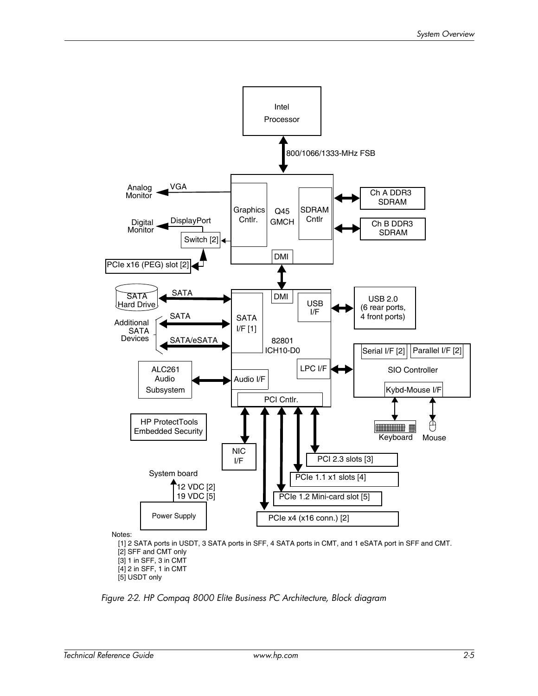

*Figure 2-2. HP Compaq 8000 Elite Business PC Architecture, Block diagram*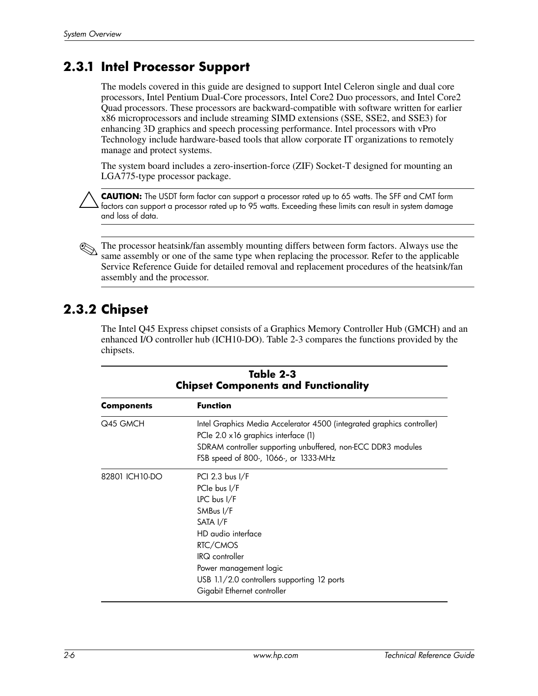#### **2.3.1 Intel Processor Support**

The models covered in this guide are designed to support Intel Celeron single and dual core processors, Intel Pentium Dual-Core processors, Intel Core2 Duo processors, and Intel Core2 Quad processors. These processors are backward-compatible with software written for earlier x86 microprocessors and include streaming SIMD extensions (SSE, SSE2, and SSE3) for enhancing 3D graphics and speech processing performance. Intel processors with vPro Technology include hardware-based tools that allow corporate IT organizations to remotely manage and protect systems.

The system board includes a zero-insertion-force (ZIF) Socket-T designed for mounting an LGA775-type processor package.

Ä**CAUTION:** The USDT form factor can support a processor rated up to 65 watts. The SFF and CMT form factors can support a processor rated up to 95 watts. Exceeding these limits can result in system damage and loss of data.

The processor heatsink/fan assembly mounting differs between form factors. Always use the same assembly or one of the same type when replacing the processor. Refer to the applicable Service Reference Guide for detailed removal and replacement procedures of the heatsink/fan assembly and the processor.

#### **2.3.2 Chipset**

The Intel Q45 Express chipset consists of a Graphics Memory Controller Hub (GMCH) and an enhanced I/O controller hub (ICH10-DO). Table 2-3 compares the functions provided by the chipsets.

|                | Table 2-3<br><b>Chipset Components and Functionality</b>                                                                                                                                                                                       |  |  |
|----------------|------------------------------------------------------------------------------------------------------------------------------------------------------------------------------------------------------------------------------------------------|--|--|
| Components     | <b>Function</b>                                                                                                                                                                                                                                |  |  |
| Q45 GMCH       | Intel Graphics Media Accelerator 4500 (integrated graphics controller)<br>PCIe 2.0 x16 graphics interface (1)<br>SDRAM controller supporting unbuffered, non-ECC DDR3 modules<br>FSB speed of 800-, 1066-, or 1333-MHz                         |  |  |
| 82801 ICH10-DO | PCI 2.3 bus I/F<br>PCIe bus I/F<br>$LPC$ bus $I/F$<br>SMBus I/F<br>SATA I/F<br>HD audio interface<br>RTC/CMOS<br><b>IRQ</b> controller<br>Power management logic<br>USB 1.1/2.0 controllers supporting 12 ports<br>Gigabit Ethernet controller |  |  |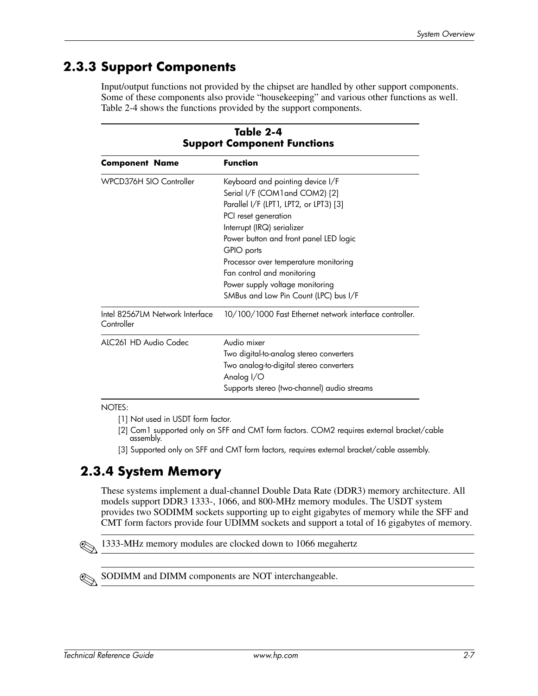#### **2.3.3 Support Components**

Input/output functions not provided by the chipset are handled by other support components. Some of these components also provide "housekeeping" and various other functions as well. Table 2-4 shows the functions provided by the support components.

|                                               | Table 2-4<br><b>Support Component Functions</b>                                                                                                                                                                                                                                                                                                                               |  |
|-----------------------------------------------|-------------------------------------------------------------------------------------------------------------------------------------------------------------------------------------------------------------------------------------------------------------------------------------------------------------------------------------------------------------------------------|--|
| <b>Component Name</b>                         | <b>Function</b>                                                                                                                                                                                                                                                                                                                                                               |  |
| WPCD376H SIO Controller                       | Keyboard and pointing device I/F<br>Serial I/F (COM1 and COM2) [2]<br>Parallel I/F (LPT1, LPT2, or LPT3) [3]<br>PCI reset generation<br>Interrupt (IRQ) serializer<br>Power button and front panel LED logic<br>GPIO ports<br>Processor over temperature monitoring<br>Fan control and monitoring<br>Power supply voltage monitoring<br>SMBus and Low Pin Count (LPC) bus I/F |  |
| Intel 82567LM Network Interface<br>Controller | 10/100/1000 Fast Ethernet network interface controller.                                                                                                                                                                                                                                                                                                                       |  |
| ALC261 HD Audio Codec                         | Audio mixer<br>Two digital-to-analog stereo converters<br>Two analog-to-digital stereo converters<br>Analog I/O<br>Supports stereo (two-channel) audio streams                                                                                                                                                                                                                |  |

NOTES:

- [1] Not used in USDT form factor.
- [2] Com1 supported only on SFF and CMT form factors. COM2 requires external bracket/cable assembly.
- [3] Supported only on SFF and CMT form factors, requires external bracket/cable assembly.

#### **2.3.4 System Memory**

These systems implement a dual-channel Double Data Rate (DDR3) memory architecture. All models support DDR3 1333-, 1066, and 800-MHz memory modules. The USDT system provides two SODIMM sockets supporting up to eight gigabytes of memory while the SFF and CMT form factors provide four UDIMM sockets and support a total of 16 gigabytes of memory.

✎1333-MHz memory modules are clocked down to 1066 megahertz

SODIMM and DIMM components are NOT interchangeable.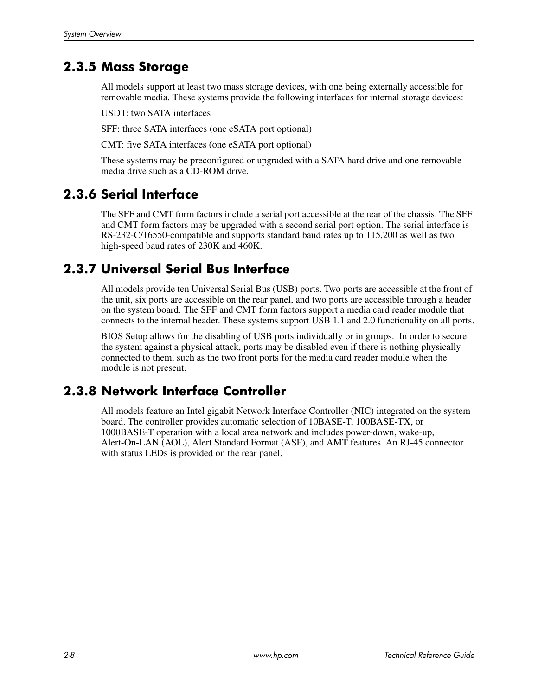#### **2.3.5 Mass Storage**

All models support at least two mass storage devices, with one being externally accessible for removable media. These systems provide the following interfaces for internal storage devices:

USDT: two SATA interfaces

SFF: three SATA interfaces (one eSATA port optional)

CMT: five SATA interfaces (one eSATA port optional)

These systems may be preconfigured or upgraded with a SATA hard drive and one removable media drive such as a CD-ROM drive.

#### **2.3.6 Serial Interface**

The SFF and CMT form factors include a serial port accessible at the rear of the chassis. The SFF and CMT form factors may be upgraded with a second serial port option. The serial interface is RS-232-C/16550-compatible and supports standard baud rates up to 115,200 as well as two high-speed baud rates of 230K and 460K.

#### **2.3.7 Universal Serial Bus Interface**

All models provide ten Universal Serial Bus (USB) ports. Two ports are accessible at the front of the unit, six ports are accessible on the rear panel, and two ports are accessible through a header on the system board. The SFF and CMT form factors support a media card reader module that connects to the internal header. These systems support USB 1.1 and 2.0 functionality on all ports.

BIOS Setup allows for the disabling of USB ports individually or in groups. In order to secure the system against a physical attack, ports may be disabled even if there is nothing physically connected to them, such as the two front ports for the media card reader module when the module is not present.

#### **2.3.8 Network Interface Controller**

All models feature an Intel gigabit Network Interface Controller (NIC) integrated on the system board. The controller provides automatic selection of 10BASE-T, 100BASE-TX, or 1000BASE-T operation with a local area network and includes power-down, wake-up, Alert-On-LAN (AOL), Alert Standard Format (ASF), and AMT features. An RJ-45 connector with status LEDs is provided on the rear panel.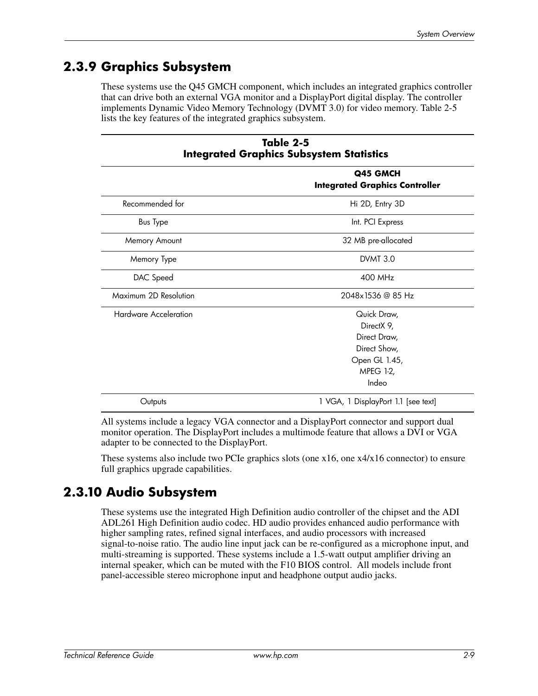#### **2.3.9 Graphics Subsystem**

These systems use the Q45 GMCH component, which includes an integrated graphics controller that can drive both an external VGA monitor and a DisplayPort digital display. The controller implements Dynamic Video Memory Technology (DVMT 3.0) for video memory. Table 2-5 lists the key features of the integrated graphics subsystem.

| Table 2-5<br><b>Integrated Graphics Subsystem Statistics</b> |                                                                                                  |
|--------------------------------------------------------------|--------------------------------------------------------------------------------------------------|
|                                                              | Q45 GMCH<br><b>Integrated Graphics Controller</b>                                                |
| Recommended for                                              | Hi 2D, Entry 3D                                                                                  |
| <b>Bus Type</b>                                              | Int. PCI Express                                                                                 |
| Memory Amount                                                | 32 MB pre-allocated                                                                              |
| Memory Type                                                  | <b>DVMT 3.0</b>                                                                                  |
| DAC Speed                                                    | 400 MHz                                                                                          |
| Maximum 2D Resolution                                        | 2048x1536 @ 85 Hz                                                                                |
| <b>Hardware Acceleration</b>                                 | Quick Draw.<br>DirectX 9,<br>Direct Draw,<br>Direct Show,<br>Open GL 1.45,<br>MPEG 1-2,<br>Indeo |
| Outputs                                                      | 1 VGA, 1 DisplayPort 1.1 [see text]                                                              |

All systems include a legacy VGA connector and a DisplayPort connector and support dual monitor operation. The DisplayPort includes a multimode feature that allows a DVI or VGA adapter to be connected to the DisplayPort.

These systems also include two PCIe graphics slots (one x16, one x4/x16 connector) to ensure full graphics upgrade capabilities.

#### **2.3.10 Audio Subsystem**

These systems use the integrated High Definition audio controller of the chipset and the ADI ADL261 High Definition audio codec. HD audio provides enhanced audio performance with higher sampling rates, refined signal interfaces, and audio processors with increased signal-to-noise ratio. The audio line input jack can be re-configured as a microphone input, and multi-streaming is supported. These systems include a 1.5-watt output amplifier driving an internal speaker, which can be muted with the F10 BIOS control. All models include front panel-accessible stereo microphone input and headphone output audio jacks.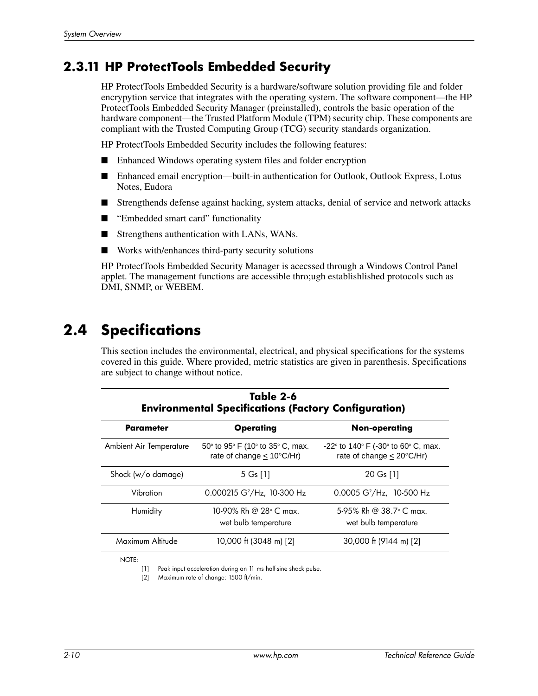#### **2.3.11 HP ProtectTools Embedded Security**

HP ProtectTools Embedded Security is a hardware/software solution providing file and folder encrypytion service that integrates with the operating system. The software component—the HP ProtectTools Embedded Security Manager (preinstalled), controls the basic operation of the hardware component—the Trusted Platform Module (TPM) security chip. These components are compliant with the Trusted Computing Group (TCG) security standards organization.

HP ProtectTools Embedded Security includes the following features:

- Enhanced Windows operating system files and folder encryption
- Enhanced email encryption—built-in authentication for Outlook, Outlook Express, Lotus Notes, Eudora
- Strengthends defense against hacking, system attacks, denial of service and network attacks
- "Embedded smart card" functionality
- Strengthens authentication with LANs, WANs.
- Works with/enhances third-party security solutions

HP ProtectTools Embedded Security Manager is acecssed through a Windows Control Panel applet. The management functions are accessible thro;ugh establishlished protocols such as DMI, SNMP, or WEBEM.

### **2.4 Specifications**

This section includes the environmental, electrical, and physical specifications for the systems covered in this guide. Where provided, metric statistics are given in parenthesis. Specifications are subject to change without notice.

|                                | Table 2-6<br><b>Environmental Specifications (Factory Configuration)</b>         |                                                                                     |
|--------------------------------|----------------------------------------------------------------------------------|-------------------------------------------------------------------------------------|
| Parameter                      | <b>Operating</b>                                                                 | Non-operating                                                                       |
| <b>Ambient Air Temperature</b> | $50^{\circ}$ to 95° F (10° to 35° C, max.<br>rate of change $< 10^{\circ}$ C/Hr) | $-22^{\circ}$ to 140° F (-30° to 60° C, max.<br>rate of change $< 20^{\circ}$ C/Hr) |
| Shock (w/o damage)             | 5 G <sub>s</sub> [1]                                                             | 20 Gs [1]                                                                           |
| Vibration                      | 0.000215 $G^2/Hz$ , 10-300 Hz                                                    | 0.0005 $G^2/Hz$ , 10-500 Hz                                                         |
| Humidity                       | 10-90% Rh @ 28° C max.<br>wet bulb temperature                                   | 5-95% Rh @ 38.7° C max.<br>wet bulb temperature                                     |
| Maximum Altitude               | 10,000 ft (3048 m) [2]                                                           | 30,000 ft (9144 m) [2]                                                              |

NOTE:

[1] Peak input acceleration during an 11 ms half-sine shock pulse.

[2] Maximum rate of change: 1500 ft/min.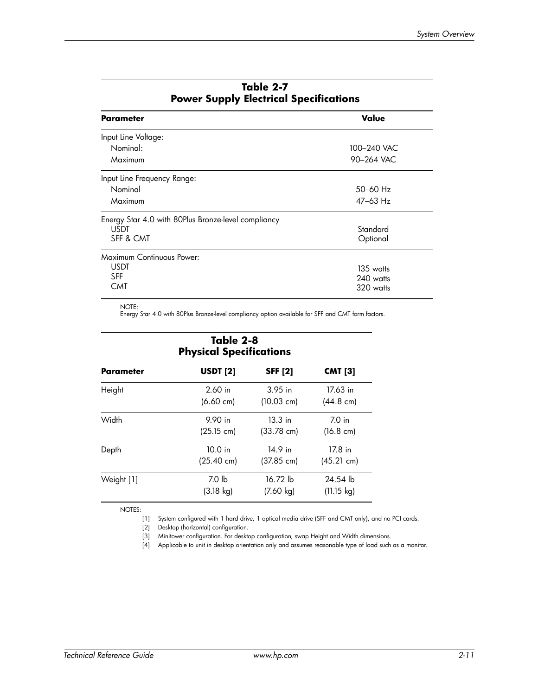| <b>Parameter</b>                                    | Value        |
|-----------------------------------------------------|--------------|
| Input Line Voltage:                                 |              |
| Nominal:                                            | 100-240 VAC  |
| Maximum                                             | 90-264 VAC   |
| Input Line Frequency Range:                         |              |
| Nominal                                             | $50 - 60$ Hz |
| Maximum                                             | 47–63 Hz     |
| Energy Star 4.0 with 80Plus Bronze-level compliancy |              |
| <b>USDT</b>                                         | Standard     |
| SFF & CMT                                           | Optional     |
| Maximum Continuous Power:                           |              |
| <b>USDT</b>                                         | 135 watts    |
| <b>SFF</b>                                          | 240 watts    |
| CMT                                                 | 320 watts    |

#### **Table 2-7 Power Supply Electrical Specifications**

NOTE:

Energy Star 4.0 with 80Plus Bronze-level compliancy option available for SFF and CMT form factors.

| Table 2-8<br><b>Physical Specifications</b> |                      |                      |                            |  |  |
|---------------------------------------------|----------------------|----------------------|----------------------------|--|--|
| Parameter                                   | <b>USDT</b> [2]      | <b>SFF [2]</b>       | <b>CMT [3]</b><br>17.63 in |  |  |
| Height                                      | $2.60$ in            | $3.95$ in            |                            |  |  |
|                                             | $(6.60 \text{ cm})$  | (10.03 cm)           | $(44.8 \text{ cm})$        |  |  |
| Width                                       | 9.90 in              | $13.3$ in            | 7.0 <sub>in</sub>          |  |  |
|                                             | (25.15 cm)           | $(33.78 \text{ cm})$ | $(16.8 \text{ cm})$        |  |  |
| Depth                                       | $10.0$ in            | 14.9 in              | 17.8 in                    |  |  |
|                                             | $(25.40 \text{ cm})$ | $(37.85 \text{ cm})$ | (45.21 cm)                 |  |  |
| Weight [1]                                  | 7.0 <sub>h</sub>     | 16.72 lb             | 24.54 lb                   |  |  |
|                                             | $(3.18 \text{ kg})$  | $(7.60 \text{ kg})$  | $(11.15 \text{ kg})$       |  |  |

NOTES:

[1] System configured with 1 hard drive, 1 optical media drive (SFF and CMT only), and no PCI cards.

[2] Desktop (horizontal) configuration.

[3] Minitower configuration. For desktop configuration, swap Height and Width dimensions.

[4] Applicable to unit in desktop orientation only and assumes reasonable type of load such as a monitor.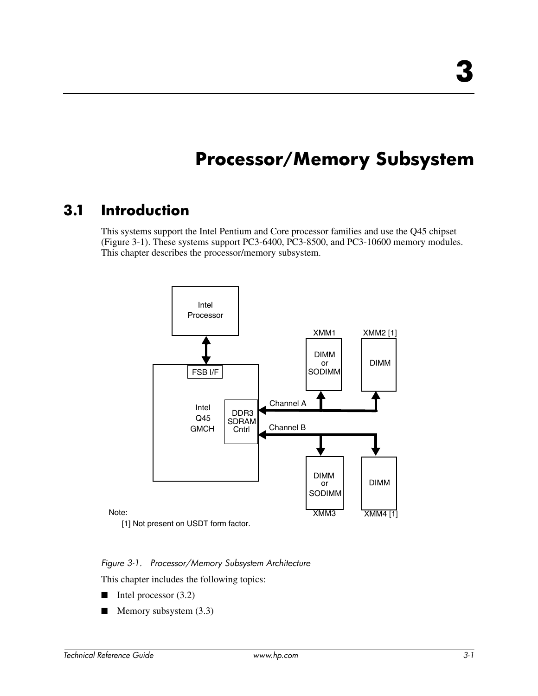## **Processor/Memory Subsystem**

### **3.1 Introduction**

This systems support the Intel Pentium and Core processor families and use the Q45 chipset (Figure 3-1). These systems support PC3-6400, PC3-8500, and PC3-10600 memory modules. This chapter describes the processor/memory subsystem.



[1] Not present on USDT form factor.

#### *Figure 3-1. Processor/Memory Subsystem Architecture*

This chapter includes the following topics:

- Intel processor (3.2)
- $\blacksquare$  Memory subsystem (3.3)

Note: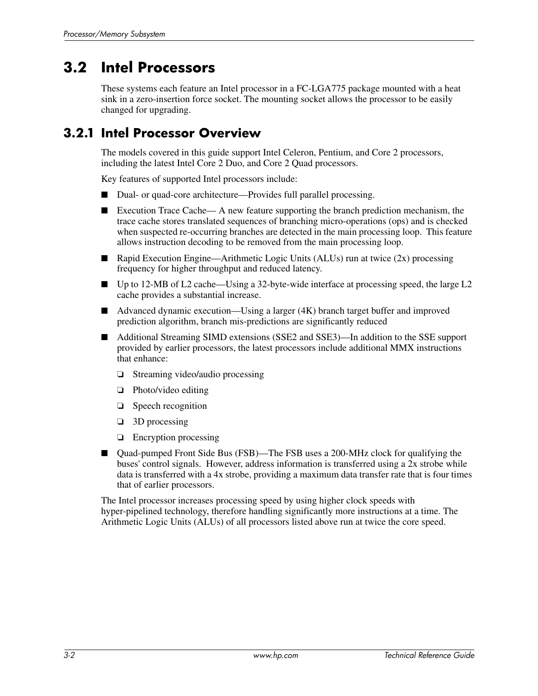### **3.2 Intel Processors**

These systems each feature an Intel processor in a FC-LGA775 package mounted with a heat sink in a zero-insertion force socket. The mounting socket allows the processor to be easily changed for upgrading.

#### **3.2.1 Intel Processor Overview**

The models covered in this guide support Intel Celeron, Pentium, and Core 2 processors, including the latest Intel Core 2 Duo, and Core 2 Quad processors.

Key features of supported Intel processors include:

- Dual- or quad-core architecture—Provides full parallel processing.
- Execution Trace Cache— A new feature supporting the branch prediction mechanism, the trace cache stores translated sequences of branching micro-operations (ops) and is checked when suspected re-occurring branches are detected in the main processing loop. This feature allows instruction decoding to be removed from the main processing loop.
- Rapid Execution Engine—Arithmetic Logic Units (ALUs) run at twice (2x) processing frequency for higher throughput and reduced latency.
- Up to 12-MB of L2 cache—Using a 32-byte-wide interface at processing speed, the large L2 cache provides a substantial increase.
- Advanced dynamic execution—Using a larger (4K) branch target buffer and improved prediction algorithm, branch mis-predictions are significantly reduced
- Additional Streaming SIMD extensions (SSE2 and SSE3)—In addition to the SSE support provided by earlier processors, the latest processors include additional MMX instructions that enhance:
	- ❏ Streaming video/audio processing
	- ❏ Photo/video editing
	- ❏ Speech recognition
	- ❏ 3D processing
	- ❏ Encryption processing
- Quad-pumped Front Side Bus (FSB)—The FSB uses a 200-MHz clock for qualifying the buses' control signals. However, address information is transferred using a 2x strobe while data is transferred with a 4x strobe, providing a maximum data transfer rate that is four times that of earlier processors.

The Intel processor increases processing speed by using higher clock speeds with hyper-pipelined technology, therefore handling significantly more instructions at a time. The Arithmetic Logic Units (ALUs) of all processors listed above run at twice the core speed.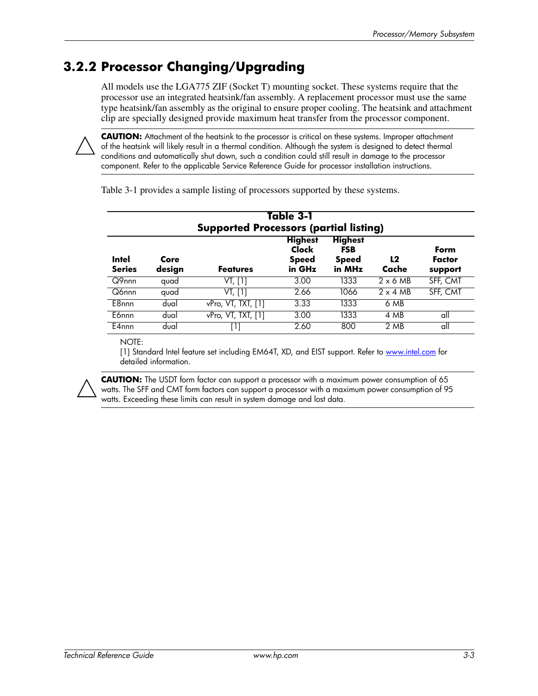#### **3.2.2 Processor Changing/Upgrading**

All models use the LGA775 ZIF (Socket T) mounting socket. These systems require that the processor use an integrated heatsink/fan assembly. A replacement processor must use the same type heatsink/fan assembly as the original to ensure proper cooling. The heatsink and attachment clip are specially designed provide maximum heat transfer from the processor component.



**CAUTION:** Attachment of the heatsink to the processor is critical on these systems. Improper attachment of the heatsink will likely result in a thermal condition. Although the system is designed to detect thermal conditions and automatically shut down, such a condition could still result in damage to the processor component. Refer to the applicable Service Reference Guide for processor installation instructions.

| Table 3-1<br><b>Supported Processors (partial listing)</b> |                |                    |                                                   |                                                        |                 |                           |
|------------------------------------------------------------|----------------|--------------------|---------------------------------------------------|--------------------------------------------------------|-----------------|---------------------------|
| <b>Intel</b><br><b>Series</b>                              | Core<br>design | <b>Features</b>    | <b>Highest</b><br>Clock<br><b>Speed</b><br>in GHz | <b>Highest</b><br><b>FSB</b><br><b>Speed</b><br>in MHz | L2<br>Cache     | Form<br>Factor<br>support |
| Q9nnn                                                      | quad           | VT, [1]            | 3.00                                              | 1333                                                   | $2 \times 6$ MB | SFF, CMT                  |
| Q6nnn                                                      | quad           | VT, [1]            | 2.66                                              | 1066                                                   | $2 \times 4$ MB | SFF, CMT                  |
| E8nnn                                                      | dual           | vPro, VT, TXT, [1] | 3.33                                              | 1333                                                   | 6 MB            |                           |
| E6nnn                                                      | dual           | vPro, VT, TXT, [1] | 3.00                                              | 1333                                                   | 4 MB            | all                       |
| E4nnn                                                      | dual           | Ш                  | 2.60                                              | 800                                                    | 2 MB            | all                       |

Table 3-1 provides a sample listing of processors supported by these systems.

NOTE:

[1] Standard Intel feature set including EM64T, XD, and EIST support. Refer to www.intel.com for detailed information.



**CAUTION:** The USDT form factor can support a processor with a maximum power consumption of 65 watts. The SFF and CMT form factors can support a processor with a maximum power consumption of 95 watts. Exceeding these limits can result in system damage and lost data.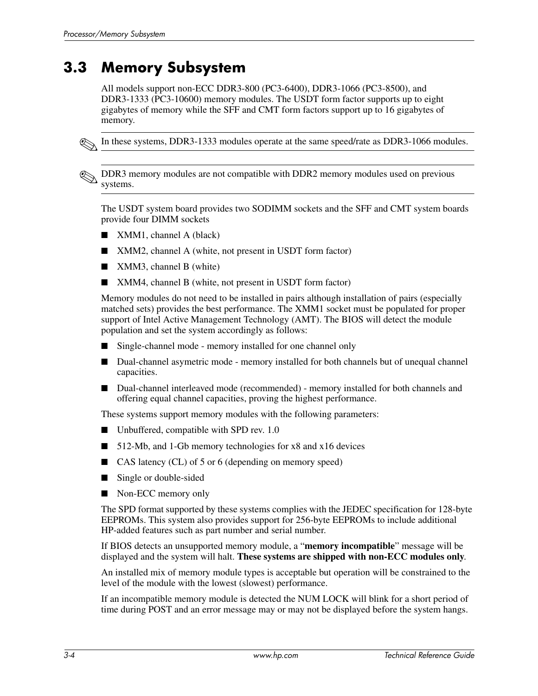### **3.3 Memory Subsystem**

All models support non-ECC DDR3-800 (PC3-6400), DDR3-1066 (PC3-8500), and DDR3-1333 (PC3-10600) memory modules. The USDT form factor supports up to eight gigabytes of memory while the SFF and CMT form factors support up to 16 gigabytes of memory.



In these systems, DDR3-1333 modules operate at the same speed/rate as DDR3-1066 modules.

✎DDR3 memory modules are not compatible with DDR2 memory modules used on previous systems.

The USDT system board provides two SODIMM sockets and the SFF and CMT system boards provide four DIMM sockets

- XMM1, channel A (black)
- XMM2, channel A (white, not present in USDT form factor)
- XMM3, channel B (white)
- XMM4, channel B (white, not present in USDT form factor)

Memory modules do not need to be installed in pairs although installation of pairs (especially matched sets) provides the best performance. The XMM1 socket must be populated for proper support of Intel Active Management Technology (AMT). The BIOS will detect the module population and set the system accordingly as follows:

- Single-channel mode memory installed for one channel only
- Dual-channel asymetric mode memory installed for both channels but of unequal channel capacities.
- Dual-channel interleaved mode (recommended) memory installed for both channels and offering equal channel capacities, proving the highest performance.

These systems support memory modules with the following parameters:

- Unbuffered, compatible with SPD rev. 1.0
- 512-Mb, and 1-Gb memory technologies for x8 and x16 devices
- CAS latency (CL) of 5 or 6 (depending on memory speed)
- Single or double-sided
- Non-ECC memory only

The SPD format supported by these systems complies with the JEDEC specification for 128-byte EEPROMs. This system also provides support for 256-byte EEPROMs to include additional HP-added features such as part number and serial number.

If BIOS detects an unsupported memory module, a "**memory incompatible**" message will be displayed and the system will halt. **These systems are shipped with non-ECC modules only**.

An installed mix of memory module types is acceptable but operation will be constrained to the level of the module with the lowest (slowest) performance.

If an incompatible memory module is detected the NUM LOCK will blink for a short period of time during POST and an error message may or may not be displayed before the system hangs.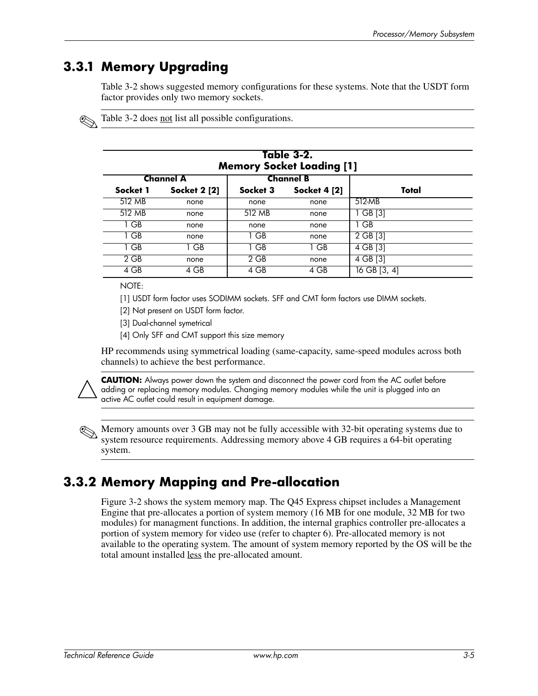#### **3.3.1 Memory Upgrading**

Table 3-2 shows suggested memory configurations for these systems. Note that the USDT form factor provides only two memory sockets.

Table 3-2 does not list all possible configurations.

| Table 3-2.<br><b>Memory Socket Loading [1]</b> |                     |                  |                     |              |  |
|------------------------------------------------|---------------------|------------------|---------------------|--------------|--|
| <b>Channel A</b>                               |                     | <b>Channel B</b> |                     |              |  |
| Socket 1                                       | <b>Socket 2 [2]</b> | Socket 3         | <b>Socket 4 [2]</b> | Total        |  |
| 512 MB                                         | none                | none             | none                | 512-MB       |  |
| 512 MB                                         | none                | 512 MB           | none                | 1 GB [3]     |  |
| 1 GB                                           | none                | none             | none                | 1 GB         |  |
| 1 GB                                           | none                | 1 GB             | none                | 2 GB [3]     |  |
| 1 GB                                           | 1 GB                | 1 GB             | 1 GB                | 4 GB [3]     |  |
| 2 GB                                           | none                | 2 GB             | none                | 4 GB [3]     |  |
| 4 GB                                           | 4 GB                | 4 GB             | 4 GB                | 16 GB [3, 4] |  |

NOTE:

[1] USDT form factor uses SODIMM sockets. SFF and CMT form factors use DIMM sockets.

[2] Not present on USDT form factor.

[3] Dual-channel symetrical

[4] Only SFF and CMT support this size memory

HP recommends using symmetrical loading (same-capacity, same-speed modules across both channels) to achieve the best performance.



**CAUTION:** Always power down the system and disconnect the power cord from the AC outlet before adding or replacing memory modules. Changing memory modules while the unit is plugged into an active AC outlet could result in equipment damage.



✎Memory amounts over 3 GB may not be fully accessible with 32-bit operating systems due to system resource requirements. Addressing memory above 4 GB requires a 64-bit operating system.

#### **3.3.2 Memory Mapping and Pre-allocation**

Figure 3-2 shows the system memory map. The Q45 Express chipset includes a Management Engine that pre-allocates a portion of system memory (16 MB for one module, 32 MB for two modules) for managment functions. In addition, the internal graphics controller pre-allocates a portion of system memory for video use (refer to chapter 6). Pre-allocated memory is not available to the operating system. The amount of system memory reported by the OS will be the total amount installed less the pre-allocated amount.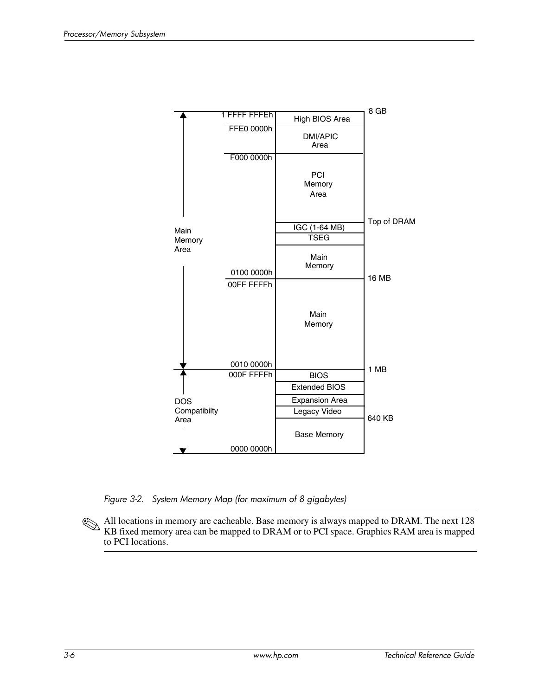

*Figure 3-2. System Memory Map (for maximum of 8 gigabytes)*

✎All locations in memory are cacheable. Base memory is always mapped to DRAM. The next 128 KB fixed memory area can be mapped to DRAM or to PCI space. Graphics RAM area is mapped to PCI locations.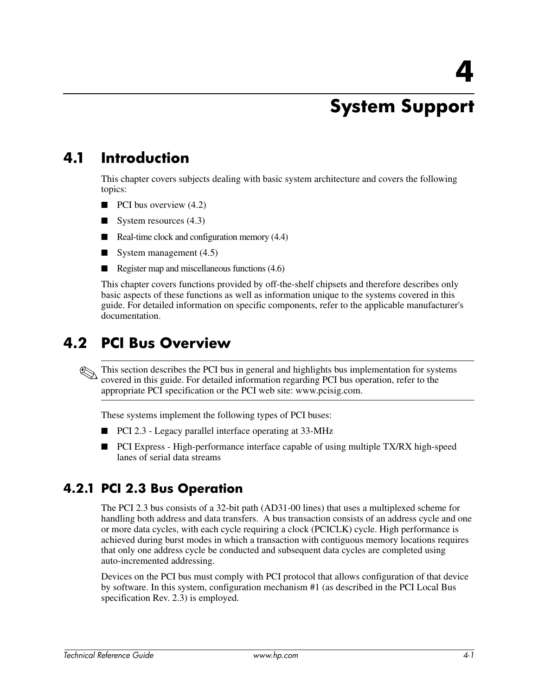## **System Support**

### **4.1 Introduction**

This chapter covers subjects dealing with basic system architecture and covers the following topics:

- $\blacksquare$  PCI bus overview (4.2)
- $\blacksquare$  System resources (4.3)
- Real-time clock and configuration memory (4.4)
- $\blacksquare$  System management (4.5)
- Register map and miscellaneous functions (4.6)

This chapter covers functions provided by off-the-shelf chipsets and therefore describes only basic aspects of these functions as well as information unique to the systems covered in this guide. For detailed information on specific components, refer to the applicable manufacturer's documentation.

#### **4.2 PCI Bus Overview**

This section describes the PCI bus in general and highlights bus implementation for systems covered in this guide. For detailed information regarding PCI bus operation, refer to the appropriate PCI specification or the PCI web site: www.pcisig.com.

These systems implement the following types of PCI buses:

- PCI 2.3 Legacy parallel interface operating at 33-MHz
- PCI Express High-performance interface capable of using multiple TX/RX high-speed lanes of serial data streams

#### **4.2.1 PCI 2.3 Bus Operation**

The PCI 2.3 bus consists of a 32-bit path (AD31-00 lines) that uses a multiplexed scheme for handling both address and data transfers. A bus transaction consists of an address cycle and one or more data cycles, with each cycle requiring a clock (PCICLK) cycle. High performance is achieved during burst modes in which a transaction with contiguous memory locations requires that only one address cycle be conducted and subsequent data cycles are completed using auto-incremented addressing.

Devices on the PCI bus must comply with PCI protocol that allows configuration of that device by software. In this system, configuration mechanism #1 (as described in the PCI Local Bus specification Rev. 2.3) is employed.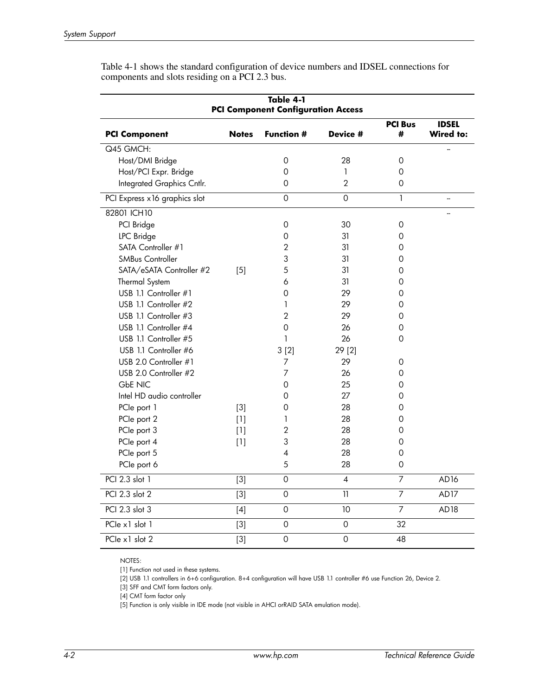| Table 4-1<br><b>PCI Component Configuration Access</b> |              |                          |                          |                     |                           |
|--------------------------------------------------------|--------------|--------------------------|--------------------------|---------------------|---------------------------|
| <b>PCI Component</b>                                   | <b>Notes</b> | <b>Function #</b>        | Device #                 | <b>PCI Bus</b><br># | <b>IDSEL</b><br>Wired to: |
| Q45 GMCH:                                              |              |                          |                          |                     |                           |
| Host/DMI Bridge                                        |              | $\mathbf 0$              | 28                       | $\Omega$            |                           |
| Host/PCI Expr. Bridge                                  |              | 0                        | 1                        | 0                   |                           |
| Integrated Graphics Cntlr.                             |              | 0                        | $\overline{2}$           | 0                   |                           |
| PCI Express x 16 graphics slot                         |              | $\mathbf 0$              | $\mathsf{O}\xspace$      | $\mathbf{1}$        | -−                        |
| 82801 ICH10                                            |              |                          |                          |                     |                           |
| PCI Bridge                                             |              | 0                        | 30                       | 0                   |                           |
| <b>LPC</b> Bridge                                      |              | 0                        | 31                       | 0                   |                           |
| SATA Controller #1                                     |              | 2                        | 31                       | 0                   |                           |
| <b>SMBus Controller</b>                                |              | 3                        | 31                       | 0                   |                           |
| SATA/eSATA Controller #2                               | $[5]$        | 5                        | 31                       | 0                   |                           |
| Thermal System                                         |              | 6                        | 31                       | 0                   |                           |
| USB 1.1 Controller #1                                  |              | $\Omega$                 | 29                       | 0                   |                           |
| USB 1.1 Controller #2                                  |              | 1                        | 29                       | 0                   |                           |
| USB 1.1 Controller #3                                  |              | $\overline{2}$           | 29                       | 0                   |                           |
| USB 1.1 Controller #4                                  |              | 0                        | 26                       | 0                   |                           |
| USB 1.1 Controller #5                                  |              | 1                        | 26                       | $\Omega$            |                           |
| USB 1.1 Controller #6                                  |              | 3[2]                     | 29 [2]                   |                     |                           |
| USB 2.0 Controller #1                                  |              | 7                        | 29                       | 0                   |                           |
| USB 2.0 Controller #2                                  |              | 7                        | 26                       | 0                   |                           |
| <b>GbE NIC</b>                                         |              | 0                        | 25                       | 0                   |                           |
| Intel HD audio controller                              |              | 0                        | 27                       | 0                   |                           |
| PCIe port 1                                            | $[3]$        | 0                        | 28                       | 0                   |                           |
| PCIe port 2                                            | $[1]$        | 1                        | 28                       | 0                   |                           |
| PCIe port 3                                            | $[1]$        | $\overline{2}$           | 28                       | 0                   |                           |
| PCIe port 4                                            | $[1]$        | 3                        | 28                       | $\Omega$            |                           |
| PCIe port 5                                            |              | $\overline{\mathcal{A}}$ | 28                       | 0                   |                           |
| PCIe port 6                                            |              | 5                        | 28                       | 0                   |                           |
| PCI 2.3 slot 1                                         | $[3]$        | $\Omega$                 | $\overline{\mathcal{A}}$ | $\overline{7}$      | AD <sub>16</sub>          |
| PCI 2.3 slot 2                                         | $[3]$        | $\mathbf 0$              | 11                       | $\overline{7}$      | AD <sub>17</sub>          |
| PCI 2.3 slot 3                                         | $[4]$        | $\mathbf 0$              | 10                       | $\overline{7}$      | AD18                      |
| PCIe x1 slot 1                                         | $[3]$        | $\mathsf O$              | 0                        | 32                  |                           |
| PCIe x1 slot 2                                         | $[3]$        | $\mathsf{O}$             | $\mathsf{O}\xspace$      | 48                  |                           |

Table 4-1 shows the standard configuration of device numbers and IDSEL connections for components and slots residing on a PCI 2.3 bus.

NOTES:

[1] Function not used in these systems.

[2] USB 1.1 controllers in 6+6 configuration. 8+4 configuration will have USB 1.1 controller #6 use Function 26, Device 2.

[3] SFF and CMT form factors only.

[4] CMT form factor only

[5] Function is only visible in IDE mode (not visible in AHCI orRAID SATA emulation mode).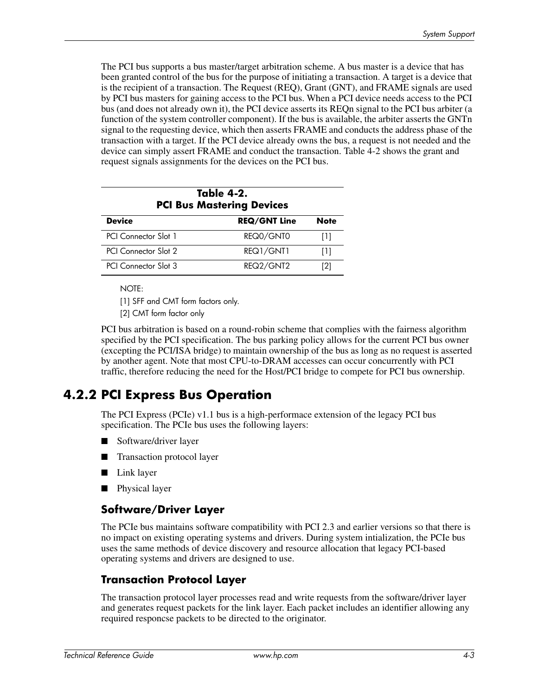The PCI bus supports a bus master/target arbitration scheme. A bus master is a device that has been granted control of the bus for the purpose of initiating a transaction. A target is a device that is the recipient of a transaction. The Request (REQ), Grant (GNT), and FRAME signals are used by PCI bus masters for gaining access to the PCI bus. When a PCI device needs access to the PCI bus (and does not already own it), the PCI device asserts its REQn signal to the PCI bus arbiter (a function of the system controller component). If the bus is available, the arbiter asserts the GNTn signal to the requesting device, which then asserts FRAME and conducts the address phase of the transaction with a target. If the PCI device already owns the bus, a request is not needed and the device can simply assert FRAME and conduct the transaction. Table 4-2 shows the grant and request signals assignments for the devices on the PCI bus.

| Table 4-2.<br><b>PCI Bus Mastering Devices</b> |                     |             |  |  |  |
|------------------------------------------------|---------------------|-------------|--|--|--|
| <b>Device</b>                                  | <b>REQ/GNT Line</b> | <b>Note</b> |  |  |  |
| <b>PCI</b> Connector Slot 1                    | REQ0/GNT0           | Пl          |  |  |  |
| PCI Connector Slot 2                           | REQ1/GNT1           | Ш           |  |  |  |
| <b>PCI</b> Connector Slot 3                    | REQ2/GNT2           | [2]         |  |  |  |

NOTE:

[1] SFF and CMT form factors only.

[2] CMT form factor only

PCI bus arbitration is based on a round-robin scheme that complies with the fairness algorithm specified by the PCI specification. The bus parking policy allows for the current PCI bus owner (excepting the PCI/ISA bridge) to maintain ownership of the bus as long as no request is asserted by another agent. Note that most CPU-to-DRAM accesses can occur concurrently with PCI traffic, therefore reducing the need for the Host/PCI bridge to compete for PCI bus ownership.

### **4.2.2 PCI Express Bus Operation**

The PCI Express (PCIe) v1.1 bus is a high-performace extension of the legacy PCI bus specification. The PCIe bus uses the following layers:

- Software/driver layer
- Transaction protocol layer
- Link layer
- Physical layer

#### **Software/Driver Layer**

The PCIe bus maintains software compatibility with PCI 2.3 and earlier versions so that there is no impact on existing operating systems and drivers. During system intialization, the PCIe bus uses the same methods of device discovery and resource allocation that legacy PCI-based operating systems and drivers are designed to use.

#### **Transaction Protocol Layer**

The transaction protocol layer processes read and write requests from the software/driver layer and generates request packets for the link layer. Each packet includes an identifier allowing any required responcse packets to be directed to the originator.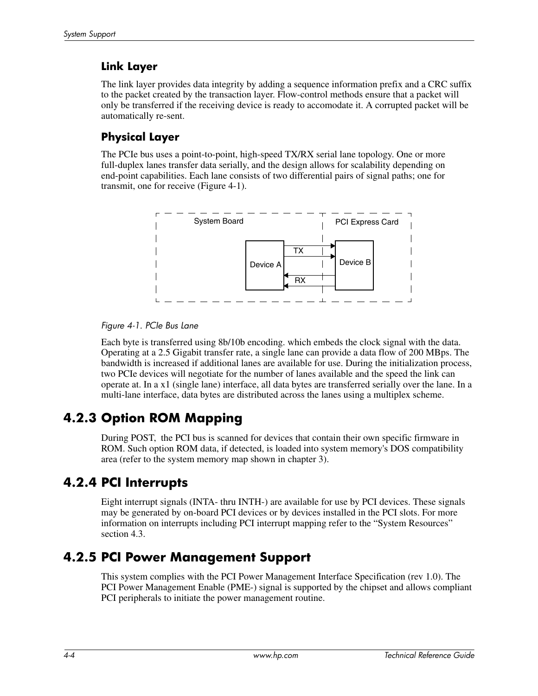#### **Link Layer**

The link layer provides data integrity by adding a sequence information prefix and a CRC suffix to the packet created by the transaction layer. Flow-control methods ensure that a packet will only be transferred if the receiving device is ready to accomodate it. A corrupted packet will be automatically re-sent.

#### **Physical Layer**

The PCIe bus uses a point-to-point, high-speed TX/RX serial lane topology. One or more full-duplex lanes transfer data serially, and the design allows for scalability depending on end-point capabilities. Each lane consists of two differential pairs of signal paths; one for transmit, one for receive (Figure 4-1).



#### *Figure 4-1. PCIe Bus Lane*

Each byte is transferred using 8b/10b encoding. which embeds the clock signal with the data. Operating at a 2.5 Gigabit transfer rate, a single lane can provide a data flow of 200 MBps. The bandwidth is increased if additional lanes are available for use. During the initialization process, two PCIe devices will negotiate for the number of lanes available and the speed the link can operate at. In a x1 (single lane) interface, all data bytes are transferred serially over the lane. In a multi-lane interface, data bytes are distributed across the lanes using a multiplex scheme.

### **4.2.3 Option ROM Mapping**

During POST, the PCI bus is scanned for devices that contain their own specific firmware in ROM. Such option ROM data, if detected, is loaded into system memory's DOS compatibility area (refer to the system memory map shown in chapter 3).

### **4.2.4 PCI Interrupts**

Eight interrupt signals (INTA- thru INTH-) are available for use by PCI devices. These signals may be generated by on-board PCI devices or by devices installed in the PCI slots. For more information on interrupts including PCI interrupt mapping refer to the "System Resources" section 4.3.

#### **4.2.5 PCI Power Management Support**

This system complies with the PCI Power Management Interface Specification (rev 1.0). The PCI Power Management Enable (PME-) signal is supported by the chipset and allows compliant PCI peripherals to initiate the power management routine.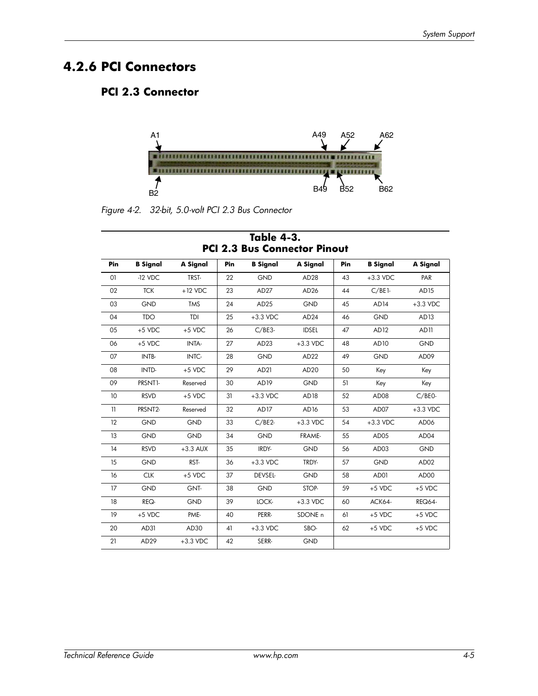#### **4.2.6 PCI Connectors**

#### **PCI 2.3 Connector**



*Figure 4-2. 32-bit, 5.0-volt PCI 2.3 Bus Connector*

| Pin | <b>B</b> Signal      | A Signal   | Pin | <b>B</b> Signal  | A Signal           | Pin | <b>B</b> Signal  | A Signal      |
|-----|----------------------|------------|-----|------------------|--------------------|-----|------------------|---------------|
| O1  | $-12$ VDC            | TRST-      | 22  | <b>GND</b>       | AD <sub>28</sub>   | 43  | $+3.3$ VDC       | PAR           |
| 02  | <b>TCK</b>           | $+12$ VDC  | 23  | AD <sub>27</sub> | AD <sub>26</sub>   | 44  | $C/BE1-$         | AD15          |
| 03  | <b>GND</b>           | <b>TMS</b> | 24  | AD <sub>25</sub> | <b>GND</b>         | 45  | AD14             | $+3.3$ VDC    |
| 04  | <b>TDO</b>           | TDI        | 25  | $+3.3$ VDC       | AD <sub>24</sub>   | 46  | <b>GND</b>       | AD13          |
| 05  | $+5$ VDC             | $+5$ VDC   | 26  | $C/BE3-$         | <b>IDSEL</b>       | 47  | AD12             | AD11          |
| 06  | $+5$ VDC             | INTA-      | 27  | AD <sub>23</sub> | $+3.3$ VDC         | 48  | AD10             | <b>GND</b>    |
| 07  | INTB-                | INTC-      | 28  | <b>GND</b>       | AD <sub>22</sub>   | 49  | <b>GND</b>       | AD09          |
| 08  | INTD-                | $+5$ VDC   | 29  | AD21             | AD <sub>20</sub>   | 50  | Key              | Key           |
| 09  | PRSNT <sub>1</sub> . | Reserved   | 30  | AD <sub>19</sub> | GND                | 51  | Key              | Key           |
| 10  | <b>RSVD</b>          | $+5$ VDC   | 31  | $+3.3$ VDC       | AD18               | 52  | AD <sub>08</sub> | $C/BE0-$      |
| 11  | PRSNT2-              | Reserved   | 32  | AD17             | AD16               | 53  | AD07             | $+3.3$ VDC    |
| 12  | <b>GND</b>           | <b>GND</b> | 33  | $C/BE2$ -        | $+3.3$ VDC         | 54  | $+3.3$ VDC       | AD06          |
| 13  | <b>GND</b>           | <b>GND</b> | 34  | <b>GND</b>       | FRAME-             | 55  | AD <sub>05</sub> | AD04          |
| 14  | <b>RSVD</b>          | $+3.3$ AUX | 35  | IRDY-            | <b>GND</b>         | 56  | AD <sub>03</sub> | <b>GND</b>    |
| 15  | <b>GND</b>           | RST-       | 36  | $+3.3$ VDC       | TRDY-              | 57  | <b>GND</b>       | AD02          |
| 16  | <b>CLK</b>           | $+5$ VDC   | 37  | DEVSEL-          | <b>GND</b>         | 58  | AD01             | AD00          |
| 17  | <b>GND</b>           | GNT-       | 38  | <b>GND</b>       | STOP-              | 59  | $+5$ VDC         | $+5$ VDC      |
| 18  | REQ-                 | <b>GND</b> | 39  | LOCK-            | $+3.3$ VDC         | 60  | ACK64-           | <b>REQ64-</b> |
| 19  | $+5$ VDC             | PME-       | 40  | PERR-            | SDONE <sub>n</sub> | 61  | $+5$ VDC         | $+5$ VDC      |
| 20  | AD31                 | AD30       | 41  | $+3.3$ VDC       | SBO-               | 62  | $+5$ VDC         | +5 VDC        |
| 21  | AD <sub>29</sub>     | $+3.3$ VDC | 42  | SERR-            | <b>GND</b>         |     |                  |               |

**Table 4-3. PCI 2.3 Bus Connector Pinout**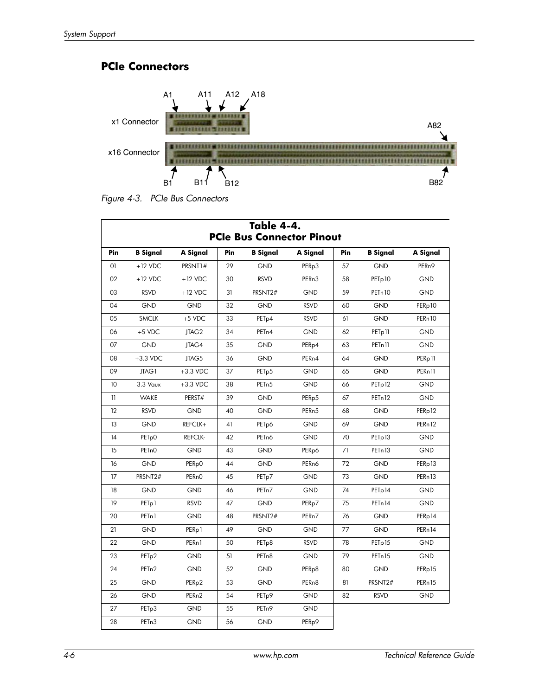#### **PCIe Connectors**



*Figure 4-3. PCIe Bus Connectors*

|        |                    |                    |     | Table 4-4.         | <b>PCIe Bus Connector Pinout</b> |     |                     |                                |
|--------|--------------------|--------------------|-----|--------------------|----------------------------------|-----|---------------------|--------------------------------|
| Pin    | <b>B</b> Signal    | A Signal           | Pin | <b>B</b> Signal    | A Signal                         | Pin | <b>B</b> Signal     | A Signal                       |
| 01     | $+12$ VDC          | PRSNT1#            | 29  | <b>GND</b>         | PER <sub>p3</sub>                | 57  | <b>GND</b>          | PER <sub>n9</sub>              |
| 02     | $+12$ VDC          | $+12$ VDC          | 30  | <b>RSVD</b>        | PER <sub>n3</sub>                | 58  | PET <sub>p</sub> 10 | <b>GND</b>                     |
| 03     | <b>RSVD</b>        | $+12$ VDC          | 31  | PRSNT2#            | <b>GND</b>                       | 59  | PET <sub>n</sub> 10 | <b>GND</b>                     |
| 04     | GND                | GND                | 32  | <b>GND</b>         | <b>RSVD</b>                      | 60  | GND                 | PERp10                         |
| 05     | <b>SMCLK</b>       | $+5$ VDC           | 33  | PET <sub>p4</sub>  | <b>RSVD</b>                      | 61  | <b>GND</b>          | PERn10                         |
| 06     | $+5$ VDC           | JTAG2              | 34  | PET <sub>n4</sub>  | <b>GND</b>                       | 62  | PET <sub>p</sub> 11 | GND                            |
| 07     | <b>GND</b>         | JTAG4              | 35  | <b>GND</b>         | PER <sub>p4</sub>                | 63  | PETn11              | <b>GND</b>                     |
| 08     | $+3.3$ VDC         | JTAG5              | 36  | <b>GND</b>         | PER <sub>n4</sub>                | 64  | <b>GND</b>          | PER <sub>p</sub> <sub>11</sub> |
| 09     | JTAG1              | $+3.3$ VDC         | 37  | PET <sub>p5</sub>  | GND                              | 65  | <b>GND</b>          | PERn <sub>11</sub>             |
| 10     | 3.3 Vaux           | $+3.3$ VDC         | 38  | PET <sub>n</sub> 5 | <b>GND</b>                       | 66  | PET <sub>p</sub> 12 | GND                            |
| 11     | <b>WAKE</b>        | PERST#             | 39  | <b>GND</b>         | PER <sub>p5</sub>                | 67  | PET <sub>n</sub> 12 | <b>GND</b>                     |
| 12     | <b>RSVD</b>        | <b>GND</b>         | 40  | <b>GND</b>         | PER <sub>n5</sub>                | 68  | <b>GND</b>          | PERp12                         |
| 13     | GND                | REFCLK+            | 41  | PET <sub>p</sub> 6 | <b>GND</b>                       | 69  | <b>GND</b>          | PERn12                         |
| 14     | PET <sub>p</sub> 0 | <b>REFCLK-</b>     | 42  | PET <sub>n</sub> 6 | <b>GND</b>                       | 70  | PET <sub>p</sub> 13 | GND                            |
| 15     | PET <sub>n</sub> O | <b>GND</b>         | 43  | <b>GND</b>         | PER <sub>p</sub> 6               | 71  | PET <sub>n</sub> 13 | <b>GND</b>                     |
| 16     | GND                | PER <sub>p</sub> 0 | 44  | GND                | PER <sub>n</sub> 6               | 72  | <b>GND</b>          | PERp13                         |
| 17     | PRSNT2#            | PER <sub>nO</sub>  | 45  | PET <sub>p</sub> 7 | <b>GND</b>                       | 73  | <b>GND</b>          | PERn13                         |
| 18     | GND                | <b>GND</b>         | 46  | PET <sub>n</sub> 7 | GND                              | 74  | PET <sub>p</sub> 14 | GND                            |
| 19     | PET <sub>p</sub> 1 | <b>RSVD</b>        | 47  | GND                | PER <sub>p</sub> 7               | 75  | PETn14              | GND                            |
| 20     | PET <sub>n</sub> 1 | <b>GND</b>         | 48  | PRSNT2#            | PER <sub>n</sub> 7               | 76  | <b>GND</b>          | PERp14                         |
| 21     | <b>GND</b>         | PER <sub>p</sub> 1 | 49  | <b>GND</b>         | <b>GND</b>                       | 77  | <b>GND</b>          | PERn 14                        |
| 22     | GND                | PERn1              | 50  | PET <sub>p</sub> 8 | <b>RSVD</b>                      | 78  | PET <sub>p</sub> 15 | GND                            |
| 23     | PET <sub>p</sub> 2 | <b>GND</b>         | 51  | PET <sub>n</sub> 8 | <b>GND</b>                       | 79  | PET <sub>n</sub> 15 | <b>GND</b>                     |
| 24     | PET <sub>n2</sub>  | <b>GND</b>         | 52  | <b>GND</b>         | PER <sub>p</sub> 8               | 80  | <b>GND</b>          | PERp15                         |
| 25     | <b>GND</b>         | PER <sub>p2</sub>  | 53  | <b>GND</b>         | PER <sub>n</sub> 8               | 81  | PRSNT2#             | PERn15                         |
| 26     | <b>GND</b>         | PER <sub>n2</sub>  | 54  | PET <sub>p</sub> 9 | <b>GND</b>                       | 82  | <b>RSVD</b>         | GND                            |
| $27\,$ | PET <sub>p</sub> 3 | <b>GND</b>         | 55  | PET <sub>n</sub> 9 | <b>GND</b>                       |     |                     |                                |
| 28     | PET <sub>n</sub> 3 | <b>GND</b>         | 56  | GND                | PER <sub>p</sub> 9               |     |                     |                                |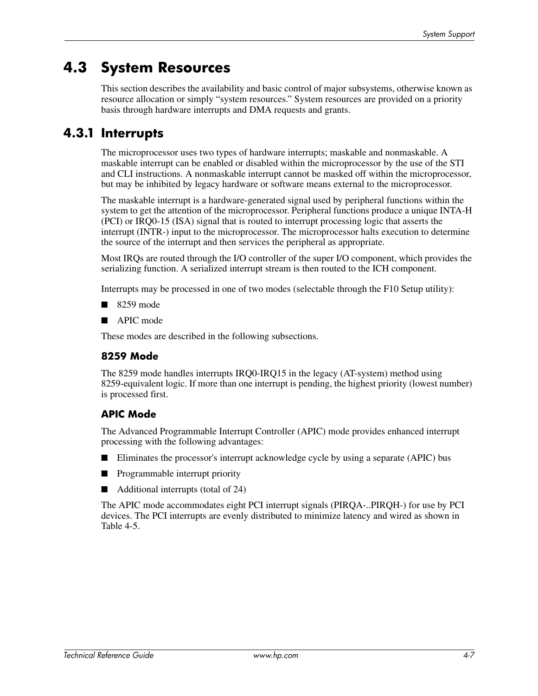# **4.3 System Resources**

This section describes the availability and basic control of major subsystems, otherwise known as resource allocation or simply "system resources." System resources are provided on a priority basis through hardware interrupts and DMA requests and grants.

#### **4.3.1 Interrupts**

The microprocessor uses two types of hardware interrupts; maskable and nonmaskable. A maskable interrupt can be enabled or disabled within the microprocessor by the use of the STI and CLI instructions. A nonmaskable interrupt cannot be masked off within the microprocessor, but may be inhibited by legacy hardware or software means external to the microprocessor.

The maskable interrupt is a hardware-generated signal used by peripheral functions within the system to get the attention of the microprocessor. Peripheral functions produce a unique INTA-H (PCI) or IRQ0-15 (ISA) signal that is routed to interrupt processing logic that asserts the interrupt (INTR-) input to the microprocessor. The microprocessor halts execution to determine the source of the interrupt and then services the peripheral as appropriate.

Most IRQs are routed through the I/O controller of the super I/O component, which provides the serializing function. A serialized interrupt stream is then routed to the ICH component.

Interrupts may be processed in one of two modes (selectable through the F10 Setup utility):

- 8259 mode
- APIC mode

These modes are described in the following subsections.

#### **8259 Mode**

The 8259 mode handles interrupts IRQ0-IRQ15 in the legacy (AT-system) method using 8259-equivalent logic. If more than one interrupt is pending, the highest priority (lowest number) is processed first.

#### **APIC Mode**

The Advanced Programmable Interrupt Controller (APIC) mode provides enhanced interrupt processing with the following advantages:

- Eliminates the processor's interrupt acknowledge cycle by using a separate (APIC) bus
- Programmable interrupt priority
- Additional interrupts (total of 24)

The APIC mode accommodates eight PCI interrupt signals (PIRQA-..PIRQH-) for use by PCI devices. The PCI interrupts are evenly distributed to minimize latency and wired as shown in Table 4-5.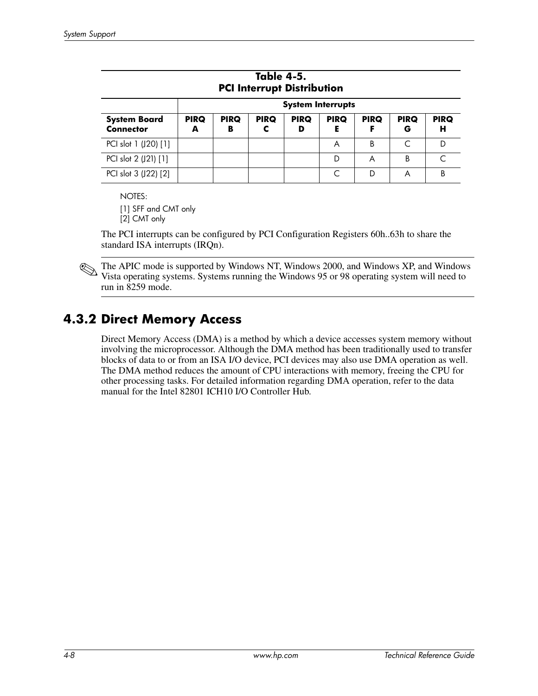| Table 4-5.<br><b>PCI Interrupt Distribution</b> |                          |                  |                  |                  |                  |                  |                  |                  |
|-------------------------------------------------|--------------------------|------------------|------------------|------------------|------------------|------------------|------------------|------------------|
|                                                 | <b>System Interrupts</b> |                  |                  |                  |                  |                  |                  |                  |
| <b>System Board</b><br><b>Connector</b>         | <b>PIRQ</b><br>A         | <b>PIRQ</b><br>в | <b>PIRQ</b><br>c | <b>PIRQ</b><br>D | <b>PIRQ</b><br>Е | <b>PIRQ</b><br>F | <b>PIRQ</b><br>G | <b>PIRQ</b><br>н |
| PCI slot 1 (J20) [1]                            |                          |                  |                  |                  | A                | B                | C                | D                |
| PCI slot 2 (J21) [1]                            |                          |                  |                  |                  | D                | A                | В                |                  |
| PCI slot 3 (J22) [2]                            |                          |                  |                  |                  | C                | D                | A                | B                |

NOTES:

[1] SFF and CMT only [2] CMT only

The PCI interrupts can be configured by PCI Configuration Registers 60h..63h to share the standard ISA interrupts (IRQn).

✎The APIC mode is supported by Windows NT, Windows 2000, and Windows XP, and Windows Vista operating systems. Systems running the Windows 95 or 98 operating system will need to run in 8259 mode.

### **4.3.2 Direct Memory Access**

Direct Memory Access (DMA) is a method by which a device accesses system memory without involving the microprocessor. Although the DMA method has been traditionally used to transfer blocks of data to or from an ISA I/O device, PCI devices may also use DMA operation as well. The DMA method reduces the amount of CPU interactions with memory, freeing the CPU for other processing tasks. For detailed information regarding DMA operation, refer to the data manual for the Intel 82801 ICH10 I/O Controller Hub.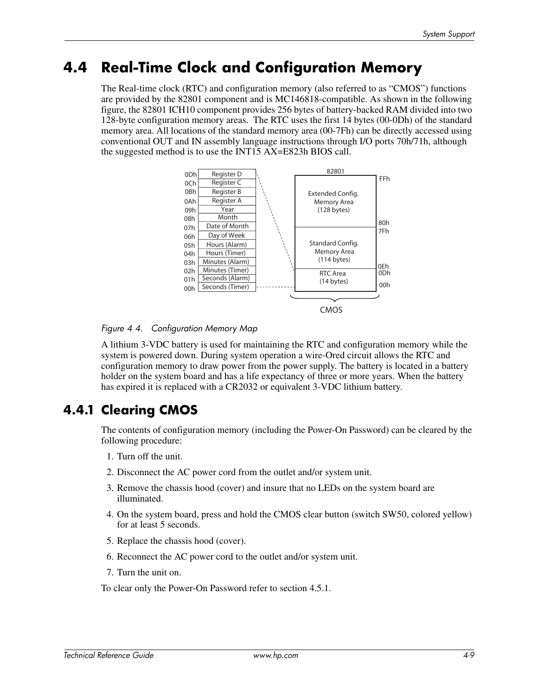### **4.4 Real-Time Clock and Configuration Memory**

The Real-time clock (RTC) and configuration memory (also referred to as "CMOS") functions are provided by the 82801 component and is MC146818-compatible. As shown in the following figure, the 82801 ICH10 component provides 256 bytes of battery-backed RAM divided into two 128-byte configuration memory areas. The RTC uses the first 14 bytes (00-0Dh) of the standard memory area. All locations of the standard memory area (00-7Fh) can be directly accessed using conventional OUT and IN assembly language instructions through I/O ports 70h/71h, although the suggested method is to use the INT15 AX=E823h BIOS call.



*Figure 4 4. Configuration Memory Map*

A lithium 3-VDC battery is used for maintaining the RTC and configuration memory while the system is powered down. During system operation a wire-Ored circuit allows the RTC and configuration memory to draw power from the power supply. The battery is located in a battery holder on the system board and has a life expectancy of three or more years. When the battery has expired it is replaced with a CR2032 or equivalent 3-VDC lithium battery.

### **4.4.1 Clearing CMOS**

The contents of configuration memory (including the Power-On Password) can be cleared by the following procedure:

- 1. Turn off the unit.
- 2. Disconnect the AC power cord from the outlet and/or system unit.
- 3. Remove the chassis hood (cover) and insure that no LEDs on the system board are illuminated.
- 4. On the system board, press and hold the CMOS clear button (switch SW50, colored yellow) for at least 5 seconds.
- 5. Replace the chassis hood (cover).
- 6. Reconnect the AC power cord to the outlet and/or system unit.
- 7. Turn the unit on.

To clear only the Power-On Password refer to section 4.5.1.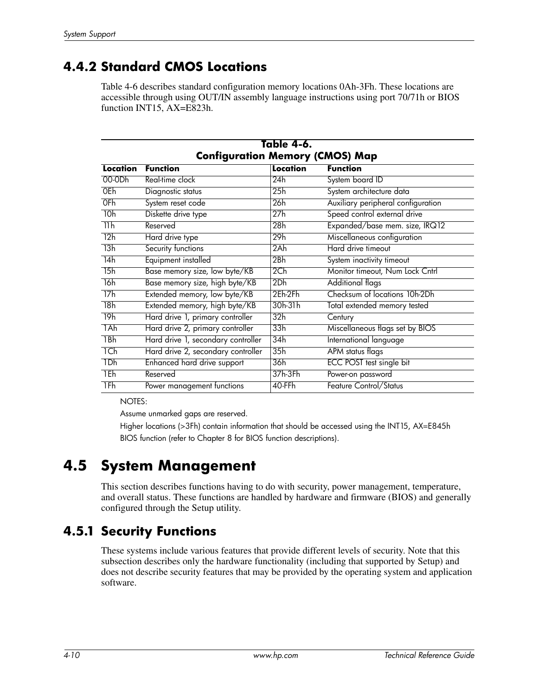### **4.4.2 Standard CMOS Locations**

Table 4-6 describes standard configuration memory locations 0Ah-3Fh. These locations are accessible through using OUT/IN assembly language instructions using port 70/71h or BIOS function INT15, AX=E823h.

| Table 4-6.                             |                                    |                 |                                    |  |  |  |
|----------------------------------------|------------------------------------|-----------------|------------------------------------|--|--|--|
| <b>Configuration Memory (CMOS) Map</b> |                                    |                 |                                    |  |  |  |
| Location                               | <b>Function</b>                    | Location        | <b>Function</b>                    |  |  |  |
| 00-0Dh                                 | Real-time clock                    | 24h             | System board ID                    |  |  |  |
| 0Eh                                    | Diagnostic status                  | 25h             | System architecture data           |  |  |  |
| 0Fh                                    | System reset code                  | 26h             | Auxiliary peripheral configuration |  |  |  |
| 10h                                    | Diskette drive type                | 27h             | Speed control external drive       |  |  |  |
| 11h                                    | Reserved                           | 28h             | Expanded/base mem. size, IRQ12     |  |  |  |
| 12h                                    | Hard drive type                    | 29h             | Miscellaneous configuration        |  |  |  |
| 13h                                    | Security functions                 | 2Ah             | Hard drive timeout                 |  |  |  |
| 14h                                    | Equipment installed                | 2Bh             | System inactivity timeout          |  |  |  |
| 15h                                    | Base memory size, low byte/KB      | 2 <sub>ch</sub> | Monitor timeout, Num Lock Cntrl    |  |  |  |
| 16h                                    | Base memory size, high byte/KB     | 2Dh             | <b>Additional flags</b>            |  |  |  |
| 17h                                    | Extended memory, low byte/KB       | 2Eh-2Fh         | Checksum of locations 10h-2Dh      |  |  |  |
| 18h                                    | Extended memory, high byte/KB      | $30h-31h$       | Total extended memory tested       |  |  |  |
| 19h                                    | Hard drive 1, primary controller   | 32h             | Century                            |  |  |  |
| 1Ah                                    | Hard drive 2, primary controller   | 33h             | Miscellaneous flags set by BIOS    |  |  |  |
| 1Bh                                    | Hard drive 1, secondary controller | 34h             | International language             |  |  |  |
| 1Ch                                    | Hard drive 2, secondary controller | 35h             | APM status flags                   |  |  |  |
| 1Dh                                    | Enhanced hard drive support        | 36h             | <b>ECC POST test single bit</b>    |  |  |  |
| 1Eh                                    | Reserved                           | 37h-3Fh         | Power-on password                  |  |  |  |
| 1Fh                                    | Power management functions         | 40-FFh          | Feature Control/Status             |  |  |  |

NOTES:

Assume unmarked gaps are reserved.

Higher locations (>3Fh) contain information that should be accessed using the INT15, AX=E845h BIOS function (refer to Chapter 8 for BIOS function descriptions).

# **4.5 System Management**

This section describes functions having to do with security, power management, temperature, and overall status. These functions are handled by hardware and firmware (BIOS) and generally configured through the Setup utility.

#### **4.5.1 Security Functions**

These systems include various features that provide different levels of security. Note that this subsection describes only the hardware functionality (including that supported by Setup) and does not describe security features that may be provided by the operating system and application software.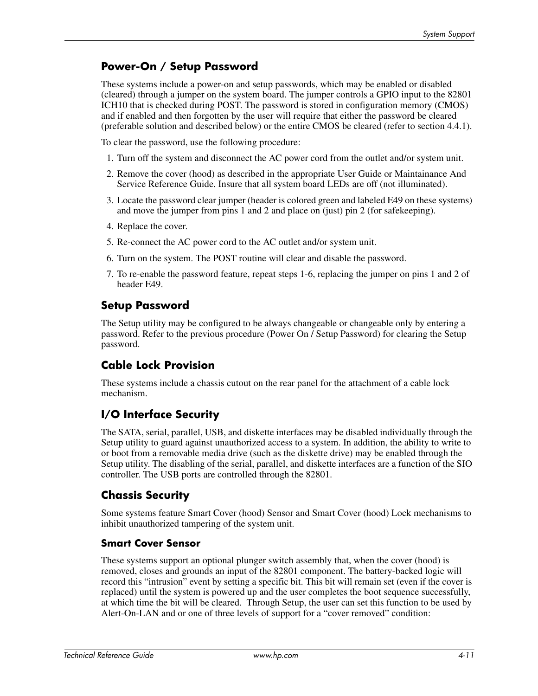#### **Power-On / Setup Password**

These systems include a power-on and setup passwords, which may be enabled or disabled (cleared) through a jumper on the system board. The jumper controls a GPIO input to the 82801 ICH10 that is checked during POST. The password is stored in configuration memory (CMOS) and if enabled and then forgotten by the user will require that either the password be cleared (preferable solution and described below) or the entire CMOS be cleared (refer to section 4.4.1).

To clear the password, use the following procedure:

- 1. Turn off the system and disconnect the AC power cord from the outlet and/or system unit.
- 2. Remove the cover (hood) as described in the appropriate User Guide or Maintainance And Service Reference Guide. Insure that all system board LEDs are off (not illuminated).
- 3. Locate the password clear jumper (header is colored green and labeled E49 on these systems) and move the jumper from pins 1 and 2 and place on (just) pin 2 (for safekeeping).
- 4. Replace the cover.
- 5. Re-connect the AC power cord to the AC outlet and/or system unit.
- 6. Turn on the system. The POST routine will clear and disable the password.
- 7. To re-enable the password feature, repeat steps 1-6, replacing the jumper on pins 1 and 2 of header E49.

#### **Setup Password**

The Setup utility may be configured to be always changeable or changeable only by entering a password. Refer to the previous procedure (Power On / Setup Password) for clearing the Setup password.

#### **Cable Lock Provision**

These systems include a chassis cutout on the rear panel for the attachment of a cable lock mechanism.

#### **I/O Interface Security**

The SATA, serial, parallel, USB, and diskette interfaces may be disabled individually through the Setup utility to guard against unauthorized access to a system. In addition, the ability to write to or boot from a removable media drive (such as the diskette drive) may be enabled through the Setup utility. The disabling of the serial, parallel, and diskette interfaces are a function of the SIO controller. The USB ports are controlled through the 82801.

#### **Chassis Security**

Some systems feature Smart Cover (hood) Sensor and Smart Cover (hood) Lock mechanisms to inhibit unauthorized tampering of the system unit.

#### **Smart Cover Sensor**

These systems support an optional plunger switch assembly that, when the cover (hood) is removed, closes and grounds an input of the 82801 component. The battery-backed logic will record this "intrusion" event by setting a specific bit. This bit will remain set (even if the cover is replaced) until the system is powered up and the user completes the boot sequence successfully, at which time the bit will be cleared. Through Setup, the user can set this function to be used by Alert-On-LAN and or one of three levels of support for a "cover removed" condition: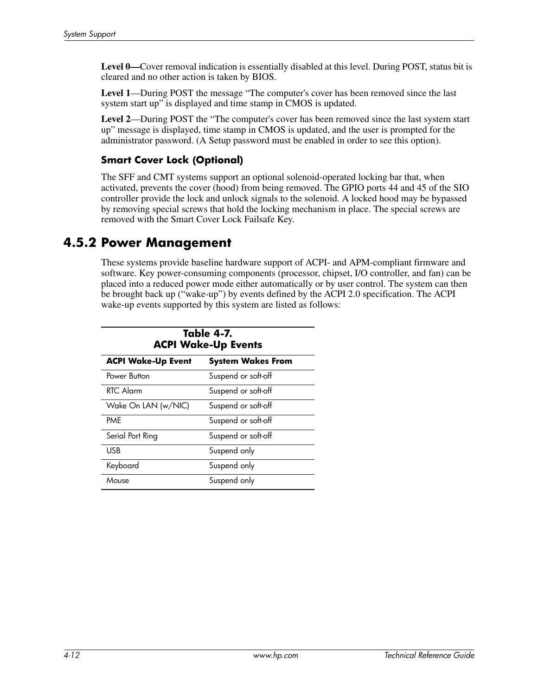Level 0—Cover removal indication is essentially disabled at this level. During POST, status bit is cleared and no other action is taken by BIOS.

**Level 1**—During POST the message "The computer's cover has been removed since the last system start up" is displayed and time stamp in CMOS is updated.

**Level 2**—During POST the "The computer's cover has been removed since the last system start up" message is displayed, time stamp in CMOS is updated, and the user is prompted for the administrator password. (A Setup password must be enabled in order to see this option).

#### **Smart Cover Lock (Optional)**

The SFF and CMT systems support an optional solenoid-operated locking bar that, when activated, prevents the cover (hood) from being removed. The GPIO ports 44 and 45 of the SIO controller provide the lock and unlock signals to the solenoid. A locked hood may be bypassed by removing special screws that hold the locking mechanism in place. The special screws are removed with the Smart Cover Lock Failsafe Key.

#### **4.5.2 Power Management**

These systems provide baseline hardware support of ACPI- and APM-compliant firmware and software. Key power-consuming components (processor, chipset, I/O controller, and fan) can be placed into a reduced power mode either automatically or by user control. The system can then be brought back up ("wake-up") by events defined by the ACPI 2.0 specification. The ACPI wake-up events supported by this system are listed as follows:

| <b>Table 4-7.</b><br><b>ACPI Wake-Up Events</b> |                          |  |  |  |
|-------------------------------------------------|--------------------------|--|--|--|
| <b>ACPI Wake-Up Event</b>                       | <b>System Wakes From</b> |  |  |  |
| Power Button                                    | Suspend or soft-off      |  |  |  |
| RTC Alarm                                       | Suspend or soft-off      |  |  |  |
| Wake On LAN (w/NIC)                             | Suspend or soft-off      |  |  |  |
| PMF                                             | Suspend or soft-off      |  |  |  |
| Serial Port Ring                                | Suspend or soft-off      |  |  |  |
| USB                                             | Suspend only             |  |  |  |
| Keyboard                                        | Suspend only             |  |  |  |
| Mouse                                           | Suspend only             |  |  |  |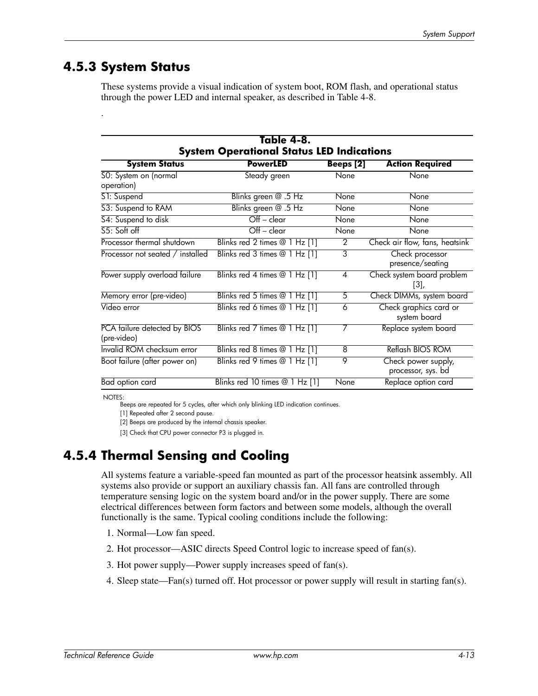#### **4.5.3 System Status**

.

These systems provide a visual indication of system boot, ROM flash, and operational status through the power LED and internal speaker, as described in Table 4-8.

| Table 4-8.<br><b>System Operational Status LED Indications</b> |                                |                  |                                           |  |  |
|----------------------------------------------------------------|--------------------------------|------------------|-------------------------------------------|--|--|
| <b>System Status</b>                                           | <b>PowerLED</b>                | <b>Beeps</b> [2] | <b>Action Required</b>                    |  |  |
| 50: System on (normal<br>operation)                            | Steady green                   | None             | None                                      |  |  |
| S1: Suspend                                                    | Blinks green @ .5 Hz           | None             | None                                      |  |  |
| S3: Suspend to RAM                                             | Blinks green @ .5 Hz           | None             | None                                      |  |  |
| S4: Suspend to disk                                            | $Off - clear$                  | None             | None                                      |  |  |
| $55:$ Soft off                                                 | $Off - clear$                  | None             | None                                      |  |  |
| Processor thermal shutdown                                     | Blinks red 2 times @ 1 Hz [1]  | $\mathcal{P}$    | Check air flow, fans, heatsink            |  |  |
| Processor not seated / installed                               | Blinks red 3 times @ 1 Hz [1]  | 3                | Check processor<br>presence/seating       |  |  |
| Power supply overload failure                                  | Blinks red 4 times @ 1 Hz [1]  | 4                | Check system board problem<br>$[3]$ ,     |  |  |
| Memory error (pre-video)                                       | Blinks red 5 times @ 1 Hz [1]  | 5                | Check DIMMs, system board                 |  |  |
| Video error                                                    | Blinks red 6 times @ 1 Hz [1]  | 6                | Check graphics card or<br>system board    |  |  |
| PCA failure detected by BIOS<br>(pre-video)                    | Blinks red 7 times @ 1 Hz [1]  | 7                | Replace system board                      |  |  |
| Invalid ROM checksum error                                     | Blinks red 8 times @ 1 Hz [1]  | 8                | Reflash BIOS ROM                          |  |  |
| Boot failure (after power on)                                  | Blinks red 9 times @ 1 Hz [1]  | 9                | Check power supply,<br>processor, sys. bd |  |  |
| Bad option card                                                | Blinks red 10 times @ 1 Hz [1] | None             | Replace option card                       |  |  |

NOTES:

Beeps are repeated for 5 cycles, after which only blinking LED indication continues.

[1] Repeated after 2 second pause.

[2] Beeps are produced by the internal chassis speaker.

[3] Check that CPU power connector P3 is plugged in.

### **4.5.4 Thermal Sensing and Cooling**

All systems feature a variable-speed fan mounted as part of the processor heatsink assembly. All systems also provide or support an auxiliary chassis fan. All fans are controlled through temperature sensing logic on the system board and/or in the power supply. There are some electrical differences between form factors and between some models, although the overall functionally is the same. Typical cooling conditions include the following:

- 1. Normal—Low fan speed.
- 2. Hot processor—ASIC directs Speed Control logic to increase speed of fan(s).
- 3. Hot power supply—Power supply increases speed of fan(s).
- 4. Sleep state—Fan(s) turned off. Hot processor or power supply will result in starting fan(s).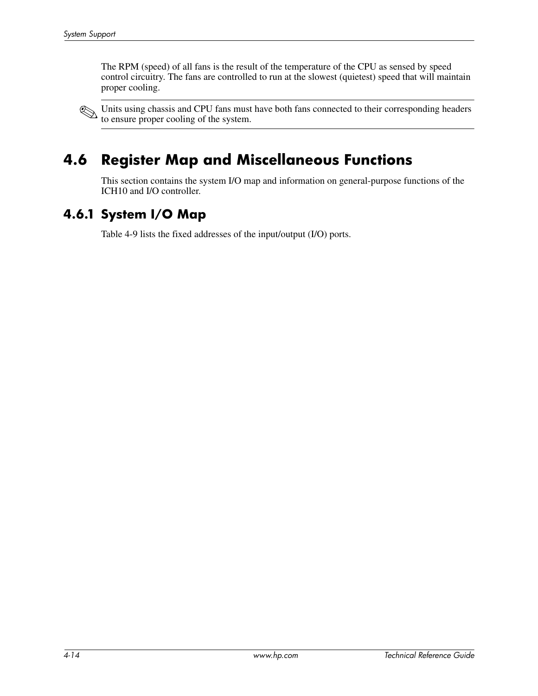The RPM (speed) of all fans is the result of the temperature of the CPU as sensed by speed control circuitry. The fans are controlled to run at the slowest (quietest) speed that will maintain proper cooling.

Units using chassis and CPU fans must have both fans connected to their corresponding headers to ensure proper cooling of the system.

# **4.6 Register Map and Miscellaneous Functions**

This section contains the system I/O map and information on general-purpose functions of the ICH10 and I/O controller.

#### **4.6.1 System I/O Map**

Table 4-9 lists the fixed addresses of the input/output (I/O) ports.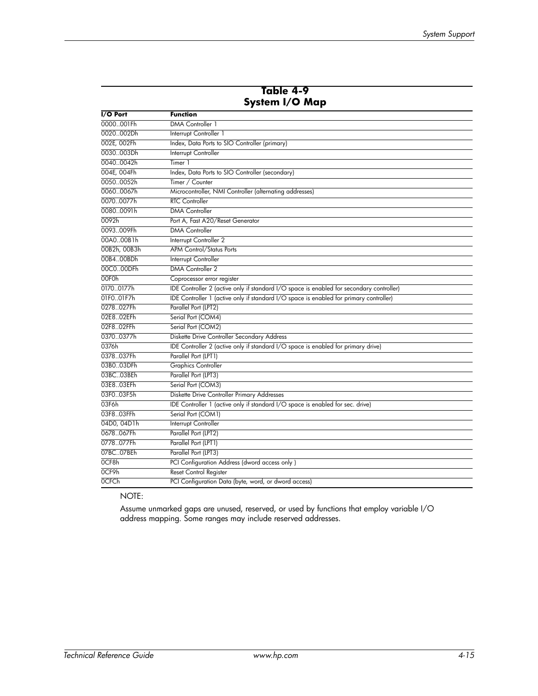|                   | System I/O Map                                                                           |
|-------------------|------------------------------------------------------------------------------------------|
| I/O Port          | <b>Function</b>                                                                          |
| 0000001Fh         | <b>DMA</b> Controller 1                                                                  |
| 0020002Dh         | Interrupt Controller 1                                                                   |
| 002E, 002Fh       | Index, Data Ports to SIO Controller (primary)                                            |
| 0030003Dh         | Interrupt Controller                                                                     |
| 00400042h         | Timer 1                                                                                  |
| 004E, 004Fh       | Index, Data Ports to SIO Controller (secondary)                                          |
| 00500052h         | Timer / Counter                                                                          |
| 00600067h         | Microcontroller, NMI Controller (alternating addresses)                                  |
| 00700077h         | <b>RTC</b> Controller                                                                    |
| 00800091h         | <b>DMA</b> Controller                                                                    |
| 0092h             | Port A, Fast A20/Reset Generator                                                         |
| 0093009Fh         | <b>DMA Controller</b>                                                                    |
| 00A000B1h         | Interrupt Controller 2                                                                   |
| 00B2h, 00B3h      | <b>APM Control/Status Ports</b>                                                          |
| 00B400BDh         | Interrupt Controller                                                                     |
| 00C000DFh         | DMA Controller 2                                                                         |
| 00F <sub>Oh</sub> | Coprocessor error register                                                               |
| 01700177h         | IDE Controller 2 (active only if standard I/O space is enabled for secondary controller) |
| 01F001F7h         | IDE Controller 1 (active only if standard I/O space is enabled for primary controller)   |
| 0278027Fh         | Parallel Port (LPT2)                                                                     |
| 02E802EFh         | Serial Port (COM4)                                                                       |
| 02F802FFh         | Serial Port (COM2)                                                                       |
| 03700377h         | Diskette Drive Controller Secondary Address                                              |
| 0376h             | IDE Controller 2 (active only if standard I/O space is enabled for primary drive)        |
| 0378037Fh         | Parallel Port (LPT1)                                                                     |
| 03B003DFh         | <b>Graphics Controller</b>                                                               |
| 03BC03BEh         | Parallel Port (LPT3)                                                                     |
| 03E803EFh         | Serial Port (COM3)                                                                       |
| 03F003F5h         | Diskette Drive Controller Primary Addresses                                              |
| 03F6h             | IDE Controller 1 (active only if standard I/O space is enabled for sec. drive)           |
| 03F803FFh         | Serial Port (COM1)                                                                       |
| 04D0, 04D1h       | Interrupt Controller                                                                     |
| 0678067Fh         | Parallel Port (LPT2)                                                                     |
| 0778077Fh         | Parallel Port (LPT1)                                                                     |
| 07BC07BEh         | Parallel Port (LPT3)                                                                     |
| OCF8h             | PCI Configuration Address (dword access only)                                            |
| 0CF9h             | Reset Control Register                                                                   |
| <b>OCFCh</b>      | PCI Configuration Data (byte, word, or dword access)                                     |

# **Table 4-9**

NOTE:

Assume unmarked gaps are unused, reserved, or used by functions that employ variable I/O address mapping. Some ranges may include reserved addresses.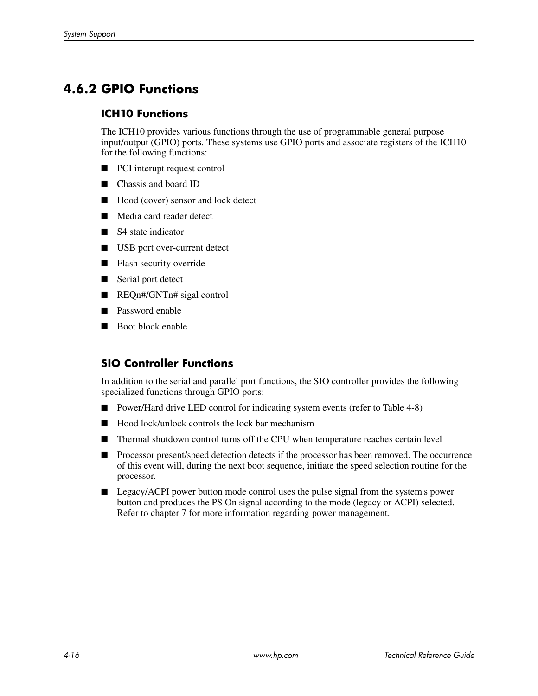### **4.6.2 GPIO Functions**

#### **ICH10 Functions**

The ICH10 provides various functions through the use of programmable general purpose input/output (GPIO) ports. These systems use GPIO ports and associate registers of the ICH10 for the following functions:

- PCI interupt request control
- Chassis and board ID
- Hood (cover) sensor and lock detect
- Media card reader detect
- S4 state indicator
- USB port over-current detect
- Flash security override
- Serial port detect
- REQn#/GNTn# sigal control
- Password enable
- Boot block enable

#### **SIO Controller Functions**

In addition to the serial and parallel port functions, the SIO controller provides the following specialized functions through GPIO ports:

- Power/Hard drive LED control for indicating system events (refer to Table 4-8)
- Hood lock/unlock controls the lock bar mechanism
- Thermal shutdown control turns off the CPU when temperature reaches certain level
- Processor present/speed detection detects if the processor has been removed. The occurrence of this event will, during the next boot sequence, initiate the speed selection routine for the processor.
- Legacy/ACPI power button mode control uses the pulse signal from the system's power button and produces the PS On signal according to the mode (legacy or ACPI) selected. Refer to chapter 7 for more information regarding power management.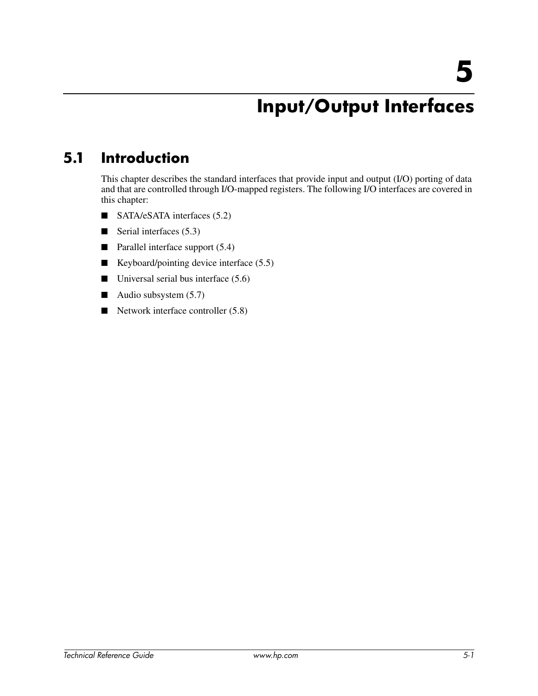# **Input/Output Interfaces**

# **5.1 Introduction**

This chapter describes the standard interfaces that provide input and output (I/O) porting of data and that are controlled through I/O-mapped registers. The following I/O interfaces are covered in this chapter:

- SATA/eSATA interfaces (5.2)
- Serial interfaces (5.3)
- Parallel interface support (5.4)
- Keyboard/pointing device interface (5.5)
- $\blacksquare$  Universal serial bus interface (5.6)
- Audio subsystem (5.7)
- Network interface controller (5.8)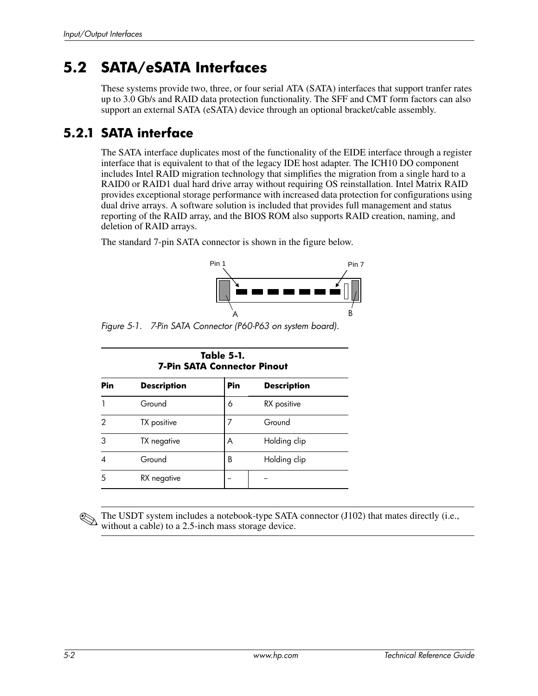# **5.2 SATA/eSATA Interfaces**

These systems provide two, three, or four serial ATA (SATA) interfaces that support tranfer rates up to 3.0 Gb/s and RAID data protection functionality. The SFF and CMT form factors can also support an external SATA (eSATA) device through an optional bracket/cable assembly.

### **5.2.1 SATA interface**

The SATA interface duplicates most of the functionality of the EIDE interface through a register interface that is equivalent to that of the legacy IDE host adapter. The ICH10 DO component includes Intel RAID migration technology that simplifies the migration from a single hard to a RAID0 or RAID1 dual hard drive array without requiring OS reinstallation. Intel Matrix RAID provides exceptional storage performance with increased data protection for configurations using dual drive arrays. A software solution is included that provides full management and status reporting of the RAID array, and the BIOS ROM also supports RAID creation, naming, and deletion of RAID arrays.

The standard 7-pin SATA connector is shown in the figure below.



*Figure 5-1. 7-Pin SATA Connector (P60-P63 on system board).*

| Table 5-1.<br><b>7-Pin SATA Connector Pinout</b> |                    |     |                    |  |  |
|--------------------------------------------------|--------------------|-----|--------------------|--|--|
| Pin                                              | <b>Description</b> | Pin | <b>Description</b> |  |  |
|                                                  | Ground             | 6   | RX positive        |  |  |
| 2                                                | TX positive        | 7   | Ground             |  |  |
| 3                                                | TX negative        | A   | Holding clip       |  |  |
| 4                                                | Ground             | B   | Holding clip       |  |  |
| 5                                                | RX negative        |     |                    |  |  |

The USDT system includes a notebook-type SATA connector (J102) that mates directly (i.e., without a cable) to a 2.5-inch mass storage device.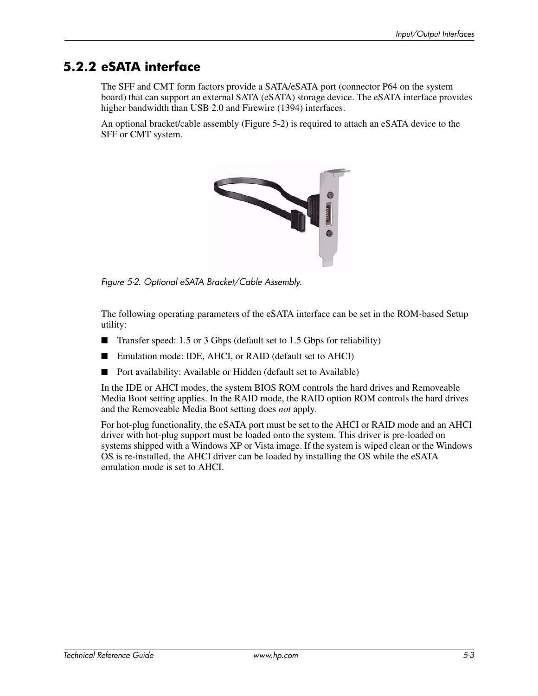### **5.2.2 eSATA interface**

The SFF and CMT form factors provide a SATA/eSATA port (connector P64 on the system board) that can support an external SATA (eSATA) storage device. The eSATA interface provides higher bandwidth than USB 2.0 and Firewire (1394) interfaces.

An optional bracket/cable assembly (Figure 5-2) is required to attach an eSATA device to the SFF or CMT system.



*Figure 5-2. Optional eSATA Bracket/Cable Assembly.*

The following operating parameters of the eSATA interface can be set in the ROM-based Setup utility:

- Transfer speed: 1.5 or 3 Gbps (default set to 1.5 Gbps for reliability)
- Emulation mode: IDE, AHCI, or RAID (default set to AHCI)
- Port availability: Available or Hidden (default set to Available)

In the IDE or AHCI modes, the system BIOS ROM controls the hard drives and Removeable Media Boot setting applies. In the RAID mode, the RAID option ROM controls the hard drives and the Removeable Media Boot setting does *not* apply.

For hot-plug functionality, the eSATA port must be set to the AHCI or RAID mode and an AHCI driver with hot-plug support must be loaded onto the system. This driver is pre-loaded on systems shipped with a Windows XP or Vista image. If the system is wiped clean or the Windows OS is re-installed, the AHCI driver can be loaded by installing the OS while the eSATA emulation mode is set to AHCI.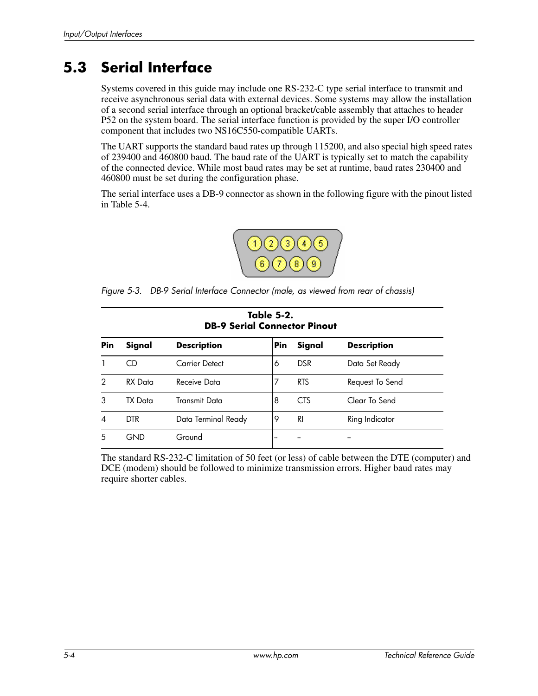# **5.3 Serial Interface**

Systems covered in this guide may include one RS-232-C type serial interface to transmit and receive asynchronous serial data with external devices. Some systems may allow the installation of a second serial interface through an optional bracket/cable assembly that attaches to header P52 on the system board. The serial interface function is provided by the super I/O controller component that includes two NS16C550-compatible UARTs.

The UART supports the standard baud rates up through 115200, and also special high speed rates of 239400 and 460800 baud. The baud rate of the UART is typically set to match the capability of the connected device. While most baud rates may be set at runtime, baud rates 230400 and 460800 must be set during the configuration phase.

The serial interface uses a DB-9 connector as shown in the following figure with the pinout listed in Table 5-4.



*Figure 5-3. DB-9 Serial Interface Connector (male, as viewed from rear of chassis)*

|            | Table 5-2.<br><b>DB-9 Serial Connector Pinout</b> |                     |            |            |                    |  |  |
|------------|---------------------------------------------------|---------------------|------------|------------|--------------------|--|--|
| <b>Pin</b> | Signal                                            | <b>Description</b>  | <b>Pin</b> | Signal     | <b>Description</b> |  |  |
|            | CD                                                | Carrier Detect      | 6          | <b>DSR</b> | Data Set Ready     |  |  |
| 2          | RX Data                                           | Receive Data        | 7          | <b>RTS</b> | Request To Send    |  |  |
| 3          | TX Data                                           | Transmit Data       | 8          | <b>CTS</b> | Clear To Send      |  |  |
| 4          | <b>DTR</b>                                        | Data Terminal Ready | 9          | <b>RI</b>  | Ring Indicator     |  |  |
| 5          | GND                                               | Ground              | --         |            |                    |  |  |

The standard RS-232-C limitation of 50 feet (or less) of cable between the DTE (computer) and DCE (modem) should be followed to minimize transmission errors. Higher baud rates may require shorter cables.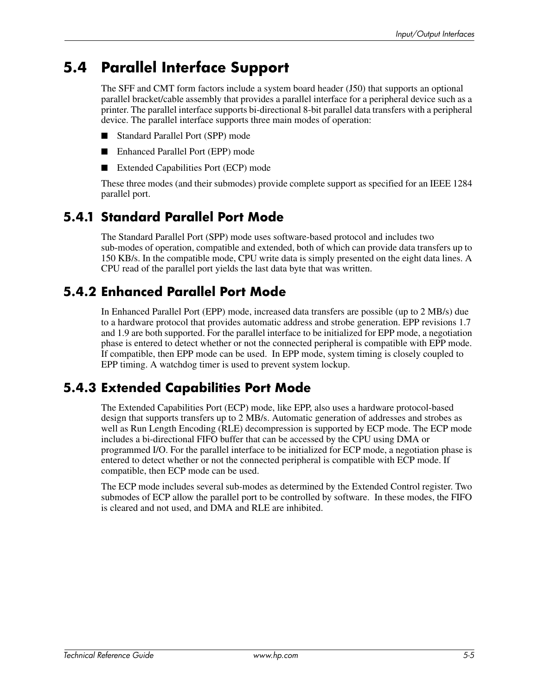# **5.4 Parallel Interface Support**

The SFF and CMT form factors include a system board header (J50) that supports an optional parallel bracket/cable assembly that provides a parallel interface for a peripheral device such as a printer. The parallel interface supports bi-directional 8-bit parallel data transfers with a peripheral device. The parallel interface supports three main modes of operation:

- Standard Parallel Port (SPP) mode
- Enhanced Parallel Port (EPP) mode
- Extended Capabilities Port (ECP) mode

These three modes (and their submodes) provide complete support as specified for an IEEE 1284 parallel port.

### **5.4.1 Standard Parallel Port Mode**

The Standard Parallel Port (SPP) mode uses software-based protocol and includes two sub-modes of operation, compatible and extended, both of which can provide data transfers up to 150 KB/s. In the compatible mode, CPU write data is simply presented on the eight data lines. A CPU read of the parallel port yields the last data byte that was written.

### **5.4.2 Enhanced Parallel Port Mode**

In Enhanced Parallel Port (EPP) mode, increased data transfers are possible (up to 2 MB/s) due to a hardware protocol that provides automatic address and strobe generation. EPP revisions 1.7 and 1.9 are both supported. For the parallel interface to be initialized for EPP mode, a negotiation phase is entered to detect whether or not the connected peripheral is compatible with EPP mode. If compatible, then EPP mode can be used. In EPP mode, system timing is closely coupled to EPP timing. A watchdog timer is used to prevent system lockup.

### **5.4.3 Extended Capabilities Port Mode**

The Extended Capabilities Port (ECP) mode, like EPP, also uses a hardware protocol-based design that supports transfers up to 2 MB/s. Automatic generation of addresses and strobes as well as Run Length Encoding (RLE) decompression is supported by ECP mode. The ECP mode includes a bi-directional FIFO buffer that can be accessed by the CPU using DMA or programmed I/O. For the parallel interface to be initialized for ECP mode, a negotiation phase is entered to detect whether or not the connected peripheral is compatible with ECP mode. If compatible, then ECP mode can be used.

The ECP mode includes several sub-modes as determined by the Extended Control register. Two submodes of ECP allow the parallel port to be controlled by software. In these modes, the FIFO is cleared and not used, and DMA and RLE are inhibited.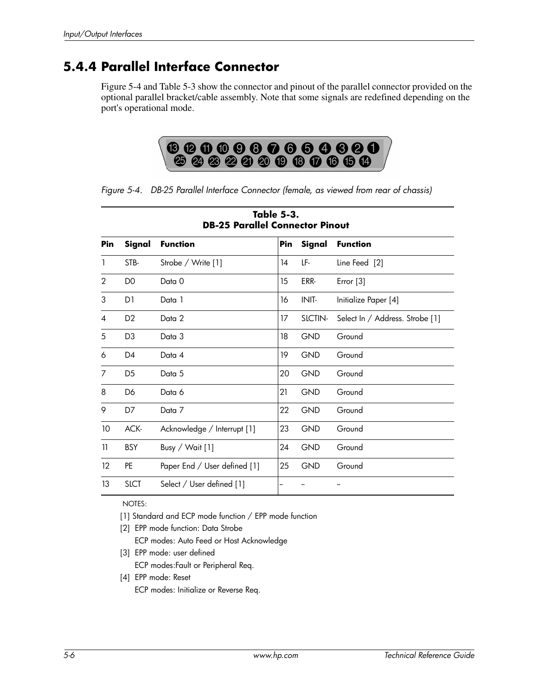### **5.4.4 Parallel Interface Connector**

Figure 5-4 and Table 5-3 show the connector and pinout of the parallel connector provided on the optional parallel bracket/cable assembly. Note that some signals are redefined depending on the port's operational mode.



*Figure 5-4. DB-25 Parallel Interface Connector (female, as viewed from rear of chassis)*

|                   | Table 5-3.<br><b>DB-25 Parallel Connector Pinout</b> |                              |     |            |                                 |  |  |  |
|-------------------|------------------------------------------------------|------------------------------|-----|------------|---------------------------------|--|--|--|
| Pin               | Signal                                               | <b>Function</b>              | Pin | Signal     | <b>Function</b>                 |  |  |  |
| 1                 | STB-                                                 | Strobe / Write [1]           | 14  | LF-        | Line Feed [2]                   |  |  |  |
| 2                 | D <sub>0</sub>                                       | Data 0                       | 15  | ERR-       | Error [3]                       |  |  |  |
| 3                 | D1                                                   | Data 1                       | 16  | INIT-      | Initialize Paper [4]            |  |  |  |
| 4                 | D <sub>2</sub>                                       | Data 2                       | 17  | SLCTIN-    | Select In / Address. Strobe [1] |  |  |  |
| 5                 | D <sub>3</sub>                                       | Data 3                       | 18  | <b>GND</b> | Ground                          |  |  |  |
| 6                 | D4                                                   | Data 4                       | 19  | <b>GND</b> | Ground                          |  |  |  |
| 7                 | D <sub>5</sub>                                       | Data 5                       | 20  | <b>GND</b> | Ground                          |  |  |  |
| 8                 | D <sub>6</sub>                                       | Data 6                       | 21  | <b>GND</b> | Ground                          |  |  |  |
| 9                 | D7                                                   | Data 7                       | 22  | <b>GND</b> | Ground                          |  |  |  |
| 10                | ACK-                                                 | Acknowledge / Interrupt [1]  | 23  | <b>GND</b> | Ground                          |  |  |  |
| 11                | <b>BSY</b>                                           | Busy / Wait [1]              | 24  | <b>GND</b> | Ground                          |  |  |  |
| $12 \overline{ }$ | <b>PE</b>                                            | Paper End / User defined [1] | 25  | <b>GND</b> | Ground                          |  |  |  |
| 13                | <b>SLCT</b>                                          | Select / User defined [1]    | --  |            |                                 |  |  |  |

NOTES:

[1] Standard and ECP mode function / EPP mode function

- [2] EPP mode function: Data Strobe ECP modes: Auto Feed or Host Acknowledge
- [3] EPP mode: user defined
	- ECP modes:Fault or Peripheral Req.
- [4] EPP mode: Reset ECP modes: Initialize or Reverse Req.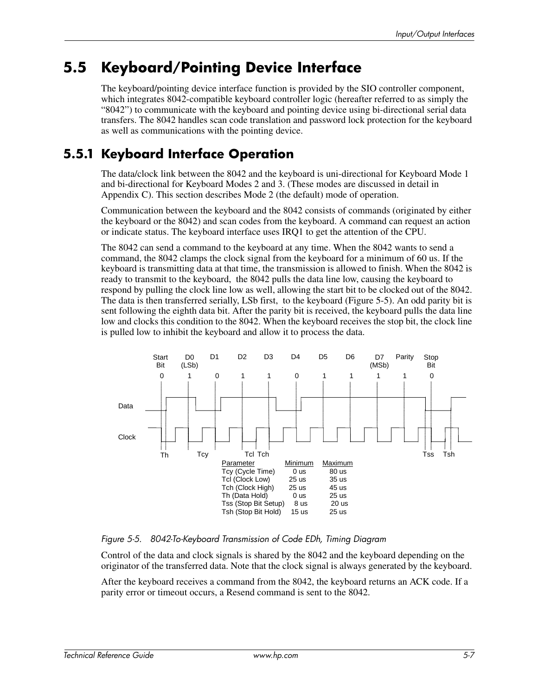# **5.5 Keyboard/Pointing Device Interface**

The keyboard/pointing device interface function is provided by the SIO controller component, which integrates 8042-compatible keyboard controller logic (hereafter referred to as simply the "8042") to communicate with the keyboard and pointing device using bi-directional serial data transfers. The 8042 handles scan code translation and password lock protection for the keyboard as well as communications with the pointing device.

### **5.5.1 Keyboard Interface Operation**

The data/clock link between the 8042 and the keyboard is uni-directional for Keyboard Mode 1 and bi-directional for Keyboard Modes 2 and 3. (These modes are discussed in detail in Appendix C). This section describes Mode 2 (the default) mode of operation.

Communication between the keyboard and the 8042 consists of commands (originated by either the keyboard or the 8042) and scan codes from the keyboard. A command can request an action or indicate status. The keyboard interface uses IRQ1 to get the attention of the CPU.

The 8042 can send a command to the keyboard at any time. When the 8042 wants to send a command, the 8042 clamps the clock signal from the keyboard for a minimum of 60 us. If the keyboard is transmitting data at that time, the transmission is allowed to finish. When the 8042 is ready to transmit to the keyboard, the 8042 pulls the data line low, causing the keyboard to respond by pulling the clock line low as well, allowing the start bit to be clocked out of the 8042. The data is then transferred serially, LSb first, to the keyboard (Figure 5-5). An odd parity bit is sent following the eighth data bit. After the parity bit is received, the keyboard pulls the data line low and clocks this condition to the 8042. When the keyboard receives the stop bit, the clock line is pulled low to inhibit the keyboard and allow it to process the data.



*Figure 5-5. 8042-To-Keyboard Transmission of Code EDh, Timing Diagram* 

Control of the data and clock signals is shared by the 8042 and the keyboard depending on the originator of the transferred data. Note that the clock signal is always generated by the keyboard.

After the keyboard receives a command from the 8042, the keyboard returns an ACK code. If a parity error or timeout occurs, a Resend command is sent to the 8042.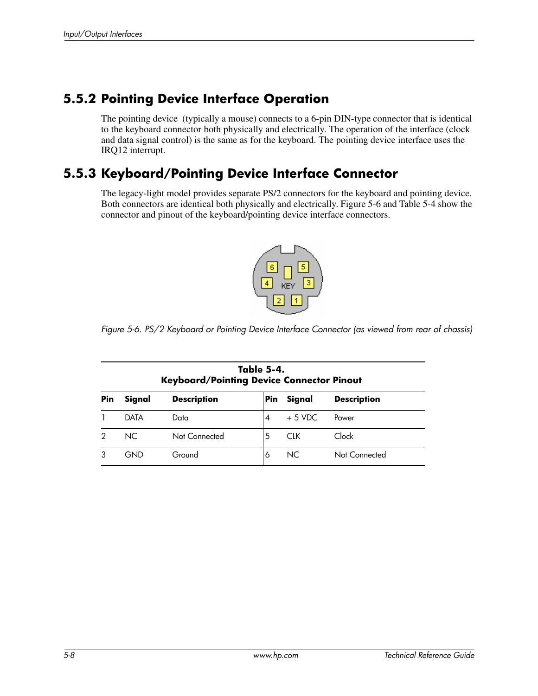### **5.5.2 Pointing Device Interface Operation**

The pointing device (typically a mouse) connects to a 6-pin DIN-type connector that is identical to the keyboard connector both physically and electrically. The operation of the interface (clock and data signal control) is the same as for the keyboard. The pointing device interface uses the IRQ12 interrupt.

#### **5.5.3 Keyboard/Pointing Device Interface Connector**

The legacy-light model provides separate PS/2 connectors for the keyboard and pointing device. Both connectors are identical both physically and electrically. Figure 5-6 and Table 5-4 show the connector and pinout of the keyboard/pointing device interface connectors.



*Figure 5-6. PS/2 Keyboard or Pointing Device Interface Connector (as viewed from rear of chassis)*

|     | Table 5-4.<br><b>Keyboard/Pointing Device Connector Pinout</b> |                    |     |          |                    |  |  |  |
|-----|----------------------------------------------------------------|--------------------|-----|----------|--------------------|--|--|--|
| Pin | Signal                                                         | <b>Description</b> | Pin | Signal   | <b>Description</b> |  |  |  |
|     | DATA                                                           | Data               | 4   | $+5$ VDC | Power              |  |  |  |
|     | NC.                                                            | Not Connected      | 5   | CIK.     | Clock              |  |  |  |
|     | GND                                                            | Ground             | 6   | NC.      | Not Connected      |  |  |  |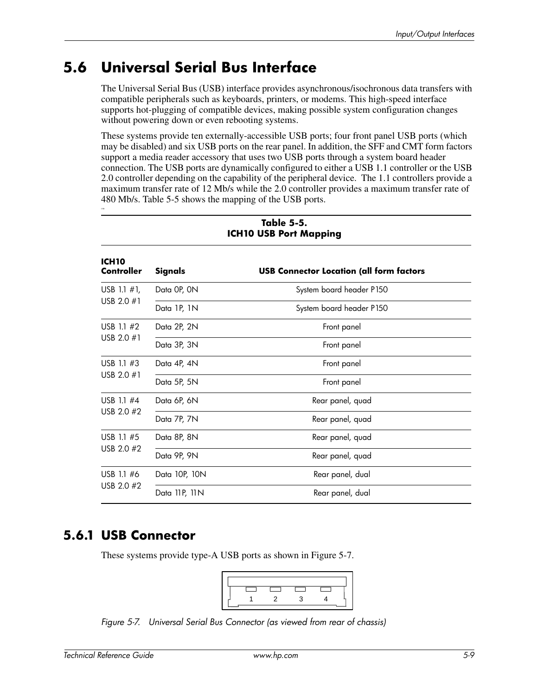# **5.6 Universal Serial Bus Interface**

The Universal Serial Bus (USB) interface provides asynchronous/isochronous data transfers with compatible peripherals such as keyboards, printers, or modems. This high-speed interface supports hot-plugging of compatible devices, making possible system configuration changes without powering down or even rebooting systems.

These systems provide ten externally-accessible USB ports; four front panel USB ports (which may be disabled) and six USB ports on the rear panel. In addition, the SFF and CMT form factors support a media reader accessory that uses two USB ports through a system board header connection. The USB ports are dynamically configured to either a USB 1.1 controller or the USB 2.0 controller depending on the capability of the peripheral device. The 1.1 controllers provide a maximum transfer rate of 12 Mb/s while the 2.0 controller provides a maximum transfer rate of 480 Mb/s. Table 5-5 shows the mapping of the USB ports.

| ICH <sub>10</sub><br>Controller | Signals       | <b>USB Connector Location (all form factors</b> |  |  |  |
|---------------------------------|---------------|-------------------------------------------------|--|--|--|
| USB 1.1 $#1$ ,                  | Data OP, ON   | System board header P150                        |  |  |  |
| USB 2.0 $#1$                    | Data 1P, 1N   | System board header P150                        |  |  |  |
| USB 1.1 $#2$                    | Data 2P, 2N   | Front panel                                     |  |  |  |
| USB 2.0 $#1$                    | Data 3P, 3N   | Front panel                                     |  |  |  |
| USB 1.1 #3                      | Data 4P, 4N   | Front panel                                     |  |  |  |
| USB 2.0 #1                      | Data 5P, 5N   | Front panel                                     |  |  |  |
| USB 1.1 #4                      | Data 6P, 6N   | Rear panel, quad                                |  |  |  |
| USB 2.0 #2                      | Data 7P, 7N   | Rear panel, quad                                |  |  |  |
| USB 1.1 $#5$                    | Data 8P, 8N   | Rear panel, quad                                |  |  |  |
| USB 2.0 #2                      | Data 9P, 9N   | Rear panel, quad                                |  |  |  |
| USB 1.1 #6<br>USB 2.0 #2        | Data 10P, 10N | Rear panel, dual                                |  |  |  |
|                                 | Data 11P, 11N | Rear panel, dual                                |  |  |  |

#### **Table 5-5. ICH10 USB Port Mapping**

### **5.6.1 USB Connector**

USB

These systems provide type-A USB ports as shown in Figure 5-7.



*Figure 5-7. Universal Serial Bus Connector (as viewed from rear of chassis)*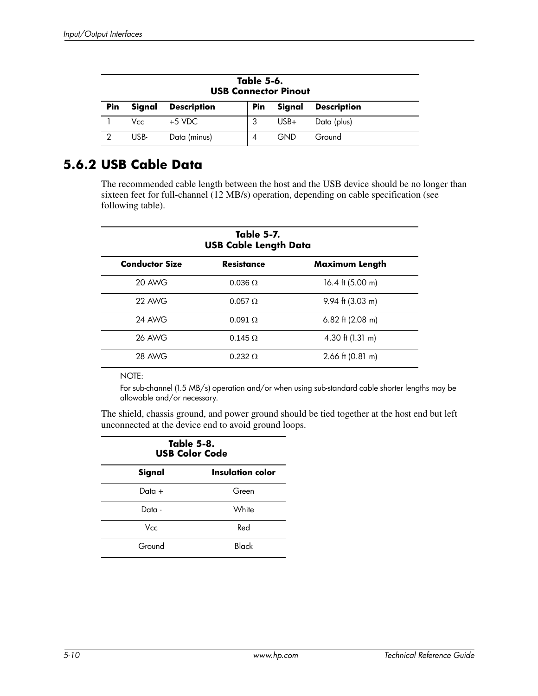| Table 5-6.<br><b>USB Connector Pinout</b> |        |                    |            |            |                    |
|-------------------------------------------|--------|--------------------|------------|------------|--------------------|
| Pin                                       | Signal | <b>Description</b> | <b>Pin</b> | Signal     | <b>Description</b> |
|                                           | Vcc.   | $+5$ VDC.          |            | $USB+$     | Data (plus)        |
|                                           | USB-   | Data (minus)       | 4          | <b>GND</b> | Ground             |

### **5.6.2 USB Cable Data**

The recommended cable length between the host and the USB device should be no longer than sixteen feet for full-channel (12 MB/s) operation, depending on cable specification (see following table).

| <b>Table 5-7.</b><br><b>USB Cable Length Data</b> |                   |                            |  |  |
|---------------------------------------------------|-------------------|----------------------------|--|--|
| <b>Conductor Size</b>                             | <b>Resistance</b> | <b>Maximum Length</b>      |  |  |
| 20 AWG                                            | $0.036 \Omega$    | 16.4 ft $(5.00 \text{ m})$ |  |  |
| 22 AWG                                            | $0.057 \Omega$    | $9.94$ ft (3.03 m)         |  |  |
| <b>24 AWG</b>                                     | $0.091 \Omega$    | 6.82 ft $(2.08 \text{ m})$ |  |  |
| <b>26 AWG</b>                                     | $0.145 \Omega$    | 4.30 ft $(1.31 \text{ m})$ |  |  |
| <b>28 AWG</b>                                     | $0.232 \Omega$    | $2.66$ ft (0.81 m)         |  |  |

NOTE:

For sub-channel (1.5 MB/s) operation and/or when using sub-standard cable shorter lengths may be allowable and/or necessary.

The shield, chassis ground, and power ground should be tied together at the host end but left unconnected at the device end to avoid ground loops.

| Table 5-8.<br><b>USB Color Code</b> |       |  |  |  |
|-------------------------------------|-------|--|--|--|
| Signal<br>Insulation color          |       |  |  |  |
| Data +                              | Green |  |  |  |
| Data -                              | White |  |  |  |
| Vcc.                                | Red   |  |  |  |
| Ground                              | Black |  |  |  |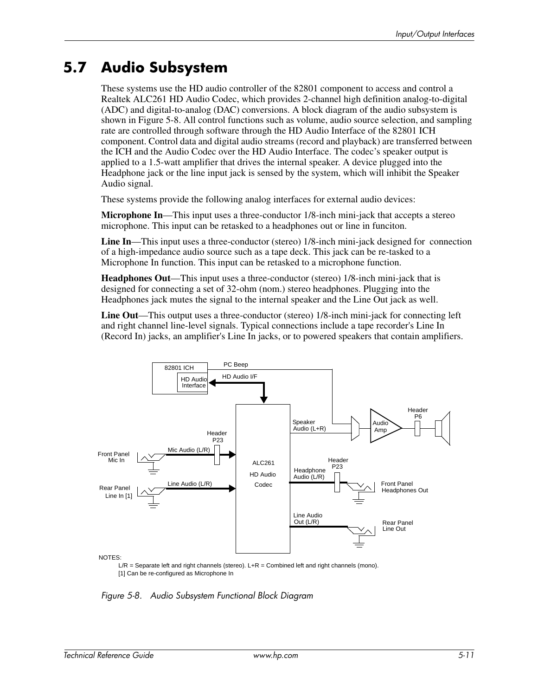# **5.7 Audio Subsystem**

These systems use the HD audio controller of the 82801 component to access and control a Realtek ALC261 HD Audio Codec, which provides 2-channel high definition analog-to-digital (ADC) and digital-to-analog (DAC) conversions. A block diagram of the audio subsystem is shown in Figure 5-8. All control functions such as volume, audio source selection, and sampling rate are controlled through software through the HD Audio Interface of the 82801 ICH component. Control data and digital audio streams (record and playback) are transferred between the ICH and the Audio Codec over the HD Audio Interface. The codec's speaker output is applied to a 1.5-watt amplifier that drives the internal speaker. A device plugged into the Headphone jack or the line input jack is sensed by the system, which will inhibit the Speaker Audio signal.

These systems provide the following analog interfaces for external audio devices:

**Microphone In**—This input uses a three-conductor 1/8-inch mini-jack that accepts a stereo microphone. This input can be retasked to a headphones out or line in funciton.

**Line In**—This input uses a three-conductor (stereo) 1/8-inch mini-jack designed for connection of a high-impedance audio source such as a tape deck. This jack can be re-tasked to a Microphone In function. This input can be retasked to a microphone function.

**Headphones Out**—This input uses a three-conductor (stereo) 1/8-inch mini-jack that is designed for connecting a set of 32-ohm (nom.) stereo headphones. Plugging into the Headphones jack mutes the signal to the internal speaker and the Line Out jack as well.

**Line Out**—This output uses a three-conductor (stereo) 1/8-inch mini-jack for connecting left and right channel line-level signals. Typical connections include a tape recorder's Line In (Record In) jacks, an amplifier's Line In jacks, or to powered speakers that contain amplifiers.



 $L/R =$  Separate left and right channels (stereo).  $L+R =$  Combined left and right channels (mono). [1] Can be re-configured as Microphone In

*Figure 5-8. Audio Subsystem Functional Block Diagram*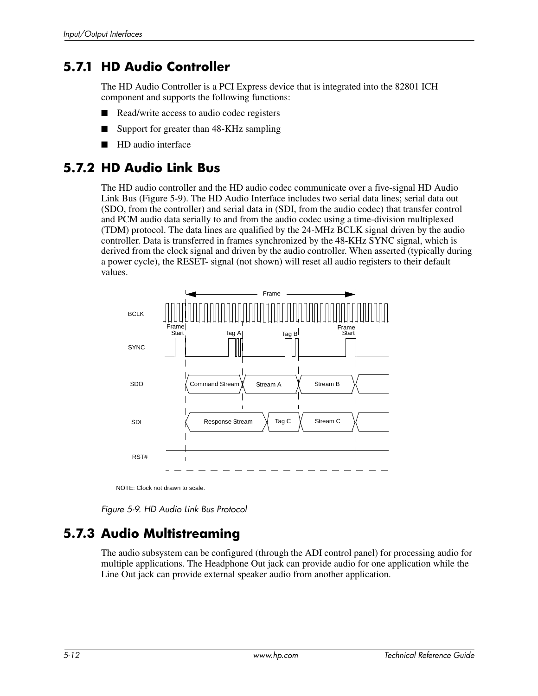### **5.7.1 HD Audio Controller**

The HD Audio Controller is a PCI Express device that is integrated into the 82801 ICH component and supports the following functions:

- Read/write access to audio codec registers
- Support for greater than 48-KHz sampling
- HD audio interface

#### **5.7.2 HD Audio Link Bus**

The HD audio controller and the HD audio codec communicate over a five-signal HD Audio Link Bus (Figure 5-9). The HD Audio Interface includes two serial data lines; serial data out (SDO, from the controller) and serial data in (SDI, from the audio codec) that transfer control and PCM audio data serially to and from the audio codec using a time-division multiplexed (TDM) protocol. The data lines are qualified by the 24-MHz BCLK signal driven by the audio controller. Data is transferred in frames synchronized by the 48-KHz SYNC signal, which is derived from the clock signal and driven by the audio controller. When asserted (typically during a power cycle), the RESET- signal (not shown) will reset all audio registers to their default values.



NOTE: Clock not drawn to scale.

*Figure 5-9. HD Audio Link Bus Protocol*

### **5.7.3 Audio Multistreaming**

The audio subsystem can be configured (through the ADI control panel) for processing audio for multiple applications. The Headphone Out jack can provide audio for one application while the Line Out jack can provide external speaker audio from another application.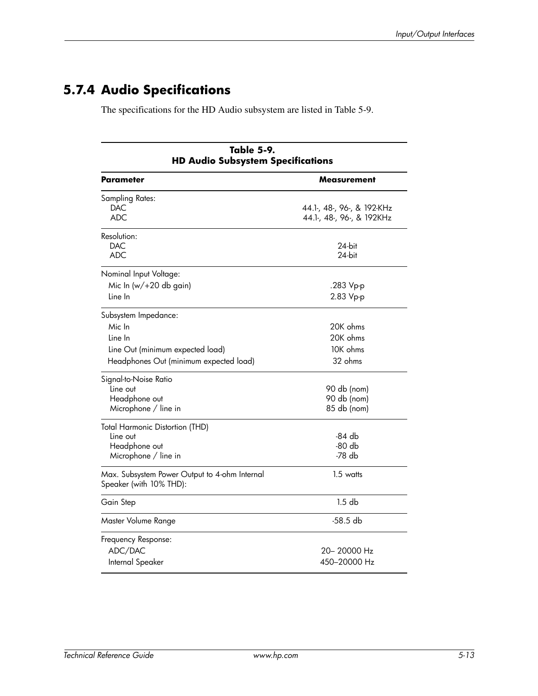# **5.7.4 Audio Specifications**

The specifications for the HD Audio subsystem are listed in Table 5-9.

| Table 5-9.<br><b>HD Audio Subsystem Specifications</b>                                                                  |                                                         |  |  |
|-------------------------------------------------------------------------------------------------------------------------|---------------------------------------------------------|--|--|
| Parameter                                                                                                               | Measurement                                             |  |  |
| Sampling Rates:<br>DAC<br>ADC                                                                                           | 44.1-, 48-, 96-, & 192-KHz<br>44.1-, 48-, 96-, & 192KHz |  |  |
| Resolution:<br><b>DAC</b><br><b>ADC</b>                                                                                 | 24-bit<br>24-bit                                        |  |  |
| Nominal Input Voltage:<br>Mic In $(w/+20$ db gain)<br>Line In                                                           | .283 Vp-p<br>2.83 Vp-p                                  |  |  |
| Subsystem Impedance:<br>Mic In<br>Line In<br>Line Out (minimum expected load)<br>Headphones Out (minimum expected load) | 20K ohms<br>20K ohms<br>10K ohms<br>32 ohms             |  |  |
| Signal-to-Noise Ratio<br>Line out<br>Headphone out<br>Microphone / line in                                              | 90 db (nom)<br>90 db (nom)<br>85 db (nom)               |  |  |
| <b>Total Harmonic Distortion (THD)</b><br>Line out<br>Headphone out<br>Microphone / line in                             | -84 db<br>-80 db<br>-78 db                              |  |  |
| Max. Subsystem Power Output to 4-ohm Internal<br>Speaker (with 10% THD):                                                | $1.5$ watts                                             |  |  |
| Gain Step                                                                                                               | $1.5$ db                                                |  |  |
| Master Volume Range                                                                                                     | -58.5 db                                                |  |  |
| Frequency Response:<br>ADC/DAC<br>Internal Speaker                                                                      | 20– 20000 Hz<br>450–20000 Hz                            |  |  |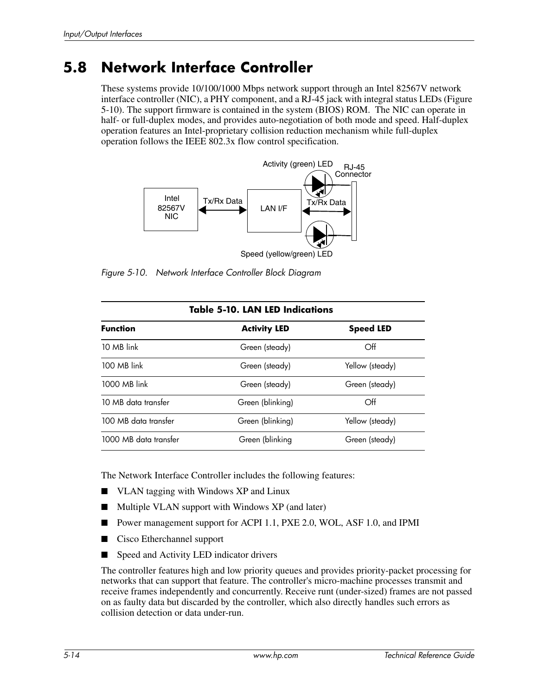# **5.8 Network Interface Controller**

These systems provide 10/100/1000 Mbps network support through an Intel 82567V network interface controller (NIC), a PHY component, and a RJ-45 jack with integral status LEDs (Figure 5-10). The support firmware is contained in the system (BIOS) ROM. The NIC can operate in half- or full-duplex modes, and provides auto-negotiation of both mode and speed. Half-duplex operation features an Intel-proprietary collision reduction mechanism while full-duplex operation follows the IEEE 802.3x flow control specification.



Speed (yellow/green) LED

*Figure 5-10. Network Interface Controller Block Diagram*

| <b>Table 5-10. LAN LED Indications</b> |                     |                  |  |  |
|----------------------------------------|---------------------|------------------|--|--|
| <b>Function</b>                        | <b>Activity LED</b> | <b>Speed LED</b> |  |  |
| 10 MB link                             | Green (steady)      | Off              |  |  |
| 100 MB link                            | Green (steady)      | Yellow (steady)  |  |  |
| 1000 MB link                           | Green (steady)      | Green (steady)   |  |  |
| 10 MB data transfer                    | Green (blinking)    | Off              |  |  |
| 100 MB data transfer                   | Green (blinking)    | Yellow (steady)  |  |  |
| 1000 MB data transfer                  | Green (blinking     | Green (steady)   |  |  |

The Network Interface Controller includes the following features:

- VLAN tagging with Windows XP and Linux
- Multiple VLAN support with Windows XP (and later)
- Power management support for ACPI 1.1, PXE 2.0, WOL, ASF 1.0, and IPMI
- Cisco Etherchannel support
- Speed and Activity LED indicator drivers

The controller features high and low priority queues and provides priority-packet processing for networks that can support that feature. The controller's micro-machine processes transmit and receive frames independently and concurrently. Receive runt (under-sized) frames are not passed on as faulty data but discarded by the controller, which also directly handles such errors as collision detection or data under-run.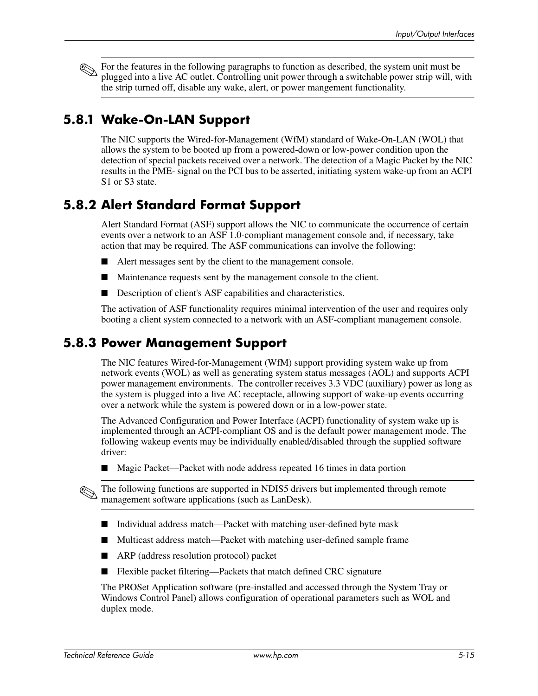For the features in the following paragraphs to function as described, the system unit must be plugged into a live AC outlet. Controlling unit power through a switchable power strip will, with the strip turned off, disable any wake, alert, or power mangement functionality.

### **5.8.1 Wake-On-LAN Support**

The NIC supports the Wired-for-Management (WfM) standard of Wake-On-LAN (WOL) that allows the system to be booted up from a powered-down or low-power condition upon the detection of special packets received over a network. The detection of a Magic Packet by the NIC results in the PME- signal on the PCI bus to be asserted, initiating system wake-up from an ACPI S<sub>1</sub> or S<sub>3</sub> state.

### **5.8.2 Alert Standard Format Support**

Alert Standard Format (ASF) support allows the NIC to communicate the occurrence of certain events over a network to an ASF 1.0-compliant management console and, if necessary, take action that may be required. The ASF communications can involve the following:

- Alert messages sent by the client to the management console.
- Maintenance requests sent by the management console to the client.
- Description of client's ASF capabilities and characteristics.

The activation of ASF functionality requires minimal intervention of the user and requires only booting a client system connected to a network with an ASF-compliant management console.

#### **5.8.3 Power Management Support**

The NIC features Wired-for-Management (WfM) support providing system wake up from network events (WOL) as well as generating system status messages (AOL) and supports ACPI power management environments. The controller receives 3.3 VDC (auxiliary) power as long as the system is plugged into a live AC receptacle, allowing support of wake-up events occurring over a network while the system is powered down or in a low-power state.

The Advanced Configuration and Power Interface (ACPI) functionality of system wake up is implemented through an ACPI-compliant OS and is the default power management mode. The following wakeup events may be individually enabled/disabled through the supplied software driver:

■ Magic Packet—Packet with node address repeated 16 times in data portion

The following functions are supported in NDIS5 drivers but implemented through remote management software applications (such as LanDesk).

- Individual address match—Packet with matching user-defined byte mask
- Multicast address match—Packet with matching user-defined sample frame
- ARP (address resolution protocol) packet
- Flexible packet filtering—Packets that match defined CRC signature

The PROSet Application software (pre-installed and accessed through the System Tray or Windows Control Panel) allows configuration of operational parameters such as WOL and duplex mode.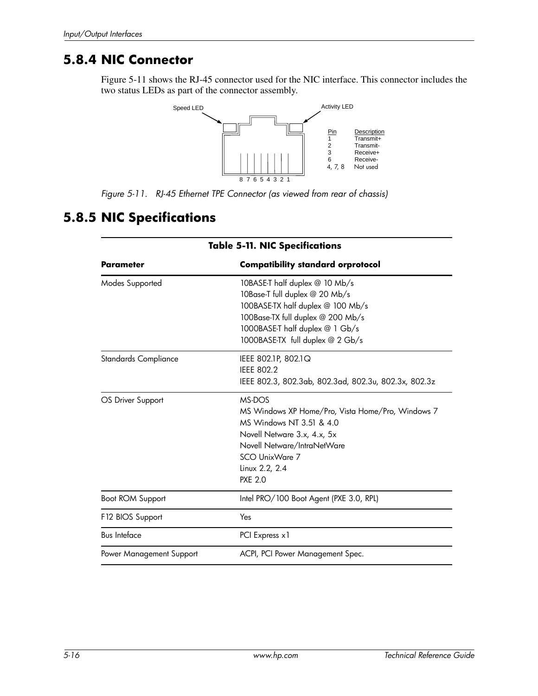#### **5.8.4 NIC Connector**

Figure 5-11 shows the RJ-45 connector used for the NIC interface. This connector includes the two status LEDs as part of the connector assembly.



*Figure 5-11. RJ-45 Ethernet TPE Connector (as viewed from rear of chassis)*

## **5.8.5 NIC Specifications**

| Taple 3-11, MIC Specifications |                                                                                                                                                                                                                   |  |  |  |
|--------------------------------|-------------------------------------------------------------------------------------------------------------------------------------------------------------------------------------------------------------------|--|--|--|
| <b>Parameter</b>               | <b>Compatibility standard orprotocol</b>                                                                                                                                                                          |  |  |  |
| Modes Supported                | 10BASE-T half duplex @ 10 Mb/s<br>10Base-T full duplex @ 20 Mb/s<br>100BASE-TX half duplex @ 100 Mb/s<br>100Base-TX full duplex @ 200 Mb/s<br>1000BASE-T half duplex @ 1 Gb/s<br>1000BASE-TX full duplex @ 2 Gb/s |  |  |  |
| Standards Compliance           | IEEE 802.1P, 802.1Q<br><b>IEEE 802.2</b><br>IEEE 802.3, 802.3ab, 802.3ad, 802.3u, 802.3x, 802.3z                                                                                                                  |  |  |  |
| OS Driver Support              | MS-DOS<br>MS Windows XP Home/Pro, Vista Home/Pro, Windows 7<br>MS Windows NT 3.51 & 4.0<br>Novell Netware 3.x, 4.x, 5x<br>Novell Netware/IntraNetWare<br>SCO UnixWare 7<br>Linux 2.2, 2.4<br><b>PXE 2.0</b>       |  |  |  |
| Boot ROM Support               | Intel PRO/100 Boot Agent (PXE 3.0, RPL)                                                                                                                                                                           |  |  |  |
| F12 BIOS Support               | Yes                                                                                                                                                                                                               |  |  |  |
| <b>Bus Inteface</b>            | PCI Express x1                                                                                                                                                                                                    |  |  |  |
| Power Management Support       | ACPI, PCI Power Management Spec.                                                                                                                                                                                  |  |  |  |

**Table 5-11. NIC Specifications**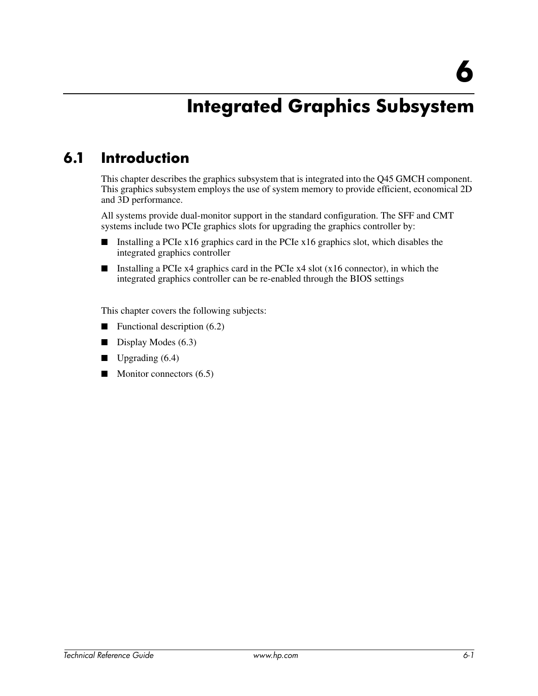# **Integrated Graphics Subsystem**

# **6.1 Introduction**

This chapter describes the graphics subsystem that is integrated into the Q45 GMCH component. This graphics subsystem employs the use of system memory to provide efficient, economical 2D and 3D performance.

All systems provide dual-monitor support in the standard configuration. The SFF and CMT systems include two PCIe graphics slots for upgrading the graphics controller by:

- Installing a PCIe x16 graphics card in the PCIe x16 graphics slot, which disables the integrated graphics controller
- **■** Installing a PCIe  $x4$  graphics card in the PCIe  $x4$  slot ( $x16$  connector), in which the integrated graphics controller can be re-enabled through the BIOS settings

This chapter covers the following subjects:

- $\blacksquare$  Functional description (6.2)
- Display Modes (6.3)
- $\Box$  Upgrading (6.4)
- Monitor connectors (6.5)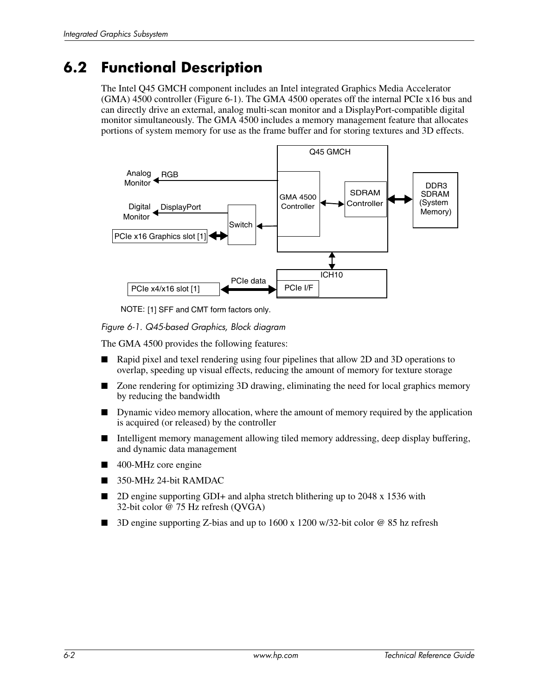# **6.2 Functional Description**

The Intel Q45 GMCH component includes an Intel integrated Graphics Media Accelerator (GMA) 4500 controller (Figure 6-1). The GMA 4500 operates off the internal PCIe x16 bus and can directly drive an external, analog multi-scan monitor and a DisplayPort-compatible digital monitor simultaneously. The GMA 4500 includes a memory management feature that allocates portions of system memory for use as the frame buffer and for storing textures and 3D effects.



NOTE: [1] SFF and CMT form factors only.

*Figure 6-1. Q45-based Graphics, Block diagram*

The GMA 4500 provides the following features:

- Rapid pixel and texel rendering using four pipelines that allow 2D and 3D operations to overlap, speeding up visual effects, reducing the amount of memory for texture storage
- Zone rendering for optimizing 3D drawing, eliminating the need for local graphics memory by reducing the bandwidth
- Dynamic video memory allocation, where the amount of memory required by the application is acquired (or released) by the controller
- Intelligent memory management allowing tiled memory addressing, deep display buffering, and dynamic data management
- 400-MHz core engine
- 350-MHz 24-bit RAMDAC
- 2D engine supporting GDI+ and alpha stretch blithering up to 2048 x 1536 with 32-bit color @ 75 Hz refresh (QVGA)
- 3D engine supporting Z-bias and up to 1600 x 1200 w/32-bit color @ 85 hz refresh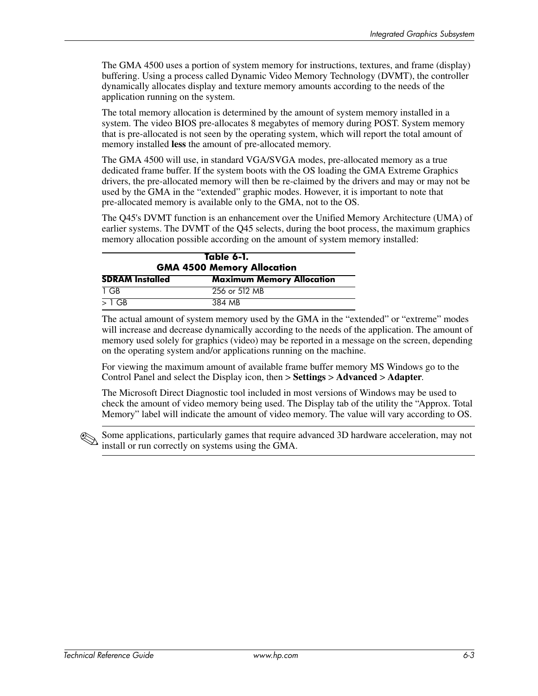The GMA 4500 uses a portion of system memory for instructions, textures, and frame (display) buffering. Using a process called Dynamic Video Memory Technology (DVMT), the controller dynamically allocates display and texture memory amounts according to the needs of the application running on the system.

The total memory allocation is determined by the amount of system memory installed in a system. The video BIOS pre-allocates 8 megabytes of memory during POST. System memory that is pre-allocated is not seen by the operating system, which will report the total amount of memory installed **less** the amount of pre-allocated memory.

The GMA 4500 will use, in standard VGA/SVGA modes, pre-allocated memory as a true dedicated frame buffer. If the system boots with the OS loading the GMA Extreme Graphics drivers, the pre-allocated memory will then be re-claimed by the drivers and may or may not be used by the GMA in the "extended" graphic modes. However, it is important to note that pre-allocated memory is available only to the GMA, not to the OS.

The Q45's DVMT function is an enhancement over the Unified Memory Architecture (UMA) of earlier systems. The DVMT of the Q45 selects, during the boot process, the maximum graphics memory allocation possible according on the amount of system memory installed:

| Table 6-1.<br><b>GMA 4500 Memory Allocation</b>            |               |  |  |
|------------------------------------------------------------|---------------|--|--|
| <b>SDRAM Installed</b><br><b>Maximum Memory Allocation</b> |               |  |  |
| TGR                                                        | 256 or 512 MB |  |  |
| $>1$ GB                                                    | 384 MB        |  |  |

The actual amount of system memory used by the GMA in the "extended" or "extreme" modes will increase and decrease dynamically according to the needs of the application. The amount of memory used solely for graphics (video) may be reported in a message on the screen, depending on the operating system and/or applications running on the machine.

For viewing the maximum amount of available frame buffer memory MS Windows go to the Control Panel and select the Display icon, then > **Settings** > **Advanced** > **Adapter**.

The Microsoft Direct Diagnostic tool included in most versions of Windows may be used to check the amount of video memory being used. The Display tab of the utility the "Approx. Total Memory" label will indicate the amount of video memory. The value will vary according to OS.

Some applications, particularly games that require advanced 3D hardware acceleration, may not install or run correctly on systems using the GMA.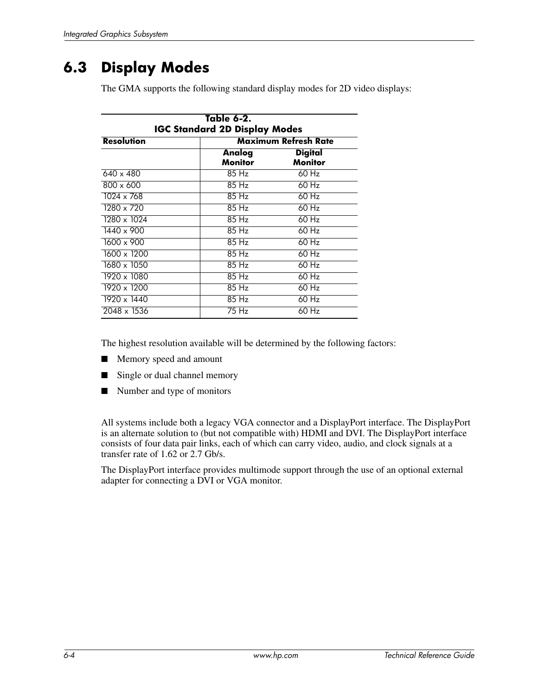# **6.3 Display Modes**

The GMA supports the following standard display modes for 2D video displays:

| Table 6-2.<br><b>IGC Standard 2D Display Modes</b> |                          |                                  |  |  |
|----------------------------------------------------|--------------------------|----------------------------------|--|--|
| <b>Resolution</b>                                  | Maximum Refresh Rate     |                                  |  |  |
|                                                    | Analog<br><b>Monitor</b> | <b>Digital</b><br><b>Monitor</b> |  |  |
| $640 \times 480$                                   | 85 Hz                    | 60 Hz                            |  |  |
| $800 \times 600$                                   | 85 Hz                    | 60 Hz                            |  |  |
| $\frac{1024 \times 768}{1024 \times 768}$          | 85 Hz                    | 60 Hz                            |  |  |
| 1280 x 720                                         | 85 Hz                    | 60 Hz                            |  |  |
| 1280 x 1024                                        | 85 Hz                    | 60 Hz                            |  |  |
| 1440 x 900                                         | 85 Hz                    | 60 Hz                            |  |  |
| 1600 x 900                                         | 85 Hz                    | 60 Hz                            |  |  |
| 1600 x 1200                                        | 85 Hz                    | 60 Hz                            |  |  |
| 1680 x 1050                                        | 85 Hz                    | $60$ Hz                          |  |  |
| 1920 x 1080                                        | 85 Hz                    | $60$ Hz                          |  |  |
| $1920 \times 1200$                                 | 85 Hz                    | 60 Hz                            |  |  |
| 1920 x 1440                                        | 85 Hz                    | 60 Hz                            |  |  |
| 2048 x 1536                                        | 75 Hz                    | 60 Hz                            |  |  |

The highest resolution available will be determined by the following factors:

- Memory speed and amount
- Single or dual channel memory
- Number and type of monitors

All systems include both a legacy VGA connector and a DisplayPort interface. The DisplayPort is an alternate solution to (but not compatible with) HDMI and DVI. The DisplayPort interface consists of four data pair links, each of which can carry video, audio, and clock signals at a transfer rate of 1.62 or 2.7 Gb/s.

The DisplayPort interface provides multimode support through the use of an optional external adapter for connecting a DVI or VGA monitor.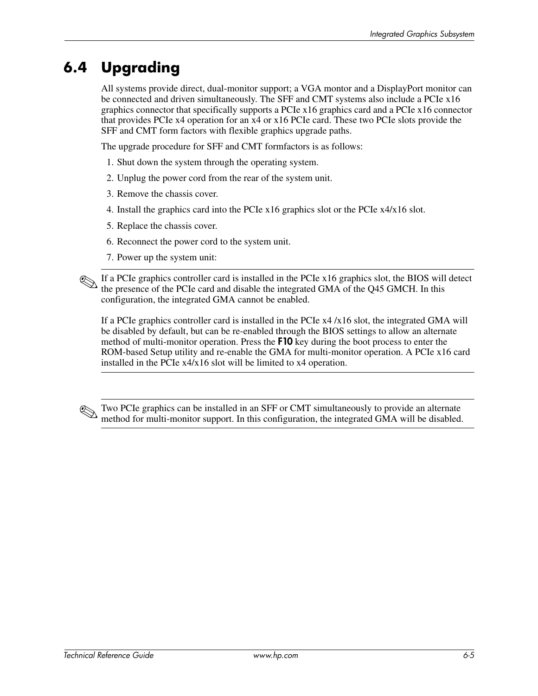# **6.4 Upgrading**

All systems provide direct, dual-monitor support; a VGA montor and a DisplayPort monitor can be connected and driven simultaneously. The SFF and CMT systems also include a PCIe x16 graphics connector that specifically supports a PCIe x16 graphics card and a PCIe x16 connector that provides PCIe x4 operation for an x4 or x16 PCIe card. These two PCIe slots provide the SFF and CMT form factors with flexible graphics upgrade paths.

The upgrade procedure for SFF and CMT formfactors is as follows:

- 1. Shut down the system through the operating system.
- 2. Unplug the power cord from the rear of the system unit.
- 3. Remove the chassis cover.
- 4. Install the graphics card into the PCIe x16 graphics slot or the PCIe x4/x16 slot.
- 5. Replace the chassis cover.
- 6. Reconnect the power cord to the system unit.
- 7. Power up the system unit:

If a PCIe graphics controller card is installed in the PCIe x16 graphics slot, the BIOS will detect the presence of the PCIe card and disable the integrated GMA of the Q45 GMCH. In this configuration, the integrated GMA cannot be enabled.

If a PCIe graphics controller card is installed in the PCIe x4 /x16 slot, the integrated GMA will be disabled by default, but can be re-enabled through the BIOS settings to allow an alternate method of multi-monitor operation. Press the F10 key during the boot process to enter the ROM-based Setup utility and re-enable the GMA for multi-monitor operation. A PCIe x16 card installed in the PCIe x4/x16 slot will be limited to x4 operation.

Two PCIe graphics can be installed in an SFF or CMT simultaneously to provide an alternate method for multi-monitor support. In this configuration, the integrated GMA will be disabled.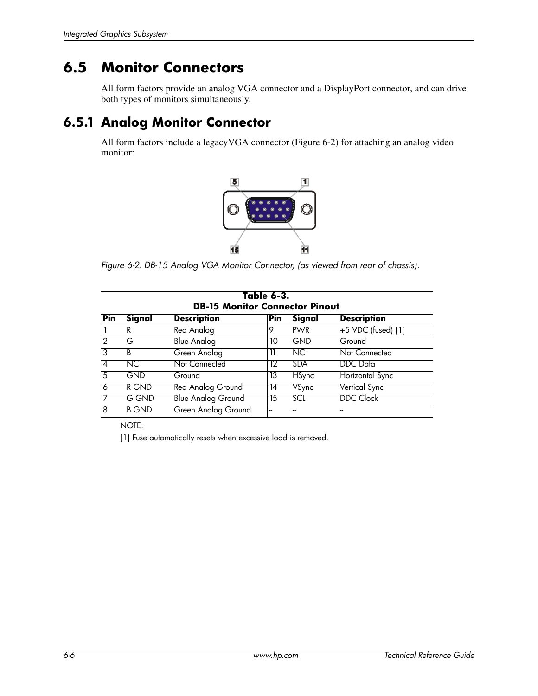# **6.5 Monitor Connectors**

All form factors provide an analog VGA connector and a DisplayPort connector, and can drive both types of monitors simultaneously.

### **6.5.1 Analog Monitor Connector**

All form factors include a legacyVGA connector (Figure 6-2) for attaching an analog video monitor:



*Figure 6-2. DB-15 Analog VGA Monitor Connector, (as viewed from rear of chassis).*

| Table 6-3.<br><b>DB-15 Monitor Connector Pinout</b> |              |                           |     |               |                    |
|-----------------------------------------------------|--------------|---------------------------|-----|---------------|--------------------|
| <b>Pin</b>                                          | Signal       | <b>Description</b>        | Pin | Signal        | <b>Description</b> |
|                                                     | R            | Red Analog                | 9   | <b>PWR</b>    | +5 VDC (fused) [1] |
| $\mathcal{P}$                                       | G            | <b>Blue Analog</b>        | 10  | <b>GND</b>    | Ground             |
| $\overline{3}$                                      | B            | Green Analog              | 11  | NC.           | Not Connected      |
| $\overline{4}$                                      | NC.          | Not Connected             | 12  | <b>SDA</b>    | <b>DDC</b> Data    |
| $\overline{5}$                                      | <b>GND</b>   | Ground                    | 13  | <b>H</b> Sync | Horizontal Sync    |
| 6                                                   | R GND        | <b>Red Analog Ground</b>  | 14  | VSync         | Vertical Sync      |
| 7                                                   | G GND        | <b>Blue Analog Ground</b> | 15  | SCL           | DDC Clock          |
| $\overline{8}$                                      | <b>B GND</b> | Green Analog Ground       | --  |               |                    |

NOTE:

[1] Fuse automatically resets when excessive load is removed.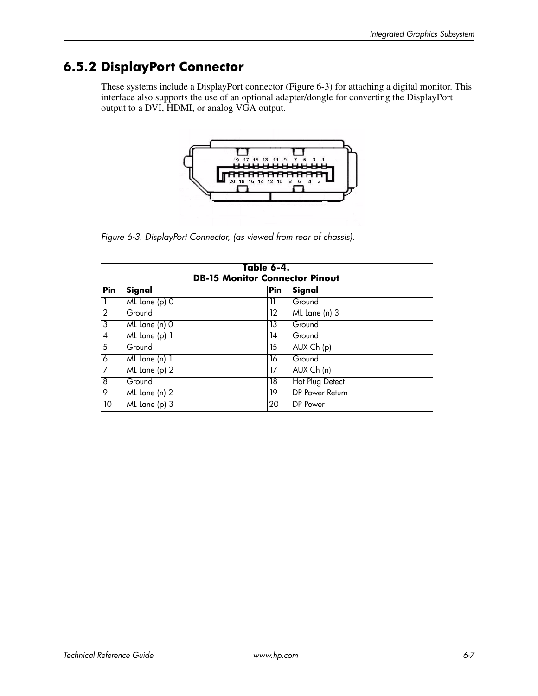### **6.5.2 DisplayPort Connector**

These systems include a DisplayPort connector (Figure 6-3) for attaching a digital monitor. This interface also supports the use of an optional adapter/dongle for converting the DisplayPort output to a DVI, HDMI, or analog VGA output.



*Figure 6-3. DisplayPort Connector, (as viewed from rear of chassis).*

| Table 6-4.<br><b>DB-15 Monitor Connector Pinout</b> |               |     |                 |  |  |  |
|-----------------------------------------------------|---------------|-----|-----------------|--|--|--|
| Pin                                                 | Signal        | Pin | Signal          |  |  |  |
| $\overline{1}$                                      | ML Lane (p) 0 | 11  | Ground          |  |  |  |
| $\overline{2}$                                      | Ground        | 12  | ML Lane (n) 3   |  |  |  |
| $\overline{3}$                                      | ML Lane (n) 0 | 13  | Ground          |  |  |  |
| $\overline{4}$                                      | ML Lane (p) 1 | 14  | Ground          |  |  |  |
| $\overline{5}$                                      | Ground        | 15  | AUX Ch(p)       |  |  |  |
| $\overline{6}$                                      | ML Lane (n) 1 | 16  | Ground          |  |  |  |
| $\overline{7}$                                      | ML Lane (p) 2 | 17  | AUX Ch (n)      |  |  |  |
| $\overline{8}$                                      | Ground        | 18  | Hot Plug Detect |  |  |  |
| $\overline{9}$                                      | ML Lane (n) 2 | 19  | DP Power Return |  |  |  |
| 10                                                  | ML Lane (p) 3 | 20  | DP Power        |  |  |  |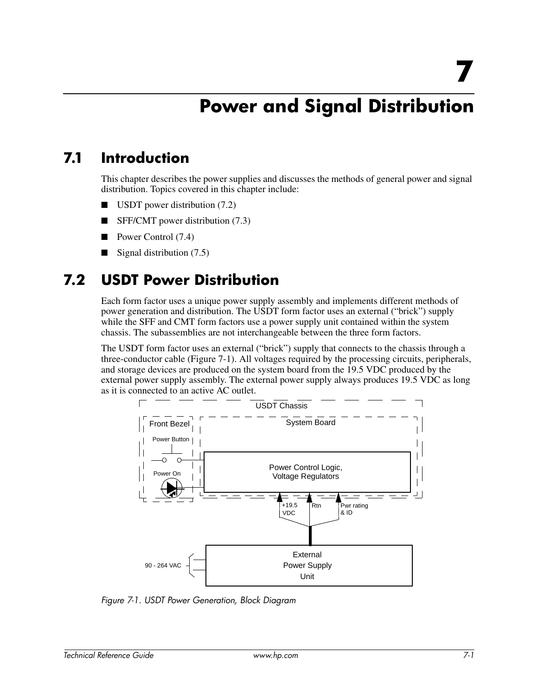# **Power and Signal Distribution**

### **7.1 Introduction**

This chapter describes the power supplies and discusses the methods of general power and signal distribution. Topics covered in this chapter include:

- USDT power distribution (7.2)
- SFF/CMT power distribution (7.3)
- Power Control  $(7.4)$
- Signal distribution  $(7.5)$

### **7.2 USDT Power Distribution**

Each form factor uses a unique power supply assembly and implements different methods of power generation and distribution. The USDT form factor uses an external ("brick") supply while the SFF and CMT form factors use a power supply unit contained within the system chassis. The subassemblies are not interchangeable between the three form factors.

The USDT form factor uses an external ("brick") supply that connects to the chassis through a three-conductor cable (Figure 7-1). All voltages required by the processing circuits, peripherals, and storage devices are produced on the system board from the 19.5 VDC produced by the external power supply assembly. The external power supply always produces 19.5 VDC as long as it is connected to an active AC outlet.



*Figure 7-1. USDT Power Generation, Block Diagram*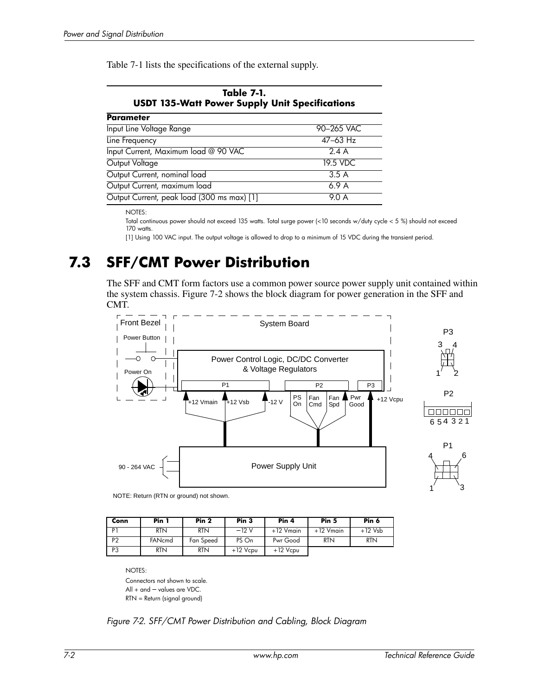Table 7-1 lists the specifications of the external supply.

| <b>USDI 133-WAIT POWER SUPPLY UNIT SPECIFICATIONS</b> |              |  |  |  |  |  |
|-------------------------------------------------------|--------------|--|--|--|--|--|
| <b>Parameter</b>                                      |              |  |  |  |  |  |
| <b>Input Line Voltage Range</b>                       | 90-265 VAC   |  |  |  |  |  |
| Line Frequency                                        | $47 - 63$ Hz |  |  |  |  |  |
| Input Current, Maximum load @ 90 VAC                  | 2.4A         |  |  |  |  |  |
| Output Voltage                                        | 19.5 VDC     |  |  |  |  |  |
| Output Current, nominal load                          | 3.5A         |  |  |  |  |  |
| Output Current, maximum load                          | 6.9A         |  |  |  |  |  |
| Output Current, peak load (300 ms max) [1]            | 9.0 A        |  |  |  |  |  |

**Table 7-1. USDT 135-Watt Power Supply Unit Specifications**

NOTES:

Total continuous power should not exceed 135 watts. Total surge power (<10 seconds w/duty cycle < 5 %) should not exceed 170 watts.

[1] Using 100 VAC input. The output voltage is allowed to drop to a minimum of 15 VDC during the transient period.

## **7.3 SFF/CMT Power Distribution**

The SFF and CMT form factors use a common power source power supply unit contained within the system chassis. Figure 7-2 shows the block diagram for power generation in the SFF and CMT.



NOTE: Return (RTN or ground) not shown.

| Conn           | Pin 1      | Pin <sub>2</sub> | Pin <sub>3</sub> | Pin 4        | Pin <sub>5</sub> | Pin 6      |
|----------------|------------|------------------|------------------|--------------|------------------|------------|
| Þ.             | <b>RTN</b> | <b>RTN</b>       | $-12V$           | $+12$ Vmain  | $+12$ Vmain      | +12 Vsb    |
| P <sub>2</sub> | FANcmd     | Fan Speed        | PS On            | Pwr Good     | <b>RTN</b>       | <b>RTN</b> |
| P <sub>3</sub> | <b>RTN</b> | <b>RTN</b>       | $+12$ $Vcpu$     | $+12$ $Vcpu$ |                  |            |

NOTES:

Connectors not shown to scale. All + and – values are VDC. RTN = Return (signal ground)

*Figure 7-2. SFF/CMT Power Distribution and Cabling, Block Diagram*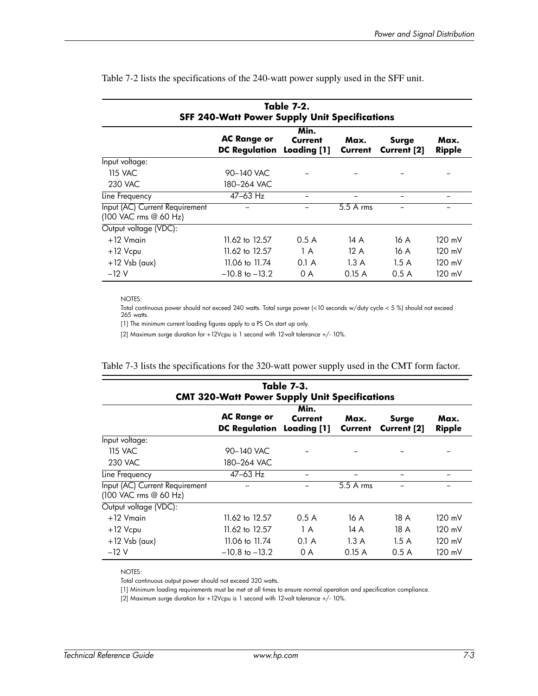| Table 7-2.<br><b>SFF 240-Watt Power Supply Unit Specifications</b> |                                                 |                 |                 |                             |                       |  |  |
|--------------------------------------------------------------------|-------------------------------------------------|-----------------|-----------------|-----------------------------|-----------------------|--|--|
|                                                                    | <b>AC Range or</b><br>DC Regulation Loading [1] | Min.<br>Current | Max.<br>Current | Surge<br><b>Current [2]</b> | Max.<br><b>Ripple</b> |  |  |
| Input voltage:                                                     |                                                 |                 |                 |                             |                       |  |  |
| 115 VAC                                                            | 90-140 VAC                                      |                 |                 |                             |                       |  |  |
| 230 VAC                                                            | 180-264 VAC                                     |                 |                 |                             |                       |  |  |
| Line Frequency                                                     | 47-63 Hz                                        |                 |                 |                             |                       |  |  |
| Input (AC) Current Requirement<br>(100 VAC rms @ 60 Hz)            |                                                 |                 | 5.5 A rms       |                             |                       |  |  |
| Output voltage (VDC):                                              |                                                 |                 |                 |                             |                       |  |  |
| $+12$ Vmain                                                        | 11.62 to 12.57                                  | 0.5A            | 14 A            | 16 A                        | 120 mV                |  |  |
| +12 Vcpu                                                           | 11.62 to 12.57                                  | 1 A             | 12A             | 16 A                        | $120 \text{ mV}$      |  |  |
| $+12$ Vsb (aux)                                                    | 11.06 to 11.74                                  | $0.1$ A         | 1.3A            | 1.5A                        | 120 mV                |  |  |
| $-12V$                                                             | $-10.8$ to $-13.2$                              | 0 A             | 0.15A           | 0.5A                        | 120 mV                |  |  |

Table 7-2 lists the specifications of the 240-watt power supply used in the SFF unit.

NOTES:

Total continuous power should not exceed 240 watts. Total surge power (<10 seconds w/duty cycle < 5 %) should not exceed 265 watts.

[1] The minimum current loading figures apply to a PS On start up only.

[2] Maximum surge duration for +12Vcpu is 1 second with 12-volt tolerance +/- 10%.

|  |  | Table 7-3 lists the specifications for the 320-watt power supply used in the CMT form factor. |  |  |  |  |  |  |  |
|--|--|-----------------------------------------------------------------------------------------------|--|--|--|--|--|--|--|
|  |  |                                                                                               |  |  |  |  |  |  |  |

| <b>Table 7-3.</b><br><b>CMT 320-Watt Power Supply Unit Specifications</b> |                                                        |                 |                 |                             |                  |  |  |
|---------------------------------------------------------------------------|--------------------------------------------------------|-----------------|-----------------|-----------------------------|------------------|--|--|
|                                                                           | <b>AC Range or</b><br><b>DC Regulation Loading [1]</b> | Min.<br>Current | Max.<br>Current | Surge<br><b>Current [2]</b> | Max.<br>Ripple   |  |  |
| Input voltage:                                                            |                                                        |                 |                 |                             |                  |  |  |
| 115 VAC                                                                   | 90-140 VAC                                             |                 |                 |                             |                  |  |  |
| 230 VAC                                                                   | 180-264 VAC                                            |                 |                 |                             |                  |  |  |
| Line Frequency                                                            | $47 - 63$ Hz                                           | -               | --              | --                          |                  |  |  |
| Input (AC) Current Requirement<br>(100 VAC rms @ 60 Hz)                   |                                                        |                 | 5.5 A rms       |                             |                  |  |  |
| Output voltage (VDC):                                                     |                                                        |                 |                 |                             |                  |  |  |
| $+12$ Vmain                                                               | 11.62 to 12.57                                         | 0.5A            | 16 A            | 18 A                        | $120 \text{ mV}$ |  |  |
| $+12$ $Vcpu$                                                              | 11.62 to 12.57                                         | 1 A             | 14 A            | 18 A                        | 120 mV           |  |  |
| $+12$ Vsb (aux)                                                           | 11.06 to 11.74                                         | $0.1$ A         | 1.3A            | 1.5A                        | $120 \text{ mV}$ |  |  |
| $-12V$                                                                    | $-10.8$ to $-13.2$                                     | 0 A             | 0.15A           | 0.5A                        | 120 mV           |  |  |

NOTES:

Total continuous output power should not exceed 320 watts.

[1] Minimum loading requirements must be met at all times to ensure normal operation and specification compliance.

[2] Maximum surge duration for +12Vcpu is 1 second with 12-volt tolerance +/- 10%.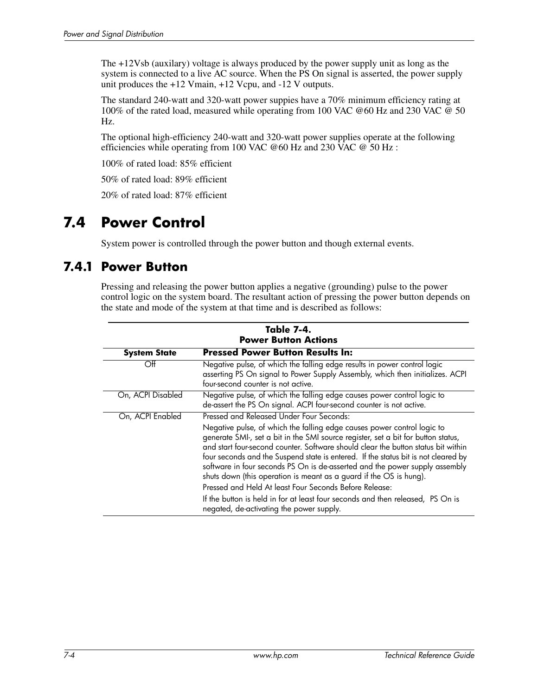The +12Vsb (auxilary) voltage is always produced by the power supply unit as long as the system is connected to a live AC source. When the PS On signal is asserted, the power supply unit produces the +12 Vmain, +12 Vcpu, and -12 V outputs.

The standard 240-watt and 320-watt power suppies have a 70% minimum efficiency rating at 100% of the rated load, measured while operating from 100 VAC @60 Hz and 230 VAC @ 50 Hz.

The optional high-efficiency 240-watt and 320-watt power supplies operate at the following efficiencies while operating from 100 VAC  $@60$  Hz and 230 VAC  $@50$  Hz:

100% of rated load: 85% efficient

50% of rated load: 89% efficient

20% of rated load: 87% efficient

## **7.4 Power Control**

System power is controlled through the power button and though external events.

### **7.4.1 Power Button**

Pressing and releasing the power button applies a negative (grounding) pulse to the power control logic on the system board. The resultant action of pressing the power button depends on the state and mode of the system at that time and is described as follows:

| Table 7-4.<br><b>Power Button Actions</b> |                                                                                                                                                                                                                                                                                                                                                                                                                                                                                              |  |  |  |  |
|-------------------------------------------|----------------------------------------------------------------------------------------------------------------------------------------------------------------------------------------------------------------------------------------------------------------------------------------------------------------------------------------------------------------------------------------------------------------------------------------------------------------------------------------------|--|--|--|--|
| <b>System State</b>                       | <b>Pressed Power Button Results In:</b>                                                                                                                                                                                                                                                                                                                                                                                                                                                      |  |  |  |  |
| Off                                       | Negative pulse, of which the falling edge results in power control logic<br>asserting PS On signal to Power Supply Assembly, which then initializes. ACPI<br>four-second counter is not active.                                                                                                                                                                                                                                                                                              |  |  |  |  |
| On, ACPI Disabled                         | Negative pulse, of which the falling edge causes power control logic to<br>de-assert the PS On signal. ACPI four-second counter is not active.                                                                                                                                                                                                                                                                                                                                               |  |  |  |  |
| On, ACPI Enabled                          | Pressed and Released Under Four Seconds:                                                                                                                                                                                                                                                                                                                                                                                                                                                     |  |  |  |  |
|                                           | Negative pulse, of which the falling edge causes power control logic to<br>generate SMI-, set a bit in the SMI source register, set a bit for button status,<br>and start four-second counter. Software should clear the button status bit within<br>four seconds and the Suspend state is entered. If the status bit is not cleared by<br>software in four seconds PS On is de-asserted and the power supply assembly<br>shuts down (this operation is meant as a guard if the OS is hung). |  |  |  |  |
|                                           | Pressed and Held At least Four Seconds Before Release:<br>If the button is held in for at least four seconds and then released, PS On is<br>negated, de-activating the power supply.                                                                                                                                                                                                                                                                                                         |  |  |  |  |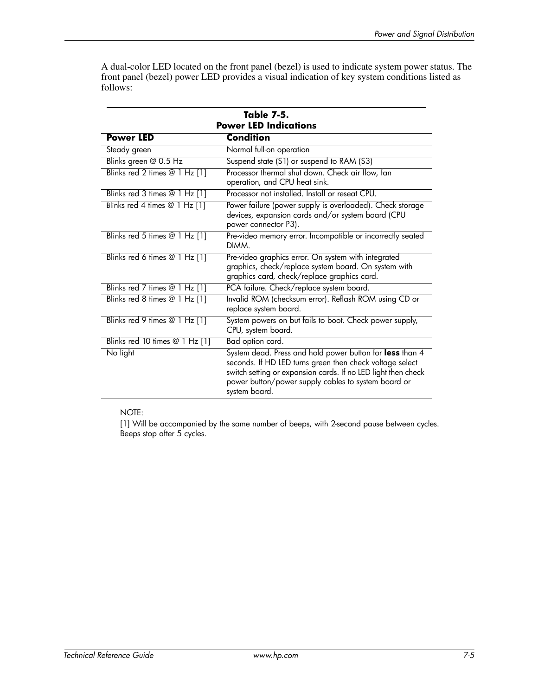A dual-color LED located on the front panel (bezel) is used to indicate system power status. The front panel (bezel) power LED provides a visual indication of key system conditions listed as follows:

|                                | Table 7-5.<br><b>Power LED Indications</b>                                                                                                                                                                                                                    |
|--------------------------------|---------------------------------------------------------------------------------------------------------------------------------------------------------------------------------------------------------------------------------------------------------------|
| <b>Power LED</b>               | <b>Condition</b>                                                                                                                                                                                                                                              |
| Steady green                   | Normal full-on operation                                                                                                                                                                                                                                      |
| Blinks green @ 0.5 Hz          | Suspend state (S1) or suspend to RAM (S3)                                                                                                                                                                                                                     |
| Blinks red 2 times @ 1 Hz [1]  | Processor thermal shut down. Check air flow, fan<br>operation, and CPU heat sink.                                                                                                                                                                             |
| Blinks red 3 times @ 1 Hz [1]  | Processor not installed. Install or reseat CPU.                                                                                                                                                                                                               |
| Blinks red 4 times @ 1 Hz [1]  | Power failure (power supply is overloaded). Check storage<br>devices, expansion cards and/or system board (CPU<br>power connector P3).                                                                                                                        |
| Blinks red 5 times @ 1 Hz [1]  | Pre-video memory error. Incompatible or incorrectly seated<br>DIMM.                                                                                                                                                                                           |
| Blinks red 6 times @ 1 Hz [1]  | Pre-video graphics error. On system with integrated<br>graphics, check/replace system board. On system with<br>graphics card, check/replace graphics card.                                                                                                    |
| Blinks red 7 times @ 1 Hz [1]  | PCA failure. Check/replace system board.                                                                                                                                                                                                                      |
| Blinks red 8 times @ 1 Hz [1]  | Invalid ROM (checksum error). Reflash ROM using CD or<br>replace system board.                                                                                                                                                                                |
| Blinks red 9 times @ 1 Hz [1]  | System powers on but fails to boot. Check power supply,<br>CPU, system board.                                                                                                                                                                                 |
| Blinks red 10 times @ 1 Hz [1] | Bad option card.                                                                                                                                                                                                                                              |
| No light                       | System dead. Press and hold power button for less than 4<br>seconds. If HD LED turns green then check voltage select<br>switch setting or expansion cards. If no LED light then check<br>power button/power supply cables to system board or<br>system board. |

### NOTE:

[1] Will be accompanied by the same number of beeps, with 2-second pause between cycles. Beeps stop after 5 cycles.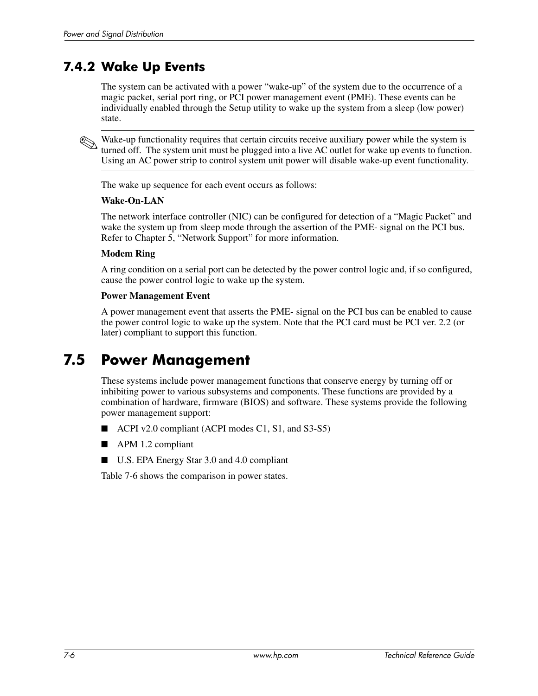### **7.4.2 Wake Up Events**

The system can be activated with a power "wake-up" of the system due to the occurrence of a magic packet, serial port ring, or PCI power management event (PME). These events can be individually enabled through the Setup utility to wake up the system from a sleep (low power) state.

Wake-up functionality requires that certain circuits receive auxiliary power while the system is turned off. The system unit must be plugged into a live AC outlet for wake up events to function. Using an AC power strip to control system unit power will disable wake-up event functionality.

The wake up sequence for each event occurs as follows:

### **Wake-On-LAN**

The network interface controller (NIC) can be configured for detection of a "Magic Packet" and wake the system up from sleep mode through the assertion of the PME- signal on the PCI bus. Refer to Chapter 5, "Network Support" for more information.

### **Modem Ring**

A ring condition on a serial port can be detected by the power control logic and, if so configured, cause the power control logic to wake up the system.

#### **Power Management Event**

A power management event that asserts the PME- signal on the PCI bus can be enabled to cause the power control logic to wake up the system. Note that the PCI card must be PCI ver. 2.2 (or later) compliant to support this function.

### **7.5 Power Management**

These systems include power management functions that conserve energy by turning off or inhibiting power to various subsystems and components. These functions are provided by a combination of hardware, firmware (BIOS) and software. These systems provide the following power management support:

- ACPI v2.0 compliant (ACPI modes C1, S1, and S3-S5)
- APM 1.2 compliant
- U.S. EPA Energy Star 3.0 and 4.0 compliant

Table 7-6 shows the comparison in power states.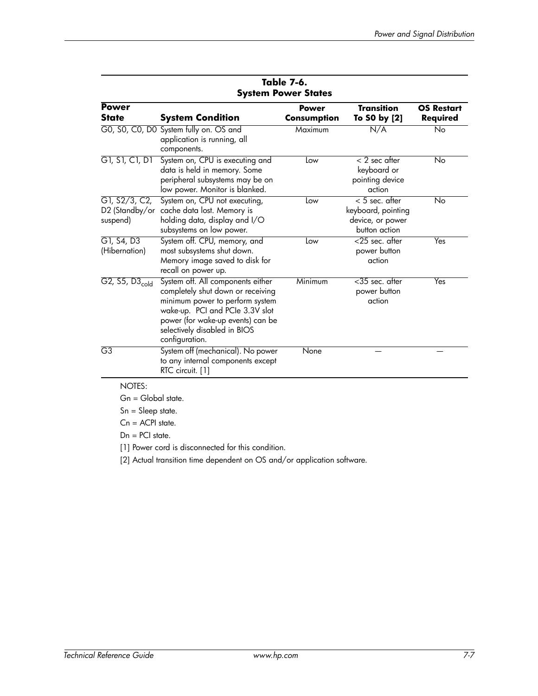| <b>Power</b>                 |                                                                                                                                                                                                                                     | <b>Power</b> | <b>Transition</b>                                                           | <b>OS Restart</b> |
|------------------------------|-------------------------------------------------------------------------------------------------------------------------------------------------------------------------------------------------------------------------------------|--------------|-----------------------------------------------------------------------------|-------------------|
| <b>State</b>                 | <b>System Condition</b>                                                                                                                                                                                                             | Consumption  | To S0 by [2]                                                                | Required          |
|                              | GO, SO, CO, DO System fully on. OS and<br>application is running, all<br>components.                                                                                                                                                | Maximum      | N/A                                                                         | No                |
| G1, S1, C1, D1               | System on, CPU is executing and<br>data is held in memory. Some<br>peripheral subsystems may be on<br>low power. Monitor is blanked.                                                                                                | Low          | $< 2$ sec after<br>keyboard or<br>pointing device<br>action                 | No                |
| G1, S2/3, C2,<br>suspend)    | System on, CPU not executing,<br>D2 (Standby/or cache data lost. Memory is<br>holding data, display and I/O<br>subsystems on low power.                                                                                             | Low          | $< 5$ sec. after<br>keyboard, pointing<br>device, or power<br>button action | No                |
| G1, S4, D3<br>(Hibernation)  | System off. CPU, memory, and<br>most subsystems shut down.<br>Memory image saved to disk for<br>recall on power up.                                                                                                                 | Low          | <25 sec. after<br>power button<br>action                                    | Yes               |
| $G2, S5, D3$ <sub>cold</sub> | System off. All components either<br>completely shut down or receiving<br>minimum power to perform system<br>wake-up. PCI and PCIe 3.3V slot<br>power (for wake-up events) can be<br>selectively disabled in BIOS<br>configuration. | Minimum      | <35 sec. after<br>power button<br>action                                    | Yes               |
| G3                           | System off (mechanical). No power<br>to any internal components except<br>RTC circuit. [1]                                                                                                                                          | None         |                                                                             |                   |

#### **Table 7-6. System Power States**

NOTES:

Gn = Global state.

Sn = Sleep state.

Cn = ACPI state.

Dn = PCI state.

[1] Power cord is disconnected for this condition.

[2] Actual transition time dependent on OS and/or application software.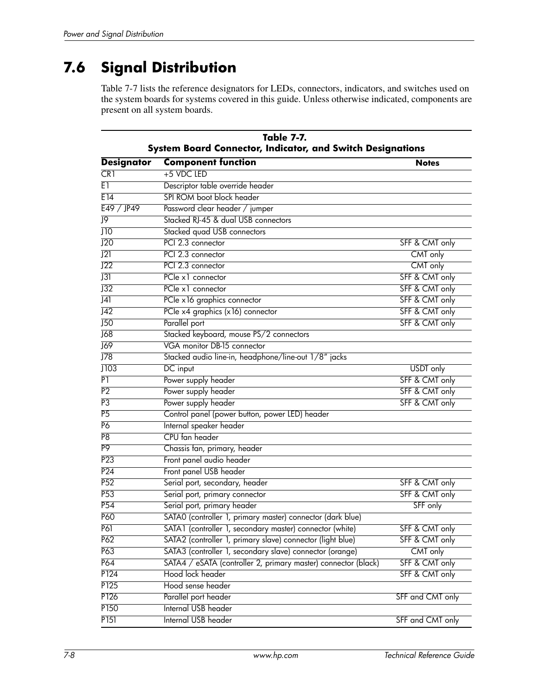# **7.6 Signal Distribution**

Table 7-7 lists the reference designators for LEDs, connectors, indicators, and switches used on the system boards for systems covered in this guide. Unless otherwise indicated, components are present on all system boards.

| Table 7-7.<br>System Board Connector, Indicator, and Switch Designations |                                                                |                  |  |  |  |
|--------------------------------------------------------------------------|----------------------------------------------------------------|------------------|--|--|--|
| <b>Designator</b>                                                        | <b>Component function</b>                                      | <b>Notes</b>     |  |  |  |
| CR1                                                                      | +5 VDC LED                                                     |                  |  |  |  |
| E1                                                                       | Descriptor table override header                               |                  |  |  |  |
| E 14                                                                     | SPI ROM boot block header                                      |                  |  |  |  |
| E49 / JP49                                                               | Password clear header / jumper                                 |                  |  |  |  |
| J9                                                                       | Stacked RJ-45 & dual USB connectors                            |                  |  |  |  |
| $\overline{J10}$                                                         | Stacked quad USB connectors                                    |                  |  |  |  |
| J20                                                                      | PCI 2.3 connector                                              | SFF & CMT only   |  |  |  |
| J21                                                                      | PCI 2.3 connector                                              | CMT only         |  |  |  |
| J22                                                                      | PCI 2.3 connector                                              | CMT only         |  |  |  |
| $\overline{J31}$                                                         | PCle x1 connector                                              | SFF & CMT only   |  |  |  |
| J32                                                                      | PCle x1 connector                                              | SFF & CMT only   |  |  |  |
| $\overline{J41}$                                                         | PCIe x 16 graphics connector                                   | SFF & CMT only   |  |  |  |
| J42                                                                      | PCIe x4 graphics (x16) connector                               | SFF & CMT only   |  |  |  |
| J50                                                                      | Parallel port                                                  | SFF & CMT only   |  |  |  |
| J68                                                                      | Stacked keyboard, mouse PS/2 connectors                        |                  |  |  |  |
| $\overline{J69}$                                                         | VGA monitor DB-15 connector                                    |                  |  |  |  |
| J78                                                                      | Stacked audio line-in, headphone/line-out 1/8" jacks           |                  |  |  |  |
| J103                                                                     | DC input                                                       | USDT only        |  |  |  |
| P1                                                                       | Power supply header                                            | SFF & CMT only   |  |  |  |
| P <sub>2</sub>                                                           | Power supply header                                            | SFF & CMT only   |  |  |  |
| P <sub>3</sub>                                                           | Power supply header                                            | SFF & CMT only   |  |  |  |
| P <sub>5</sub>                                                           | Control panel (power button, power LED) header                 |                  |  |  |  |
| P6                                                                       | Internal speaker header                                        |                  |  |  |  |
| P <sub>8</sub>                                                           | CPU fan header                                                 |                  |  |  |  |
| P <sub>9</sub>                                                           | Chassis fan, primary, header                                   |                  |  |  |  |
| P23                                                                      | Front panel audio header                                       |                  |  |  |  |
| P <sub>24</sub>                                                          | Front panel USB header                                         |                  |  |  |  |
| P52                                                                      | Serial port, secondary, header                                 | SFF & CMT only   |  |  |  |
| P <sub>53</sub>                                                          | Serial port, primary connector                                 | SFF & CMT only   |  |  |  |
| P <sub>54</sub>                                                          | Serial port, primary header                                    | SFF only         |  |  |  |
| P60                                                                      | SATAO (controller 1, primary master) connector (dark blue)     |                  |  |  |  |
| <b>P61</b>                                                               | SATA1 (controller 1, secondary master) connector (white)       | SFF & CMT only   |  |  |  |
| P62                                                                      | SATA2 (controller 1, primary slave) connector (light blue)     | SFF & CMT only   |  |  |  |
| P63                                                                      | SATA3 (controller 1, secondary slave) connector (orange)       | CMT only         |  |  |  |
| P64                                                                      | SATA4 / eSATA (controller 2, primary master) connector (black) | SFF & CMT only   |  |  |  |
| P <sub>124</sub>                                                         | Hood lock header                                               | SFF & CMT only   |  |  |  |
| P125                                                                     | Hood sense header                                              |                  |  |  |  |
| P <sub>126</sub>                                                         | Parallel port header                                           | SFF and CMT only |  |  |  |
| P150                                                                     | Internal USB header                                            |                  |  |  |  |
| P151                                                                     | <b>Internal USB header</b>                                     | SFF and CMT only |  |  |  |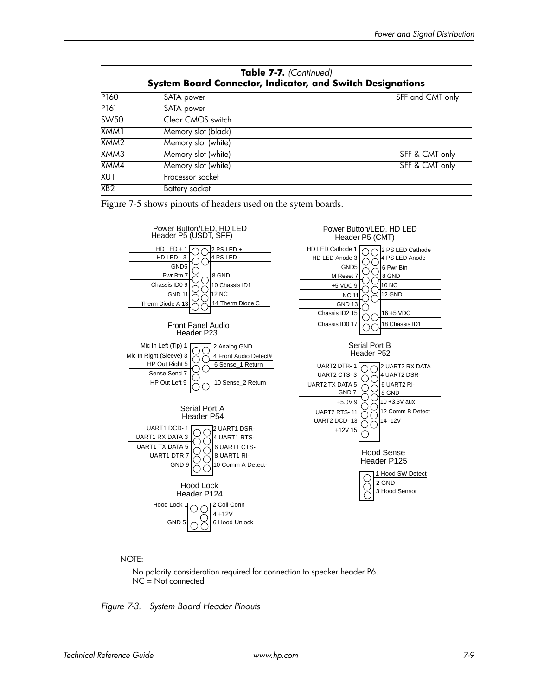| <b>System Board Connector, Indicator, and Switch Designations</b> |                     |                  |  |  |  |
|-------------------------------------------------------------------|---------------------|------------------|--|--|--|
| P <sub>160</sub>                                                  | SATA power          | SFF and CMT only |  |  |  |
| P <sub>161</sub>                                                  | SATA power          |                  |  |  |  |
| SW50                                                              | Clear CMOS switch   |                  |  |  |  |
| XMM1                                                              | Memory slot (black) |                  |  |  |  |
| XMM <sub>2</sub>                                                  | Memory slot (white) |                  |  |  |  |
| XMM3                                                              | Memory slot (white) | SFF & CMT only   |  |  |  |
| XMM4                                                              | Memory slot (white) | SFF & CMT only   |  |  |  |
| XU1                                                               | Processor socket    |                  |  |  |  |
| XB2                                                               | Battery socket      |                  |  |  |  |

**Table 7-7.** *(Continued)*

Figure 7-5 shows pinouts of headers used on the sytem boards.



NOTE:

No polarity consideration required for connection to speaker header P6. NC = Not connected

*Figure 7-3. System Board Header Pinouts*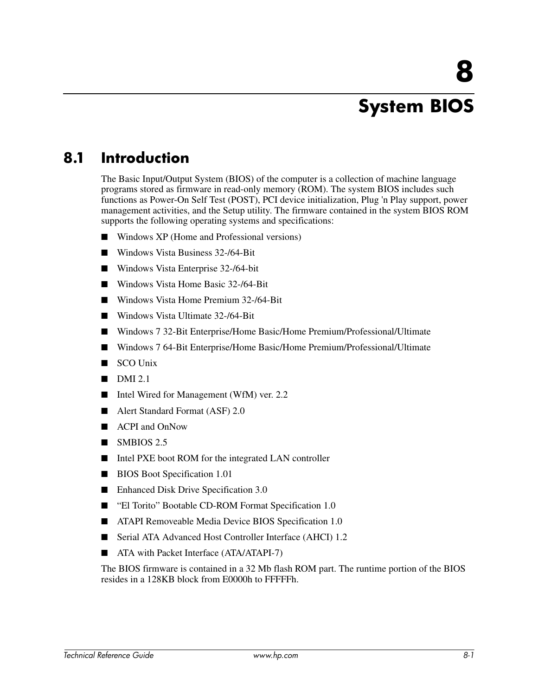# **8 System BIOS**

## **8.1 Introduction**

The Basic Input/Output System (BIOS) of the computer is a collection of machine language programs stored as firmware in read-only memory (ROM). The system BIOS includes such functions as Power-On Self Test (POST), PCI device initialization, Plug 'n Play support, power management activities, and the Setup utility. The firmware contained in the system BIOS ROM supports the following operating systems and specifications:

- Windows XP (Home and Professional versions)
- Windows Vista Business 32-/64-Bit
- Windows Vista Enterprise 32-/64-bit
- Windows Vista Home Basic 32-/64-Bit
- Windows Vista Home Premium 32-/64-Bit
- Windows Vista Ultimate 32-/64-Bit
- Windows 7 32-Bit Enterprise/Home Basic/Home Premium/Professional/Ultimate
- Windows 7 64-Bit Enterprise/Home Basic/Home Premium/Professional/Ultimate
- SCO Unix
- $DMI 2.1$
- Intel Wired for Management (WfM) ver. 2.2
- Alert Standard Format (ASF) 2.0
- ACPI and OnNow
- SMBIOS 2.5
- Intel PXE boot ROM for the integrated LAN controller
- BIOS Boot Specification 1.01
- Enhanced Disk Drive Specification 3.0
- "El Torito" Bootable CD-ROM Format Specification 1.0
- ATAPI Removeable Media Device BIOS Specification 1.0
- Serial ATA Advanced Host Controller Interface (AHCI) 1.2
- ATA with Packet Interface (ATA/ATAPI-7)

The BIOS firmware is contained in a 32 Mb flash ROM part. The runtime portion of the BIOS resides in a 128KB block from E0000h to FFFFFh.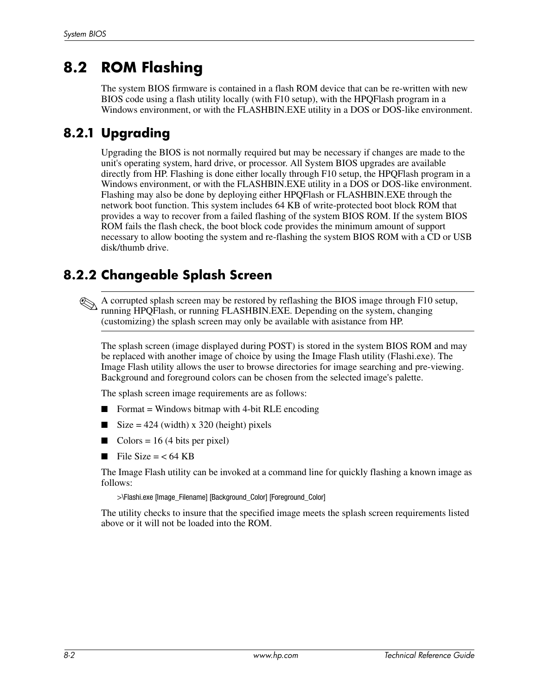## **8.2 ROM Flashing**

The system BIOS firmware is contained in a flash ROM device that can be re-written with new BIOS code using a flash utility locally (with F10 setup), with the HPQFlash program in a Windows environment, or with the FLASHBIN.EXE utility in a DOS or DOS-like environment.

### **8.2.1 Upgrading**

Upgrading the BIOS is not normally required but may be necessary if changes are made to the unit's operating system, hard drive, or processor. All System BIOS upgrades are available directly from HP. Flashing is done either locally through F10 setup, the HPQFlash program in a Windows environment, or with the FLASHBIN.EXE utility in a DOS or DOS-like environment. Flashing may also be done by deploying either HPQFlash or FLASHBIN.EXE through the network boot function. This system includes 64 KB of write-protected boot block ROM that provides a way to recover from a failed flashing of the system BIOS ROM. If the system BIOS ROM fails the flash check, the boot block code provides the minimum amount of support necessary to allow booting the system and re-flashing the system BIOS ROM with a CD or USB disk/thumb drive.

### **8.2.2 Changeable Splash Screen**

✎A corrupted splash screen may be restored by reflashing the BIOS image through F10 setup, running HPQFlash, or running FLASHBIN.EXE. Depending on the system, changing (customizing) the splash screen may only be available with asistance from HP.

The splash screen (image displayed during POST) is stored in the system BIOS ROM and may be replaced with another image of choice by using the Image Flash utility (Flashi.exe). The Image Flash utility allows the user to browse directories for image searching and pre-viewing. Background and foreground colors can be chosen from the selected image's palette.

The splash screen image requirements are as follows:

- $\blacksquare$  Format = Windows bitmap with 4-bit RLE encoding
- $\blacksquare$  Size = 424 (width) x 320 (height) pixels
- Colors = 16 (4 bits per pixel)
- $\blacksquare$  File Size = < 64 KB

The Image Flash utility can be invoked at a command line for quickly flashing a known image as follows:

>\Flashi.exe [Image\_Filename] [Background\_Color] [Foreground\_Color]

The utility checks to insure that the specified image meets the splash screen requirements listed above or it will not be loaded into the ROM.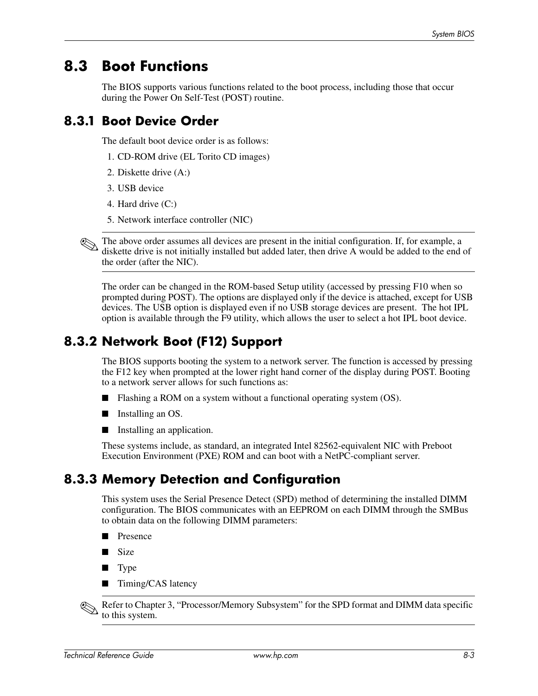### **8.3 Boot Functions**

The BIOS supports various functions related to the boot process, including those that occur during the Power On Self-Test (POST) routine.

### **8.3.1 Boot Device Order**

The default boot device order is as follows:

- 1. CD-ROM drive (EL Torito CD images)
- 2. Diskette drive (A:)
- 3. USB device
- 4. Hard drive (C:)
- 5. Network interface controller (NIC)

The above order assumes all devices are present in the initial configuration. If, for example, a diskette drive is not initially installed but added later, then drive A would be added to the end of the order (after the NIC).

The order can be changed in the ROM-based Setup utility (accessed by pressing F10 when so prompted during POST). The options are displayed only if the device is attached, except for USB devices. The USB option is displayed even if no USB storage devices are present. The hot IPL option is available through the F9 utility, which allows the user to select a hot IPL boot device.

### **8.3.2 Network Boot (F12) Support**

The BIOS supports booting the system to a network server. The function is accessed by pressing the F12 key when prompted at the lower right hand corner of the display during POST. Booting to a network server allows for such functions as:

- Flashing a ROM on a system without a functional operating system (OS).
- Installing an OS.
- Installing an application.

These systems include, as standard, an integrated Intel 82562-equivalent NIC with Preboot Execution Environment (PXE) ROM and can boot with a NetPC-compliant server.

### **8.3.3 Memory Detection and Configuration**

This system uses the Serial Presence Detect (SPD) method of determining the installed DIMM configuration. The BIOS communicates with an EEPROM on each DIMM through the SMBus to obtain data on the following DIMM parameters:

- Presence
- Size
- Type
- Timing/CAS latency

Refer to Chapter 3, "Processor/Memory Subsystem" for the SPD format and DIMM data specific to this system.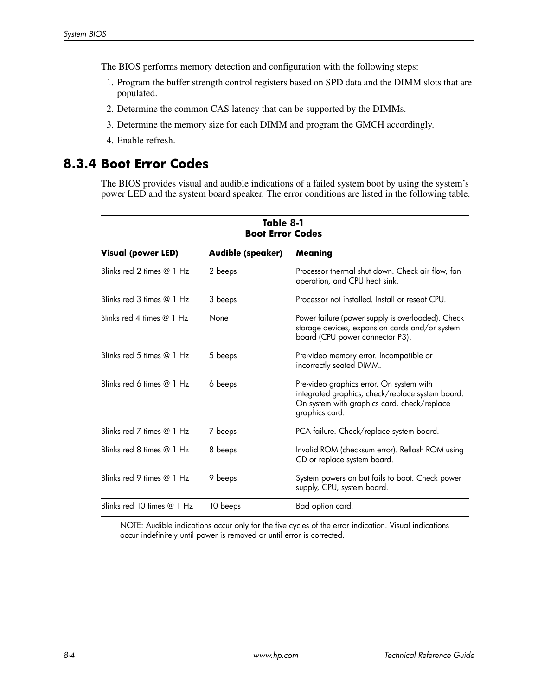The BIOS performs memory detection and configuration with the following steps:

- 1. Program the buffer strength control registers based on SPD data and the DIMM slots that are populated.
- 2. Determine the common CAS latency that can be supported by the DIMMs.
- 3. Determine the memory size for each DIMM and program the GMCH accordingly.
- 4. Enable refresh.

### **8.3.4 Boot Error Codes**

The BIOS provides visual and audible indications of a failed system boot by using the system's power LED and the system board speaker. The error conditions are listed in the following table.

| Table 8-1<br><b>Boot Error Codes</b> |                   |                                                                                                                                                               |  |  |  |
|--------------------------------------|-------------------|---------------------------------------------------------------------------------------------------------------------------------------------------------------|--|--|--|
| <b>Visual (power LED)</b>            | Audible (speaker) | Meaning                                                                                                                                                       |  |  |  |
| Blinks red 2 times $@1Hz$            | 2 beeps           | Processor thermal shut down. Check air flow, fan<br>operation, and CPU heat sink.                                                                             |  |  |  |
| Blinks red 3 times @ 1 Hz            | 3 beeps           | Processor not installed. Install or reseat CPU.                                                                                                               |  |  |  |
| Blinks red 4 times @ 1 Hz            | None              | Power failure (power supply is overloaded). Check<br>storage devices, expansion cards and/or system<br>board (CPU power connector P3).                        |  |  |  |
| Blinks red 5 times $@1$ Hz           | 5 beeps           | Pre-video memory error. Incompatible or<br>incorrectly seated DIMM.                                                                                           |  |  |  |
| Blinks red 6 times @ 1 Hz            | 6 beeps           | Pre-video graphics error. On system with<br>integrated graphics, check/replace system board.<br>On system with graphics card, check/replace<br>graphics card. |  |  |  |
| Blinks red 7 times @ 1 Hz            | 7 beeps           | PCA failure. Check/replace system board.                                                                                                                      |  |  |  |
| Blinks red 8 times @ 1 Hz            | 8 beeps           | Invalid ROM (checksum error). Reflash ROM using<br>CD or replace system board.                                                                                |  |  |  |
| Blinks red 9 times @ 1 Hz            | 9 beeps           | System powers on but fails to boot. Check power<br>supply, CPU, system board.                                                                                 |  |  |  |
| Blinks red 10 times @ 1 Hz           | 10 beeps          | Bad option card.                                                                                                                                              |  |  |  |

NOTE: Audible indications occur only for the five cycles of the error indication. Visual indications occur indefinitely until power is removed or until error is corrected.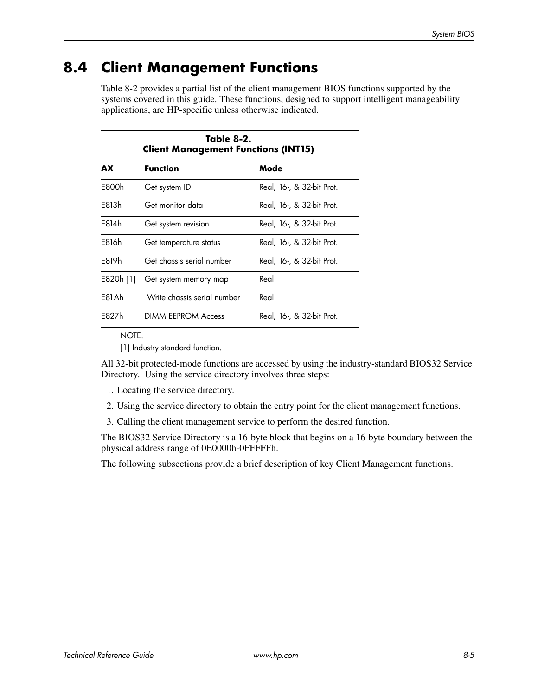## **8.4 Client Management Functions**

Table 8-2 provides a partial list of the client management BIOS functions supported by the systems covered in this guide. These functions, designed to support intelligent manageability applications, are HP-specific unless otherwise indicated.

| Table 8-2.<br><b>Client Management Functions (INT15)</b> |                             |                           |  |
|----------------------------------------------------------|-----------------------------|---------------------------|--|
| AX                                                       | <b>Function</b>             | Mode                      |  |
| F800h                                                    | Get system ID               | Real, 16-, & 32-bit Prot. |  |
| F813h                                                    | Get monitor data            | Real, 16-, & 32-bit Prot. |  |
| F814h                                                    | Get system revision         | Real, 16-, & 32-bit Prot. |  |
| F816h                                                    | Get temperature status      | Real, 16-, & 32-bit Prot. |  |
| F819h                                                    | Get chassis serial number   | Real, 16-, & 32-bit Prot. |  |
| E820h [1]                                                | Get system memory map       | Real                      |  |
| F81Ah                                                    | Write chassis serial number | Real                      |  |
| F827h                                                    | <b>DIMM EEPROM Access</b>   | Real, 16-, & 32-bit Prot. |  |

NOTE:

[1] Industry standard function.

All 32-bit protected-mode functions are accessed by using the industry-standard BIOS32 Service Directory. Using the service directory involves three steps:

- 1. Locating the service directory.
- 2. Using the service directory to obtain the entry point for the client management functions.
- 3. Calling the client management service to perform the desired function.

The BIOS32 Service Directory is a 16-byte block that begins on a 16-byte boundary between the physical address range of 0E0000h-0FFFFFh.

The following subsections provide a brief description of key Client Management functions.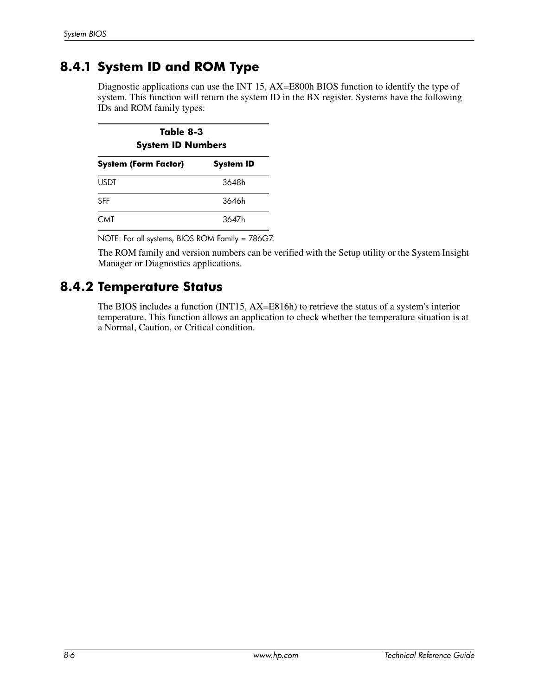### **8.4.1 System ID and ROM Type**

Diagnostic applications can use the INT 15, AX=E800h BIOS function to identify the type of system. This function will return the system ID in the BX register. Systems have the following IDs and ROM family types:

| Table 8-3<br><b>System ID Numbers</b>           |       |  |
|-------------------------------------------------|-------|--|
| <b>System (Form Factor)</b><br><b>System ID</b> |       |  |
| <b>USDT</b>                                     | 3648h |  |
| <b>SFF</b>                                      | 3646h |  |
| <b>CMT</b>                                      | 3647h |  |

NOTE: For all systems, BIOS ROM Family = 786G7.

The ROM family and version numbers can be verified with the Setup utility or the System Insight Manager or Diagnostics applications.

### **8.4.2 Temperature Status**

The BIOS includes a function (INT15, AX=E816h) to retrieve the status of a system's interior temperature. This function allows an application to check whether the temperature situation is at a Normal, Caution, or Critical condition.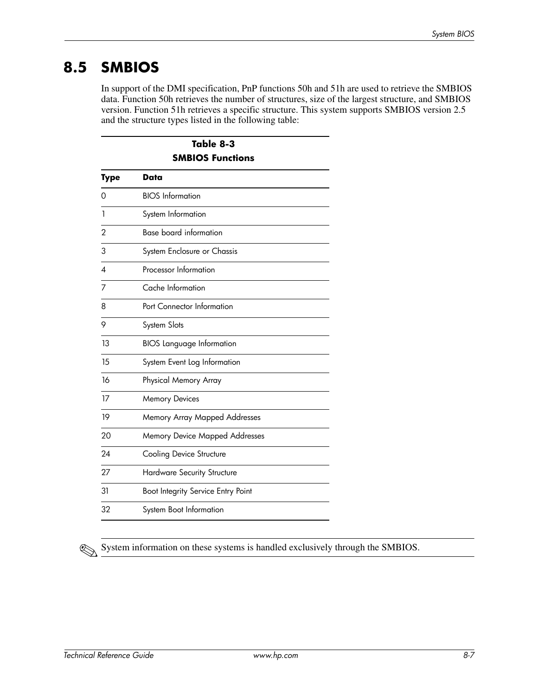## **8.5 SMBIOS**

In support of the DMI specification, PnP functions 50h and 51h are used to retrieve the SMBIOS data. Function 50h retrieves the number of structures, size of the largest structure, and SMBIOS version. Function 51h retrieves a specific structure. This system supports SMBIOS version 2.5 and the structure types listed in the following table:

| Table 8-3               |                                       |  |  |
|-------------------------|---------------------------------------|--|--|
| <b>SMBIOS Functions</b> |                                       |  |  |
| <b>Type</b>             | Data                                  |  |  |
| Ω                       | <b>BIOS</b> Information               |  |  |
| 1                       | System Information                    |  |  |
| $\overline{2}$          | <b>Base board information</b>         |  |  |
| 3                       | System Enclosure or Chassis           |  |  |
| 4                       | Processor Information                 |  |  |
| 7                       | Cache Information                     |  |  |
| 8                       | Port Connector Information            |  |  |
| 9                       | System Slots                          |  |  |
| 13                      | <b>BIOS</b> Language Information      |  |  |
| 15                      | System Event Log Information          |  |  |
| 16                      | Physical Memory Array                 |  |  |
| 17                      | <b>Memory Devices</b>                 |  |  |
| 19                      | Memory Array Mapped Addresses         |  |  |
| 20                      | <b>Memory Device Mapped Addresses</b> |  |  |
| 24                      | Cooling Device Structure              |  |  |
| 27                      | Hardware Security Structure           |  |  |
| 31                      | Boot Integrity Service Entry Point    |  |  |
| 32                      | System Boot Information               |  |  |



System information on these systems is handled exclusively through the SMBIOS.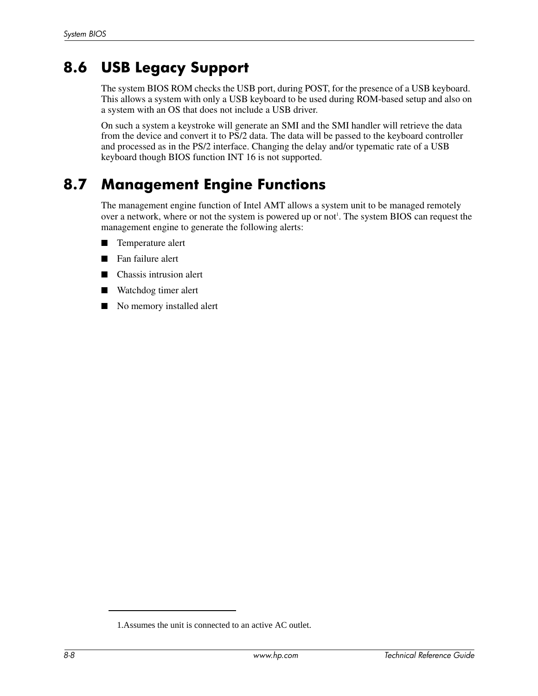## **8.6 USB Legacy Support**

The system BIOS ROM checks the USB port, during POST, for the presence of a USB keyboard. This allows a system with only a USB keyboard to be used during ROM-based setup and also on a system with an OS that does not include a USB driver.

On such a system a keystroke will generate an SMI and the SMI handler will retrieve the data from the device and convert it to PS/2 data. The data will be passed to the keyboard controller and processed as in the PS/2 interface. Changing the delay and/or typematic rate of a USB keyboard though BIOS function INT 16 is not supported.

## **8.7 Management Engine Functions**

The management engine function of Intel AMT allows a system unit to be managed remotely over a network, where or not the system is powered up or not<sup>1</sup>. The system BIOS can request the management engine to generate the following alerts:

- Temperature alert
- Fan failure alert
- Chassis intrusion alert
- Watchdog timer alert
- No memory installed alert

<sup>1.</sup>Assumes the unit is connected to an active AC outlet.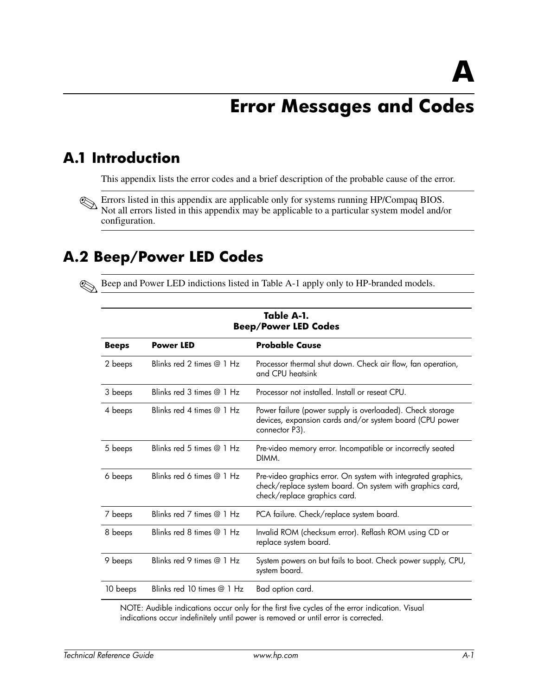# **Error Messages and Codes**

## **A.1 Introduction**

This appendix lists the error codes and a brief description of the probable cause of the error.

**Errors listed in this appendix are applicable only for systems running HP/Compaq BIOS.** Not all errors listed in this appendix may be applicable to a particular system model and/or configuration.

## **A.2 Beep/Power LED Codes**

✎Beep and Power LED indictions listed in Table A-1 apply only to HP-branded models.

| <b>Beep/Power LED Codes</b> |                            |                                                                                                                                                            |  |
|-----------------------------|----------------------------|------------------------------------------------------------------------------------------------------------------------------------------------------------|--|
| Beeps                       | <b>Power LED</b>           | <b>Probable Cause</b>                                                                                                                                      |  |
| 2 beeps                     | Blinks red 2 times $@1$ Hz | Processor thermal shut down. Check air flow, fan operation,<br>and CPU heatsink                                                                            |  |
| 3 beeps                     | Blinks red 3 times @ 1 Hz  | Processor not installed. Install or reseat CPU.                                                                                                            |  |
| 4 beeps                     | Blinks red 4 times @ 1 Hz  | Power failure (power supply is overloaded). Check storage<br>devices, expansion cards and/or system board (CPU power<br>connector P3).                     |  |
| 5 beeps                     | Blinks red 5 times $@1Hz$  | Pre-video memory error. Incompatible or incorrectly seated<br>DIMM.                                                                                        |  |
| 6 beeps                     | Blinks red 6 times $@1$ Hz | Pre-video graphics error. On system with integrated graphics,<br>check/replace system board. On system with graphics card,<br>check/replace graphics card. |  |
| 7 beeps                     | Blinks red 7 times @ 1 Hz  | PCA failure. Check/replace system board.                                                                                                                   |  |
| 8 beeps                     | Blinks red 8 times $@1$ Hz | Invalid ROM (checksum error). Reflash ROM using CD or<br>replace system board.                                                                             |  |
| 9 beeps                     | Blinks red 9 times $@1$ Hz | System powers on but fails to boot. Check power supply, CPU,<br>system board.                                                                              |  |
| 10 beeps                    | Blinks red 10 times @ 1 Hz | Bad option card.                                                                                                                                           |  |

**Table A-1.**

NOTE: Audible indications occur only for the first five cycles of the error indication. Visual indications occur indefinitely until power is removed or until error is corrected.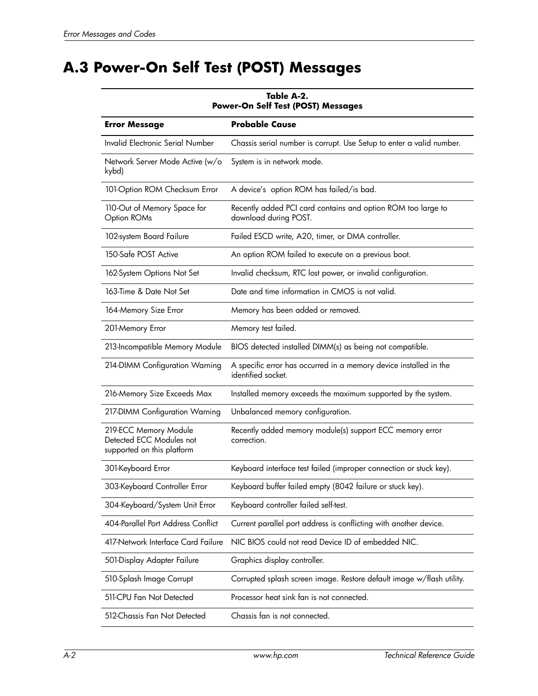# **A.3 Power-On Self Test (POST) Messages**

| Table A-2.<br>Power-On Self Test (POST) Messages                                |                                                                                         |  |  |
|---------------------------------------------------------------------------------|-----------------------------------------------------------------------------------------|--|--|
| <b>Error Message</b>                                                            | Probable Cause                                                                          |  |  |
| Invalid Electronic Serial Number                                                | Chassis serial number is corrupt. Use Setup to enter a valid number.                    |  |  |
| Network Server Mode Active (w/o<br>kybd)                                        | System is in network mode.                                                              |  |  |
| 101-Option ROM Checksum Error                                                   | A device's option ROM has failed/is bad.                                                |  |  |
| 110-Out of Memory Space for<br>Option ROMs                                      | Recently added PCI card contains and option ROM too large to<br>download during POST.   |  |  |
| 102-system Board Failure                                                        | Failed ESCD write, A20, timer, or DMA controller.                                       |  |  |
| 150-Safe POST Active                                                            | An option ROM failed to execute on a previous boot.                                     |  |  |
| 162-System Options Not Set                                                      | Invalid checksum, RTC lost power, or invalid configuration.                             |  |  |
| 163-Time & Date Not Set                                                         | Date and time information in CMOS is not valid.                                         |  |  |
| 164-Memory Size Error                                                           | Memory has been added or removed.                                                       |  |  |
| 201-Memory Error                                                                | Memory test failed.                                                                     |  |  |
| 213-Incompatible Memory Module                                                  | BIOS detected installed DIMM(s) as being not compatible.                                |  |  |
| 214-DIMM Configuration Warning                                                  | A specific error has occurred in a memory device installed in the<br>identified socket. |  |  |
| 216-Memory Size Exceeds Max                                                     | Installed memory exceeds the maximum supported by the system.                           |  |  |
| 217-DIMM Configuration Warning                                                  | Unbalanced memory configuration.                                                        |  |  |
| 219-ECC Memory Module<br>Detected ECC Modules not<br>supported on this platform | Recently added memory module(s) support ECC memory error<br>correction.                 |  |  |
| 301-Keyboard Error                                                              | Keyboard interface test failed (improper connection or stuck key).                      |  |  |
| 303-Keyboard Controller Error                                                   | Keyboard buffer failed empty (8042 failure or stuck key).                               |  |  |
| 304-Keyboard/System Unit Error                                                  | Keyboard controller failed self-test.                                                   |  |  |
| 404-Parallel Port Address Conflict                                              | Current parallel port address is conflicting with another device.                       |  |  |
| 417-Network Interface Card Failure                                              | NIC BIOS could not read Device ID of embedded NIC.                                      |  |  |
| 501-Display Adapter Failure                                                     | Graphics display controller.                                                            |  |  |
| 510-Splash Image Corrupt                                                        | Corrupted splash screen image. Restore default image w/flash utility.                   |  |  |
| 511-CPU Fan Not Detected                                                        | Processor heat sink fan is not connected.                                               |  |  |
| 512-Chassis Fan Not Detected                                                    | Chassis fan is not connected.                                                           |  |  |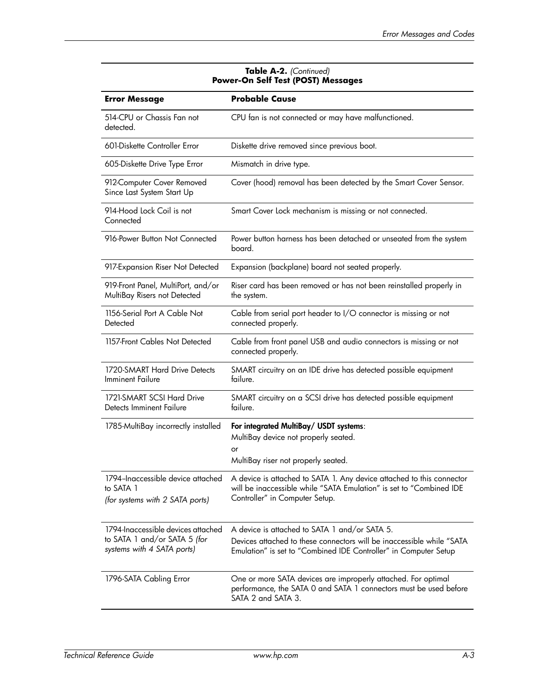| wer-On Jen Test (FOJI) Messuges                                                                  |                                                                                                                                                                                            |  |  |
|--------------------------------------------------------------------------------------------------|--------------------------------------------------------------------------------------------------------------------------------------------------------------------------------------------|--|--|
| <b>Error Message</b>                                                                             | <b>Probable Cause</b>                                                                                                                                                                      |  |  |
| 514-CPU or Chassis Fan not<br>detected.                                                          | CPU fan is not connected or may have malfunctioned.                                                                                                                                        |  |  |
| 601-Diskette Controller Error                                                                    | Diskette drive removed since previous boot.                                                                                                                                                |  |  |
| 605-Diskette Drive Type Error                                                                    | Mismatch in drive type.                                                                                                                                                                    |  |  |
| 912-Computer Cover Removed<br>Since Last System Start Up                                         | Cover (hood) removal has been detected by the Smart Cover Sensor.                                                                                                                          |  |  |
| 914-Hood Lock Coil is not<br>Connected                                                           | Smart Cover Lock mechanism is missing or not connected.                                                                                                                                    |  |  |
| 916-Power Button Not Connected                                                                   | Power button harness has been detached or unseated from the system<br>board.                                                                                                               |  |  |
| 917-Expansion Riser Not Detected                                                                 | Expansion (backplane) board not seated properly.                                                                                                                                           |  |  |
| 919-Front Panel, MultiPort, and/or<br>MultiBay Risers not Detected                               | Riser card has been removed or has not been reinstalled properly in<br>the system.                                                                                                         |  |  |
| 1156-Serial Port A Cable Not<br>Detected                                                         | Cable from serial port header to I/O connector is missing or not<br>connected properly.                                                                                                    |  |  |
| 1157-Front Cables Not Detected                                                                   | Cable from front panel USB and audio connectors is missing or not<br>connected properly.                                                                                                   |  |  |
| 1720-SMART Hard Drive Detects<br><b>Imminent Failure</b>                                         | SMART circuitry on an IDE drive has detected possible equipment<br>failure.                                                                                                                |  |  |
| 1721-SMART SCSI Hard Drive<br>Detects Imminent Failure                                           | SMART circuitry on a SCSI drive has detected possible equipment<br>failure.                                                                                                                |  |  |
| 1785-MultiBay incorrectly installed                                                              | For integrated MultiBay/ USDT systems:<br>MultiBay device not properly seated.<br>or<br>MultiBay riser not properly seated.                                                                |  |  |
| 1794-Inaccessible device attached<br>to SATA 1<br>(for systems with 2 SATA ports)                | A device is attached to SATA 1. Any device attached to this connector<br>will be inaccessible while "SATA Emulation" is set to "Combined IDE<br>Controller" in Computer Setup.             |  |  |
| 1794-Inaccessible devices attached<br>to SATA 1 and/or SATA 5 (for<br>systems with 4 SATA ports) | A device is attached to SATA 1 and/or SATA 5.<br>Devices attached to these connectors will be inaccessible while "SATA<br>Emulation" is set to "Combined IDE Controller" in Computer Setup |  |  |
| 1796-SATA Cabling Error                                                                          | One or more SATA devices are improperly attached. For optimal<br>performance, the SATA 0 and SATA 1 connectors must be used before<br>SATA 2 and SATA 3.                                   |  |  |

#### **Table A-2.** *(Continued)* **Power-On Self Test (POST) Messages**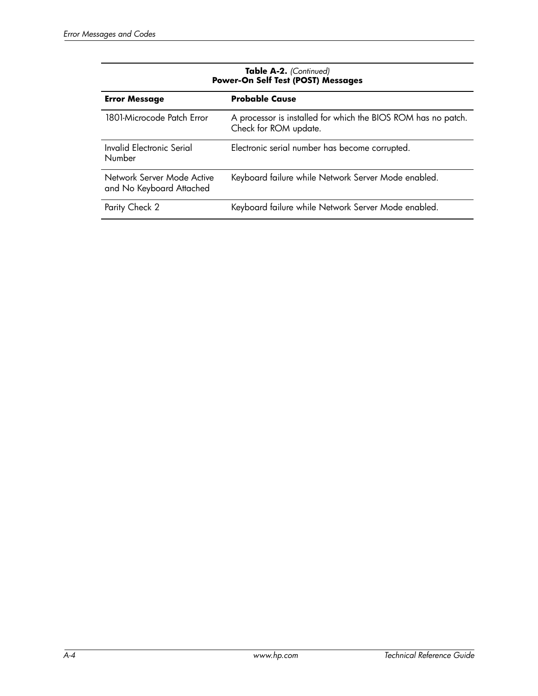| <b>Power-On Self Test (POST) Messages</b>                                                                            |  |  |
|----------------------------------------------------------------------------------------------------------------------|--|--|
| <b>Probable Cause</b><br><b>Error Message</b>                                                                        |  |  |
| 1801-Microcode Patch Error<br>A processor is installed for which the BIOS ROM has no patch.<br>Check for ROM update. |  |  |
| Invalid Electronic Serial<br>Electronic serial number has become corrupted.<br>Number                                |  |  |
| Network Server Mode Active<br>Keyboard failure while Network Server Mode enabled.<br>and No Keyboard Attached        |  |  |
| Parity Check 2<br>Keyboard failure while Network Server Mode enabled.                                                |  |  |

# **Table A-2.** *(Continued)*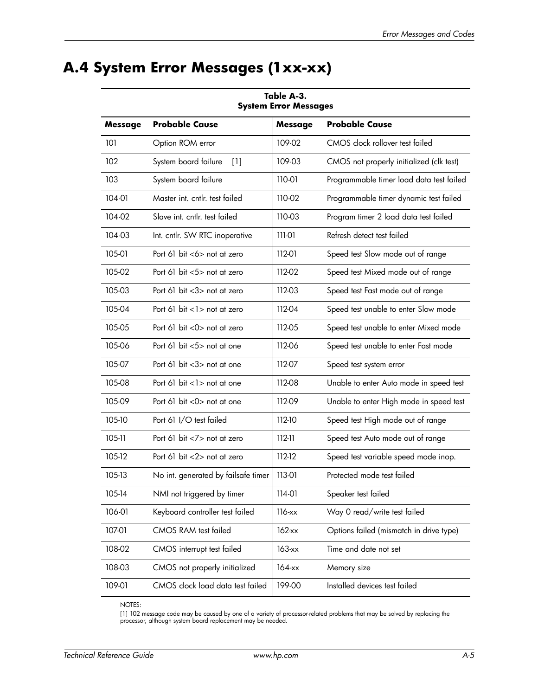# **A.4 System Error Messages (1xx-xx)**

| Table A-3.<br><b>System Error Messages</b> |                                     |                |                                          |
|--------------------------------------------|-------------------------------------|----------------|------------------------------------------|
| <b>Message</b>                             | <b>Probable Cause</b>               | <b>Message</b> | <b>Probable Cause</b>                    |
| 101                                        | Option ROM error                    | 109-02         | CMOS clock rollover test failed          |
| 102                                        | System board failure<br>[1]         | 109-03         | CMOS not properly initialized (clk test) |
| 103                                        | System board failure                | 110-01         | Programmable timer load data test failed |
| 104-01                                     | Master int. cntlr. test failed      | 110-02         | Programmable timer dynamic test failed   |
| 104-02                                     | Slave int. cntlr. test failed       | 110-03         | Program timer 2 load data test failed    |
| 104-03                                     | Int. cntlr. SW RTC inoperative      | 111-01         | Refresh detect test failed               |
| 105-01                                     | Port 61 bit $<\!>$ not at zero      | 112-01         | Speed test Slow mode out of range        |
| 105-02                                     | Port 61 bit $<5>$ not at zero       | 112-02         | Speed test Mixed mode out of range       |
| 105-03                                     | Port 61 bit <3> not at zero         | 112-03         | Speed test Fast mode out of range        |
| 105-04                                     | Port 61 bit $<$ 1 $>$ not at zero   | 112-04         | Speed test unable to enter Slow mode     |
| 105-05                                     | Port 61 bit $<$ 0 $>$ not at zero   | 112-05         | Speed test unable to enter Mixed mode    |
| 105-06                                     | Port 61 bit <5> not at one          | 112-06         | Speed test unable to enter Fast mode     |
| 105-07                                     | Port 61 bit <3> not at one          | 112-07         | Speed test system error                  |
| 105-08                                     | Port 61 bit $<$ 1 > not at one      | 112-08         | Unable to enter Auto mode in speed test  |
| 105-09                                     | Port 61 bit $<$ 0 $>$ not at one    | 112-09         | Unable to enter High mode in speed test  |
| 105-10                                     | Port 61 I/O test failed             | 112-10         | Speed test High mode out of range        |
| 105-11                                     | Port 61 bit $<7>$ not at zero       | $112-11$       | Speed test Auto mode out of range        |
| 105-12                                     | Port 61 bit $<2>$ not at zero       | $112 - 12$     | Speed test variable speed mode inop.     |
| 105-13                                     | No int. generated by failsafe timer | 113-01         | Protected mode test failed               |
| 105-14                                     | NMI not triggered by timer          | 114-01         | Speaker test failed                      |
| 106-01                                     | Keyboard controller test failed     | $116$ -xx      | Way 0 read/write test failed             |
| 107-01                                     | CMOS RAM test failed                | $162$ -xx      | Options failed (mismatch in drive type)  |
| 108-02                                     | CMOS interrupt test failed          | $163$ - $xx$   | Time and date not set                    |
| 108-03                                     | CMOS not properly initialized       | $164$ -xx      | Memory size                              |
| 109-01                                     | CMOS clock load data test failed    | 199-00         | Installed devices test failed            |

NOTES:

[1] 102 message code may be caused by one of a variety of processor-related problems that may be solved by replacing the processor, although system board replacement may be needed.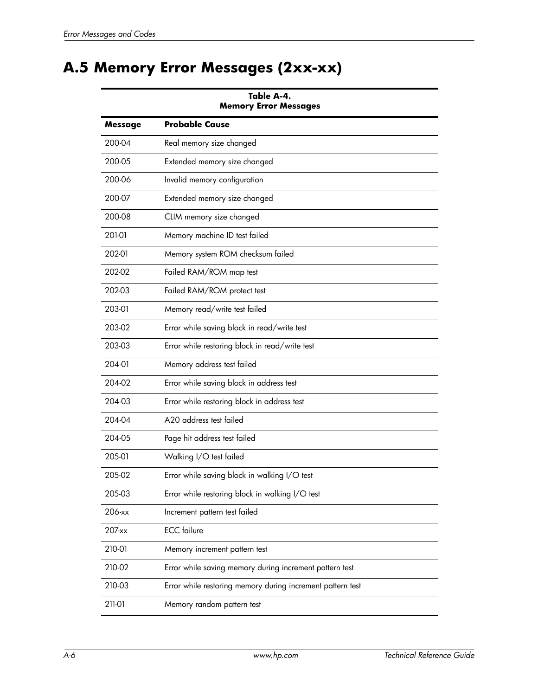# **A.5 Memory Error Messages (2xx-xx)**

| <b>Memory Error Messages</b> |                                                            |  |
|------------------------------|------------------------------------------------------------|--|
| Message                      | <b>Probable Cause</b>                                      |  |
| 200-04                       | Real memory size changed                                   |  |
| 200-05                       | Extended memory size changed                               |  |
| 200-06                       | Invalid memory configuration                               |  |
| 200-07                       | Extended memory size changed                               |  |
| 200-08                       | CLIM memory size changed                                   |  |
| 201-01                       | Memory machine ID test failed                              |  |
| 202-01                       | Memory system ROM checksum failed                          |  |
| 202-02                       | Failed RAM/ROM map test                                    |  |
| 202-03                       | Failed RAM/ROM protect test                                |  |
| 203-01                       | Memory read/write test failed                              |  |
| 203-02                       | Error while saving block in read/write test                |  |
| 203-03                       | Error while restoring block in read/write test             |  |
| 204-01                       | Memory address test failed                                 |  |
| 204-02                       | Error while saving block in address test                   |  |
| 204-03                       | Error while restoring block in address test                |  |
| 204-04                       | A20 address test failed                                    |  |
| 204-05                       | Page hit address test failed                               |  |
| 205-01                       | Walking I/O test failed                                    |  |
| 205-02                       | Error while saving block in walking I/O test               |  |
| 205-03                       | Error while restoring block in walking I/O test            |  |
| 206-xx                       | Increment pattern test failed                              |  |
| 207-xx                       | <b>ECC</b> failure                                         |  |
| 210-01                       | Memory increment pattern test                              |  |
| 210-02                       | Error while saving memory during increment pattern test    |  |
| 210-03                       | Error while restoring memory during increment pattern test |  |
| 211-01                       | Memory random pattern test                                 |  |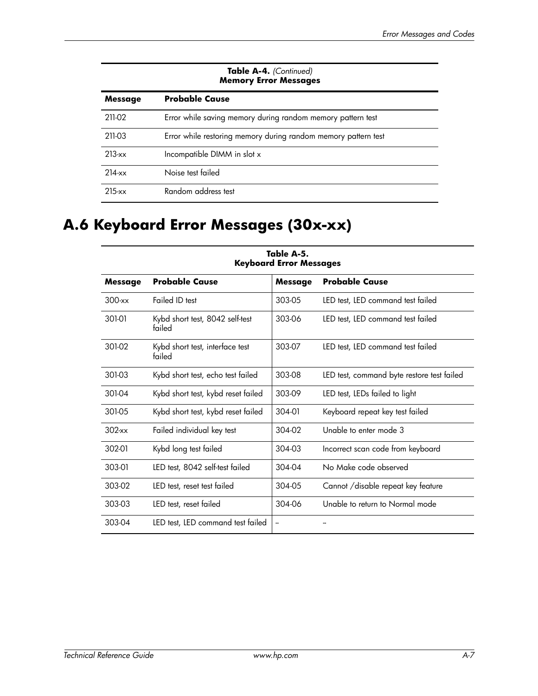#### **Table A-4.** *(Continued)* **Memory Error Messages**

| Message    | <b>Probable Cause</b>                                          |
|------------|----------------------------------------------------------------|
| 211-02     | Error while saving memory during random memory pattern test    |
| 211-03     | Error while restoring memory during random memory pattern test |
| $213-xx$   | Incompatible DIMM in slot x                                    |
| $214 - xx$ | Noise test failed                                              |
| $215 - xx$ | Random address test                                            |

# **A.6 Keyboard Error Messages (30x-xx)**

| гаріе А-э.<br><b>Keyboard Error Messages</b> |                                           |                |                                            |  |
|----------------------------------------------|-------------------------------------------|----------------|--------------------------------------------|--|
| <b>Message</b>                               | <b>Probable Cause</b>                     | <b>Message</b> | <b>Probable Cause</b>                      |  |
| $300-xx$                                     | Failed ID test                            | 303-05         | LED test, LED command test failed          |  |
| 301-01                                       | Kybd short test, 8042 self-test<br>failed | 303-06         | LED test, LED command test failed          |  |
| 301-02                                       | Kybd short test, interface test<br>failed | 303-07         | LED test, LED command test failed          |  |
| 301-03                                       | Kybd short test, echo test failed         | 303-08         | LED test, command byte restore test failed |  |
| 301-04                                       | Kybd short test, kybd reset failed        | 303-09         | LED test, LEDs failed to light             |  |
| 301-05                                       | Kybd short test, kybd reset failed        | 304-01         | Keyboard repeat key test failed            |  |
| $302$ xx                                     | Failed individual key test                | 304-02         | Unable to enter mode 3                     |  |
| 302-01                                       | Kybd long test failed                     | 304-03         | Incorrect scan code from keyboard          |  |
| 303-01                                       | LED test, 8042 self-test failed           | 304-04         | No Make code observed                      |  |
| 303-02                                       | LED test, reset test failed               | 304-05         | Cannot / disable repeat key feature        |  |
| 303-03                                       | LED test, reset failed                    | 304-06         | Unable to return to Normal mode            |  |
| 303-04                                       | LED test, LED command test failed         | --             |                                            |  |

# **Table A-5.**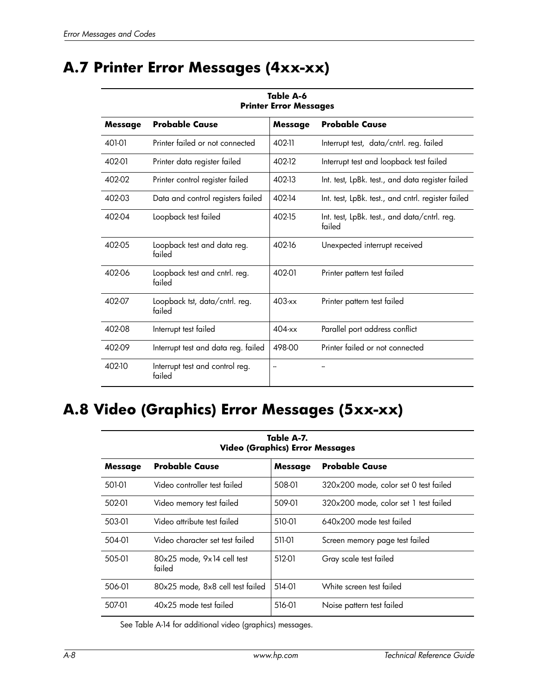# **A.7 Printer Error Messages (4xx-xx)**

| <b>Printer Error Messages</b> |                                           |                |                                                        |
|-------------------------------|-------------------------------------------|----------------|--------------------------------------------------------|
| <b>Message</b>                | <b>Probable Cause</b>                     | <b>Message</b> | <b>Probable Cause</b>                                  |
| 401-01                        | Printer failed or not connected           | 402-11         | Interrupt test, data/cntrl. reg. failed                |
| 402-01                        | Printer data register failed              | 402-12         | Interrupt test and loopback test failed                |
| 402-02                        | Printer control register failed           | 402-13         | Int. test, LpBk. test., and data register failed       |
| 402-03                        | Data and control registers failed         | 402-14         | Int. test, LpBk. test., and cntrl. register failed     |
| 402-04                        | Loopback test failed                      | 402-15         | Int. test, LpBk. test., and data/cntrl. reg.<br>failed |
| 402-05                        | Loopback test and data reg.<br>failed     | 402-16         | Unexpected interrupt received                          |
| 402-06                        | Loopback test and cntrl. reg.<br>failed   | 402-01         | Printer pattern test failed                            |
| 402-07                        | Loopback tst, data/cntrl. reg.<br>failed  | $403$ -xx      | Printer pattern test failed                            |
| 402-08                        | Interrupt test failed                     | $404$ -xx      | Parallel port address conflict                         |
| 402-09                        | Interrupt test and data reg. failed       | 498-00         | Printer failed or not connected                        |
| 402-10                        | Interrupt test and control reg.<br>failed | ۰.             |                                                        |

# **Table A-6**

# **A.8 Video (Graphics) Error Messages (5xx-xx)**

| Table A-7.<br><b>Video (Graphics) Error Messages</b> |                                          |         |                                       |
|------------------------------------------------------|------------------------------------------|---------|---------------------------------------|
| <b>Message</b>                                       | <b>Probable Cause</b>                    | Message | <b>Probable Cause</b>                 |
| 501-01                                               | Video controller test failed             | 508-01  | 320x200 mode, color set 0 test failed |
| 502-01                                               | Video memory test failed                 | 509-01  | 320x200 mode, color set 1 test failed |
| 503-01                                               | Video attribute test failed              | 510-01  | $640x200$ mode test failed            |
| 504-01                                               | Video character set test failed          | 511-01  | Screen memory page test failed        |
| 505-01                                               | $80x25$ mode, $9x14$ cell test<br>failed | 512-01  | Gray scale test failed                |
| 506-01                                               | 80x25 mode, 8x8 cell test failed         | 514-01  | White screen test failed              |
| 507-01                                               | $40x25$ mode test failed                 | 516-01  | Noise pattern test failed             |

See Table A-14 for additional video (graphics) messages.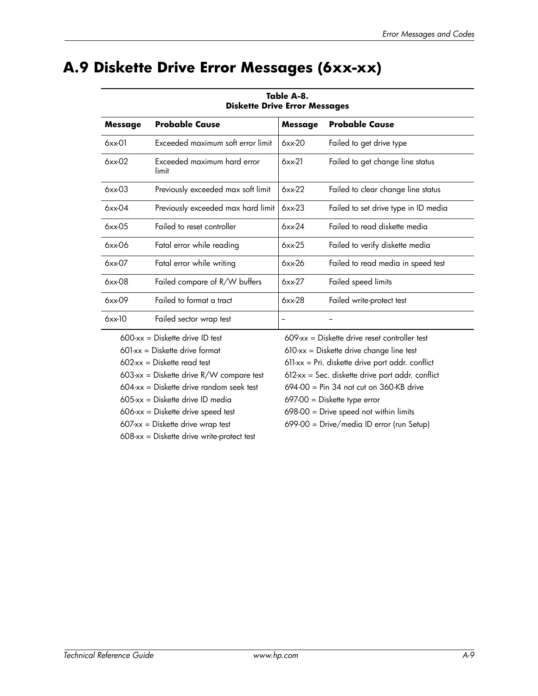## **A.9 Diskette Drive Error Messages (6xx-xx)**

| <b>Diskette Drive Error Messages</b> |                                      |             |                                      |
|--------------------------------------|--------------------------------------|-------------|--------------------------------------|
| <b>Message</b>                       | <b>Probable Cause</b>                | Message     | <b>Probable Cause</b>                |
| $6xx-01$                             | Exceeded maximum soft error limit    | 6xx-20      | Failed to get drive type             |
| 6xx-02                               | Exceeded maximum hard error<br>limit | $6xx-21$    | Failed to get change line status     |
| $6x \times 0.3$                      | Previously exceeded max soft limit   | $6x$ $x-22$ | Failed to clear change line status   |
| $6x \times 04$                       | Previously exceeded max hard limit   | $6xx-23$    | Failed to set drive type in ID media |
| $6xx-05$                             | Failed to reset controller           | $6xx-24$    | Failed to read diskette media        |
| $6x$ x $-06$                         | Fatal error while reading            | 6xx-25      | Failed to verify diskette media      |
| 6xx-07                               | Fatal error while writing            | 6xx-26      | Failed to read media in speed test   |
| $6xx-08$                             | Failed compare of R/W buffers        | 6xx-27      | Failed speed limits                  |
| $6xx-09$                             | Failed to format a tract             | 6xx-28      | Failed write-protect test            |
| $6x$ $\times$ -10                    | Failed sector wrap test              | --          |                                      |
|                                      |                                      |             |                                      |

**Table A-8.**

 $605$ -xx = Diskette drive ID media  $697-00 =$  Diskette type error

608-xx = Diskette drive write-protect test

 $600-xx =$  Diskette drive ID test  $609-xx =$  Diskette drive reset controller test

 $601$ -xx = Diskette drive format  $610$ -xx = Diskette drive change line test

 $602$ -xx = Diskette read test  $611$ -xx = Pri. diskette drive port addr. conflict

603-xx = Diskette drive R/W compare test  $612$ -xx = Sec. diskette drive port addr. conflict

 $604$ -xx = Diskette drive random seek test $694-00$  = Pin 34 not cut on 360-KB drive

 $606-xx =$  Diskette drive speed test  $698-00 =$  Drive speed not within limits

607-xx = Diskette drive wrap test 699-00 = Drive/media ID error (run Setup)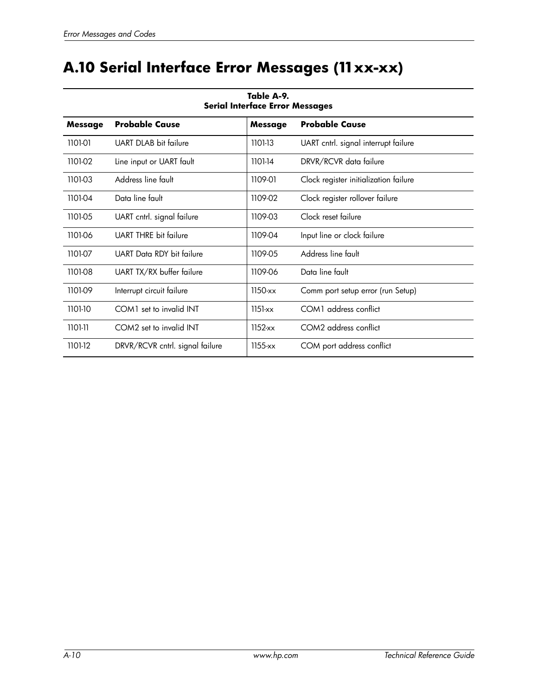# **A.10 Serial Interface Error Messages (11xx-xx)**

| <b>Serial Interface Error Messages</b> |                                                                  |             |                                       |  |  |  |  |
|----------------------------------------|------------------------------------------------------------------|-------------|---------------------------------------|--|--|--|--|
| <b>Message</b>                         | <b>Probable Cause</b><br><b>Probable Cause</b><br><b>Message</b> |             |                                       |  |  |  |  |
| 1101-01                                | UART DLAB bit failure                                            | 1101-13     | UART cntrl. signal interrupt failure  |  |  |  |  |
| 1101-02                                | Line input or UART fault                                         | 1101-14     | DRVR/RCVR data failure                |  |  |  |  |
| 1101-03                                | Address line fault                                               | 1109-01     | Clock register initialization failure |  |  |  |  |
| 1101-04                                | Data line fault                                                  | 1109-02     | Clock register rollover failure       |  |  |  |  |
| 1101-05                                | UART cntrl. signal failure                                       | 1109-03     | Clock reset failure                   |  |  |  |  |
| 1101-06                                | <b>UART THRE</b> bit failure                                     | 1109-04     | Input line or clock failure           |  |  |  |  |
| 1101-07                                | UART Data RDY bit failure                                        | 1109-05     | Address line fault                    |  |  |  |  |
| 1101-08                                | UART TX/RX buffer failure                                        | 1109-06     | Data line fault                       |  |  |  |  |
| 1101-09                                | Interrupt circuit failure                                        | $1150$ -xx  | Comm port setup error (run Setup)     |  |  |  |  |
| 1101-10                                | COM1 set to invalid INT                                          | $1151-xx$   | COM1 address conflict                 |  |  |  |  |
| 1101-11                                | COM2 set to invalid INT                                          | $1152$ -xx  | COM2 address conflict                 |  |  |  |  |
| 1101-12                                | DRVR/RCVR cntrl. signal failure                                  | $1155 - xx$ | COM port address conflict             |  |  |  |  |

# **Table A-9.**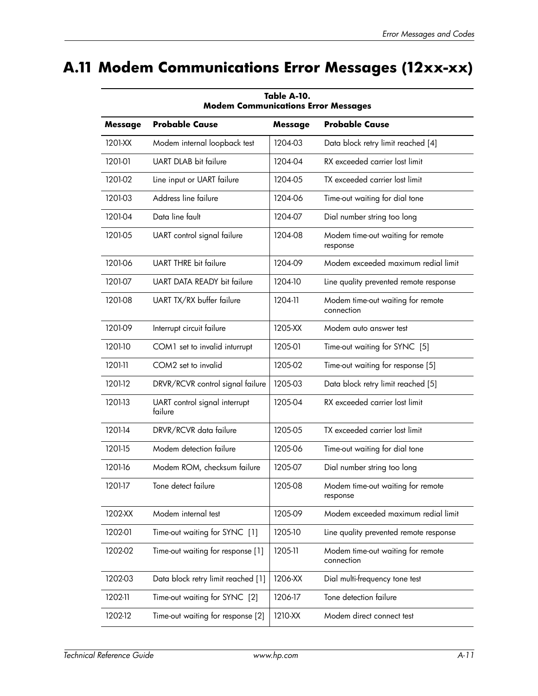# **A.11 Modem Communications Error Messages (12xx-xx)**

| <b>Modem Communications Error Messages</b>                           |                                          |         |                                                 |  |  |  |  |
|----------------------------------------------------------------------|------------------------------------------|---------|-------------------------------------------------|--|--|--|--|
| <b>Probable Cause</b><br><b>Probable Cause</b><br>Message<br>Message |                                          |         |                                                 |  |  |  |  |
| 1201-XX                                                              | Modem internal loopback test             | 1204-03 | Data block retry limit reached [4]              |  |  |  |  |
| 1201-01                                                              | UART DLAB bit failure                    | 1204-04 | RX exceeded carrier lost limit                  |  |  |  |  |
| 1201-02                                                              | Line input or UART failure               | 1204-05 | TX exceeded carrier lost limit                  |  |  |  |  |
| 1201-03                                                              | Address line failure                     | 1204-06 | Time-out waiting for dial tone                  |  |  |  |  |
| 1201-04                                                              | Data line fault                          | 1204-07 | Dial number string too long                     |  |  |  |  |
| 1201-05                                                              | UART control signal failure              | 1204-08 | Modem time-out waiting for remote<br>response   |  |  |  |  |
| 1201-06                                                              | <b>UART THRE bit failure</b>             | 1204-09 | Modem exceeded maximum redial limit             |  |  |  |  |
| 1201-07                                                              | <b>UART DATA READY bit failure</b>       | 1204-10 | Line quality prevented remote response          |  |  |  |  |
| 1201-08                                                              | UART TX/RX buffer failure                | 1204-11 | Modem time-out waiting for remote<br>connection |  |  |  |  |
| 1201-09                                                              | Interrupt circuit failure                | 1205-XX | Modem auto answer test                          |  |  |  |  |
| 1201-10                                                              | COM1 set to invalid inturrupt            | 1205-01 | Time-out waiting for SYNC [5]                   |  |  |  |  |
| 1201-11                                                              | COM2 set to invalid                      | 1205-02 | Time-out waiting for response [5]               |  |  |  |  |
| 1201-12                                                              | DRVR/RCVR control signal failure         | 1205-03 | Data block retry limit reached [5]              |  |  |  |  |
| 1201-13                                                              | UART control signal interrupt<br>failure | 1205-04 | RX exceeded carrier lost limit                  |  |  |  |  |
| 1201-14                                                              | DRVR/RCVR data failure                   | 1205-05 | TX exceeded carrier lost limit                  |  |  |  |  |
| 1201-15                                                              | Modem detection failure                  | 1205-06 | Time-out waiting for dial tone                  |  |  |  |  |
| 1201-16                                                              | Modem ROM, checksum failure              | 1205-07 | Dial number string too long                     |  |  |  |  |
| 1201-17                                                              | Tone detect failure                      | 1205-08 | Modem time-out waiting for remote<br>response   |  |  |  |  |
| 1202-XX                                                              | Modem internal test                      | 1205-09 | Modem exceeded maximum redial limit             |  |  |  |  |
| 1202-01                                                              | Time-out waiting for SYNC [1]            | 1205-10 | Line quality prevented remote response          |  |  |  |  |
| 1202-02                                                              | Time-out waiting for response [1]        | 1205-11 | Modem time-out waiting for remote<br>connection |  |  |  |  |
| 1202-03                                                              | Data block retry limit reached [1]       | 1206-XX | Dial multi-frequency tone test                  |  |  |  |  |
| 1202-11                                                              | Time-out waiting for SYNC [2]            | 1206-17 | Tone detection failure                          |  |  |  |  |
| 1202-12                                                              | Time-out waiting for response [2]        | 1210-XX | Modem direct connect test                       |  |  |  |  |

**Table A-10.**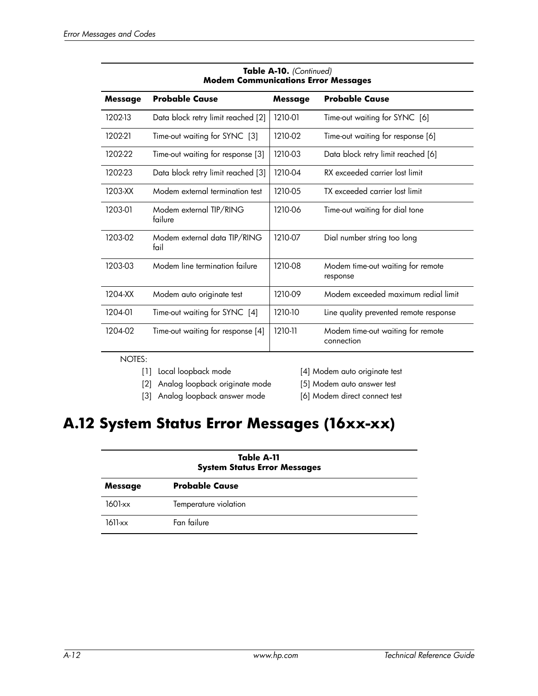| <b>Modem Communications Error Messages</b> |                                      |         |                                                 |
|--------------------------------------------|--------------------------------------|---------|-------------------------------------------------|
| <b>Message</b>                             | <b>Probable Cause</b>                | Message | <b>Probable Cause</b>                           |
| 1202-13                                    | Data block retry limit reached [2]   | 1210-01 | Time-out waiting for SYNC [6]                   |
| 1202-21                                    | Time-out waiting for SYNC [3]        | 1210-02 | Time-out waiting for response [6]               |
| 1202-22                                    | Time-out waiting for response [3]    | 1210-03 | Data block retry limit reached [6]              |
| 1202-23                                    | Data block retry limit reached [3]   | 1210-04 | RX exceeded carrier lost limit                  |
| 1203-XX                                    | Modem external termination test      | 1210-05 | TX exceeded carrier lost limit                  |
| 1203-01                                    | Modem external TIP/RING<br>failure   | 1210-06 | Time-out waiting for dial tone                  |
| 1203-02                                    | Modem external data TIP/RING<br>fail | 1210-07 | Dial number string too long                     |
| 1203-03                                    | Modem line termination failure       | 1210-08 | Modem time-out waiting for remote<br>response   |
| 1204-XX                                    | Modem auto originate test            | 1210-09 | Modem exceeded maximum redial limit             |
| 1204-01                                    | Time-out waiting for SYNC [4]        | 1210-10 | Line quality prevented remote response          |
| 1204-02                                    | Time-out waiting for response [4]    | 1210-11 | Modem time-out waiting for remote<br>connection |

| Table A-10. (Continued)                    |
|--------------------------------------------|
| <b>Modem Communications Error Messages</b> |

### NOTES:

[2] Analog loopback originate mode [5] Modem auto answer test

- [3] Analog loopback answer mode [6] Modem direct connect test
- [1] Local loopback mode [4] Modem auto originate test

## **A.12 System Status Error Messages (16xx-xx)**

| Table A-11<br><b>System Status Error Messages</b> |                       |  |
|---------------------------------------------------|-----------------------|--|
| Message                                           | <b>Probable Cause</b> |  |
| 1601-xx                                           | Temperature violation |  |
| $1611-xx$                                         | Fan failure           |  |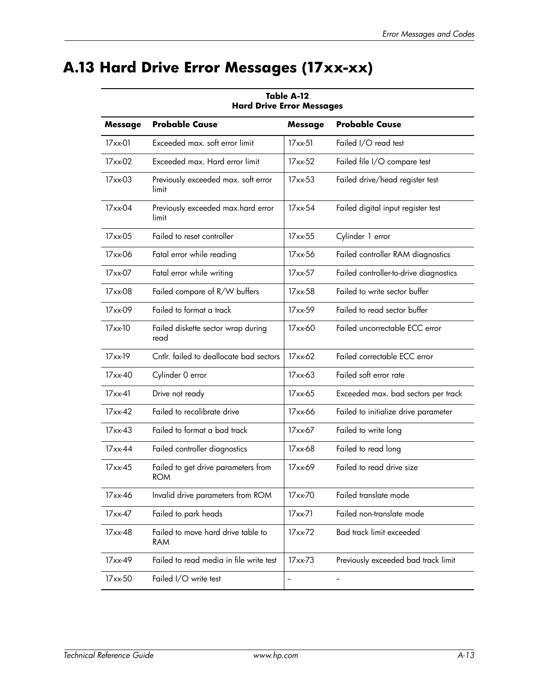# **A.13 Hard Drive Error Messages (17xx-xx)**

| nara vrive crror messages |                                                   |               |                                        |
|---------------------------|---------------------------------------------------|---------------|----------------------------------------|
| <b>Message</b>            | <b>Probable Cause</b>                             | Message       | <b>Probable Cause</b>                  |
| 17xx-01                   | Exceeded max. soft error limit                    | $17$ xx $-51$ | Failed I/O read test                   |
| 17xx-02                   | Exceeded max. Hard error limit                    | 17xx-52       | Failed file I/O compare test           |
| 17xx-03                   | Previously exceeded max. soft error<br>limit      | $17xx-53$     | Failed drive/head register test        |
| $17xx-04$                 | Previously exceeded max.hard error<br>limit       | 17xx-54       | Failed digital input register test     |
| 17xx-05                   | Failed to reset controller                        | 17xx-55       | Cylinder 1 error                       |
| 17xx-06                   | Fatal error while reading                         | 17xx-56       | Failed controller RAM diagnostics      |
| 17xx-07                   | Fatal error while writing                         | 17xx-57       | Failed controller-to-drive diagnostics |
| 17xx-08                   | Failed compare of R/W buffers                     | 17xx-58       | Failed to write sector buffer          |
| 17xx-09                   | Failed to format a track                          | $17xx-59$     | Failed to read sector buffer           |
| 17xx-10                   | Failed diskette sector wrap during<br>read        | 17xx-60       | Failed uncorrectable ECC error         |
| $17xx-19$                 | Cntlr. failed to deallocate bad sectors           | 17xx-62       | Failed correctable ECC error           |
| $17xx-40$                 | Cylinder 0 error                                  | 17xx-63       | Failed soft error rate                 |
| $17xx-41$                 | Drive not ready                                   | 17xx-65       | Exceeded max. bad sectors per track    |
| $17xx-42$                 | Failed to recalibrate drive                       | 17xx-66       | Failed to initialize drive parameter   |
| $17xx-43$                 | Failed to format a bad track                      | 17xx-67       | Failed to write long                   |
| $17xx-44$                 | Failed controller diagnostics                     | 17xx-68       | Failed to read long                    |
| $17xx-45$                 | Failed to get drive parameters from<br><b>ROM</b> | 17xx-69       | Failed to read drive size              |
| 17xx-46                   | Invalid drive parameters from ROM                 | 17xx-70       | Failed translate mode                  |
| 17xx-47                   | Failed to park heads                              | 17xx-71       | Failed non-translate mode              |
| 17xx-48                   | Failed to move hard drive table to<br>RAM         | 17xx-72       | Bad track limit exceeded               |
| 17xx-49                   | Failed to read media in file write test           | 17xx-73       | Previously exceeded bad track limit    |
| 17xx-50                   | Failed I/O write test                             | --            | --                                     |

**Table A-12 Hard Drive Error Messages**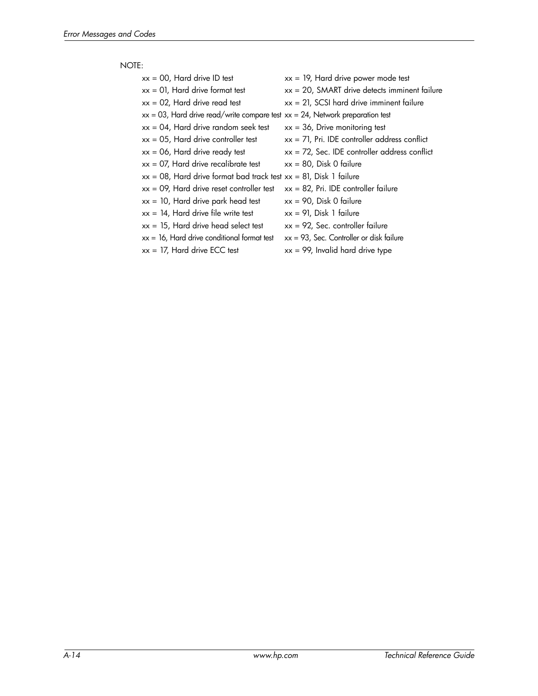### NOTE:

| $xx = 00$ , Hard drive ID test                                                      | $xx = 19$ , Hard drive power mode test           |
|-------------------------------------------------------------------------------------|--------------------------------------------------|
| $xx = 01$ , Hard drive format test                                                  | $xx = 20$ , SMART drive detects imminent failure |
| $xx = 02$ , Hard drive read test                                                    | $xx = 21$ , SCSI hard drive imminent failure     |
| $xx = 03$ , Hard drive read/write compare test $xx = 24$ , Network preparation test |                                                  |
| $xx = 04$ , Hard drive random seek test                                             | $xx = 36$ , Drive monitoring test                |
| $xx = 05$ , Hard drive controller test                                              | $xx = 71$ , Pri. IDE controller address conflict |
| $xx = 06$ , Hard drive ready test                                                   | $xx = 72$ , Sec. IDE controller address conflict |
| $xx = 07$ , Hard drive recalibrate test                                             | $xx = 80$ , Disk 0 failure                       |
| $xx = 08$ , Hard drive format bad track test $xx = 81$ , Disk 1 failure             |                                                  |
| $xx = 09$ , Hard drive reset controller test                                        | $xx = 82$ , Pri. IDE controller failure          |
| $xx = 10$ , Hard drive park head test                                               | $xx = 90$ , Disk 0 failure                       |
| $xx = 14$ , Hard drive file write test                                              | $xx = 91$ , Disk 1 failure                       |
| $xx = 15$ , Hard drive head select test                                             | $xx = 92$ , Sec. controller failure              |
| $xx = 16$ , Hard drive conditional format test                                      | $xx = 93$ , Sec. Controller or disk failure      |
| $xx = 17$ , Hard drive ECC test                                                     | $xx = 99$ , Invalid hard drive type              |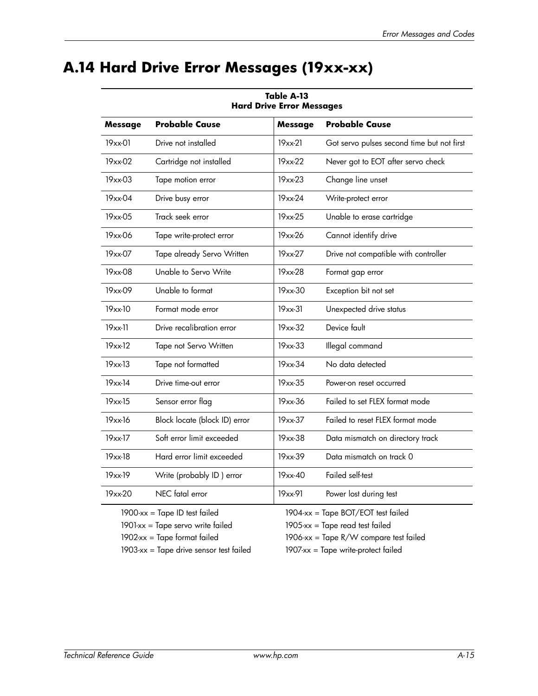# **A.14 Hard Drive Error Messages (19xx-xx)**

| <b>Hard Drive Error Messages</b> |                                      |                |                                            |
|----------------------------------|--------------------------------------|----------------|--------------------------------------------|
| <b>Message</b>                   | <b>Probable Cause</b>                | <b>Message</b> | <b>Probable Cause</b>                      |
| 19xx-01                          | Drive not installed                  | $19xx-21$      | Got servo pulses second time but not first |
| 19xx-02                          | Cartridge not installed              | 19xx-22        | Never got to EOT after servo check         |
| $19xx-03$                        | Tape motion error                    | 19xx-23        | Change line unset                          |
| 19xx-04                          | Drive busy error                     | 19xx-24        | Write-protect error                        |
| 19xx-05                          | Track seek error                     | 19xx-25        | Unable to erase cartridge                  |
| 19xx-06                          | Tape write-protect error             | 19xx-26        | Cannot identify drive                      |
| 19xx-07                          | Tape already Servo Written           | 19xx-27        | Drive not compatible with controller       |
| 19xx-08                          | Unable to Servo Write                | 19xx-28        | Format gap error                           |
| 19xx-09                          | Unable to format                     | 19xx-30        | Exception bit not set                      |
| 19xx-10                          | Format mode error                    | $19xx-31$      | Unexpected drive status                    |
| 19xx-11                          | Drive recalibration error            | 19xx-32        | Device fault                               |
| $19xx-12$                        | Tape not Servo Written               | 19xx-33        | Illegal command                            |
| $19xx-13$                        | Tape not formatted                   | 19xx-34        | No data detected                           |
| $19xx-14$                        | Drive time-out error                 | 19xx-35        | Power-on reset occurred                    |
| $19xx-15$                        | Sensor error flag                    | 19xx-36        | Failed to set FLEX format mode             |
| 19xx-16                          | Block locate (block ID) error        | 19xx-37        | Failed to reset FLEX format mode           |
| 19xx-17                          | Soft error limit exceeded            | 19xx-38        | Data mismatch on directory track           |
| 19xx-18                          | Hard error limit exceeded            | 19xx-39        | Data mismatch on track 0                   |
| 19xx-19                          | Write (probably ID) error            | $19xx-40$      | Failed self-test                           |
| 19xx-20                          | NEC fatal error                      | 19xx-91        | Power lost during test                     |
|                                  | $1900$ -xx = Tape ID test failed     |                | 1904-xx = Tape BOT/EOT test failed         |
|                                  | $1901$ -xx = Tape servo write failed |                | 1905-xx = Tape read test failed            |

### **Table A-13 Hard Drive Error Messages**

1903-xx = Tape drive sensor test failed 1907-xx = Tape write-protect failed

1902-xx = Tape format failed 1906-xx = Tape R/W compare test failed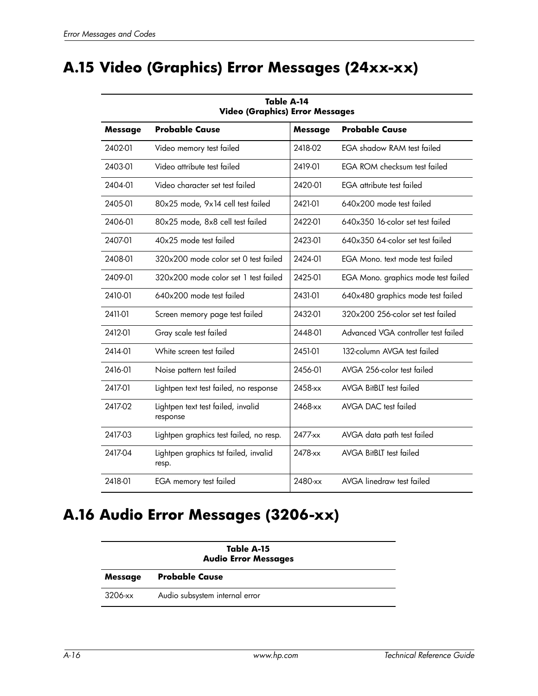# **A.15 Video (Graphics) Error Messages (24xx-xx)**

| 10DR A-14<br><b>Video (Graphics) Error Messages</b> |                                                |            |                                     |
|-----------------------------------------------------|------------------------------------------------|------------|-------------------------------------|
| Message                                             | <b>Probable Cause</b>                          | Message    | <b>Probable Cause</b>               |
| 2402-01                                             | Video memory test failed                       | 2418-02    | <b>EGA shadow RAM test failed</b>   |
| 2403-01                                             | Video attribute test failed                    | 2419-01    | <b>EGA ROM checksum test failed</b> |
| 2404-01                                             | Video character set test failed                | 2420-01    | EGA attribute test failed           |
| 2405-01                                             | 80x25 mode, 9x14 cell test failed              | 2421-01    | 640x200 mode test failed            |
| 2406-01                                             | 80x25 mode, 8x8 cell test failed               | 2422-01    | 640x350 16-color set test failed    |
| 2407-01                                             | 40x25 mode test failed                         | 2423-01    | 640x350 64-color set test failed    |
| 2408-01                                             | 320x200 mode color set 0 test failed           | 2424-01    | EGA Mono, text mode test failed     |
| 2409-01                                             | 320x200 mode color set 1 test failed           | 2425-01    | EGA Mono. graphics mode test failed |
| 2410-01                                             | 640x200 mode test failed                       | 2431-01    | 640x480 graphics mode test failed   |
| 2411-01                                             | Screen memory page test failed                 | 2432-01    | 320x200 256-color set test failed   |
| 2412-01                                             | Gray scale test failed                         | 2448-01    | Advanced VGA controller test failed |
| 2414-01                                             | White screen test failed                       | 2451-01    | 132-column AVGA test failed         |
| 2416-01                                             | Noise pattern test failed                      | 2456-01    | AVGA 256-color test failed          |
| 2417-01                                             | Lightpen text test failed, no response         | $2458$ -xx | AVGA BitBLT test failed             |
| 2417-02                                             | Lightpen text test failed, invalid<br>response | 2468-xx    | AVGA DAC test failed                |
| 2417-03                                             | Lightpen graphics test failed, no resp.        | $2477-xx$  | AVGA data path test failed          |
| 2417-04                                             | Lightpen graphics tst failed, invalid<br>resp. | 2478-xx    | AVGA BitBLT test failed             |
| 2418-01                                             | EGA memory test failed                         | 2480-xx    | AVGA linedraw test failed           |

# **Table A-14**

## **A.16 Audio Error Messages (3206-xx)**

| Table A-15<br><b>Audio Error Messages</b> |                                |  |
|-------------------------------------------|--------------------------------|--|
| <b>Message</b>                            | <b>Probable Cause</b>          |  |
| 3206-xx                                   | Audio subsystem internal error |  |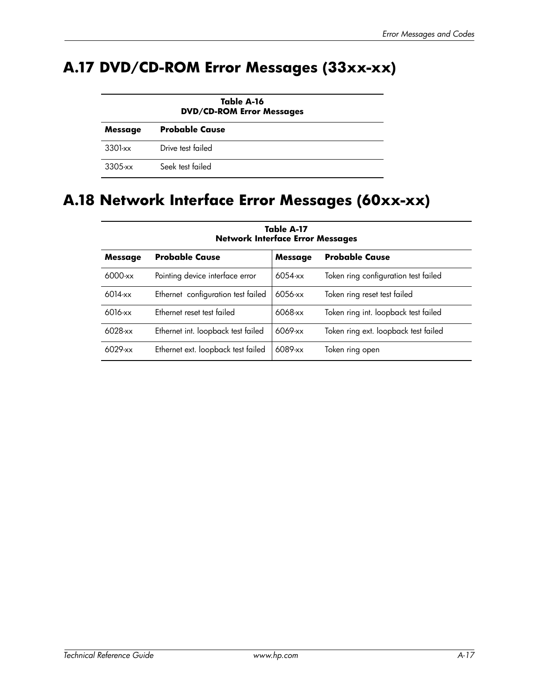# **A.17 DVD/CD-ROM Error Messages (33xx-xx)**

| Table A-16<br><b>DVD/CD-ROM Error Messages</b> |                       |  |  |
|------------------------------------------------|-----------------------|--|--|
| <b>Message</b>                                 | <b>Probable Cause</b> |  |  |
| 3301-xx                                        | Drive test failed     |  |  |
| $3305$ -xx                                     | Seek test failed      |  |  |

# **A.18 Network Interface Error Messages (60xx-xx)**

| Message    | <b>Probable Cause</b>              | <b>Message</b> | <b>Probable Cause</b>                |
|------------|------------------------------------|----------------|--------------------------------------|
| $6000$ -xx | Pointing device interface error    | 6054-xx        | Token ring configuration test failed |
| 6014-xx    | Ethernet configuration test failed | 6056-xx        | Token ring reset test failed         |
| 6016-xx    | Ethernet reset test failed         | 6068-xx        | Token ring int. loopback test failed |
| $6028$ -xx | Ethernet int. loopback test failed | 6069-xx        | Token ring ext. loopback test failed |
| $6029$ -xx | Ethernet ext. loopback test failed | 6089-xx        | Token ring open                      |

**Table A-17 Network Interface Error Messages**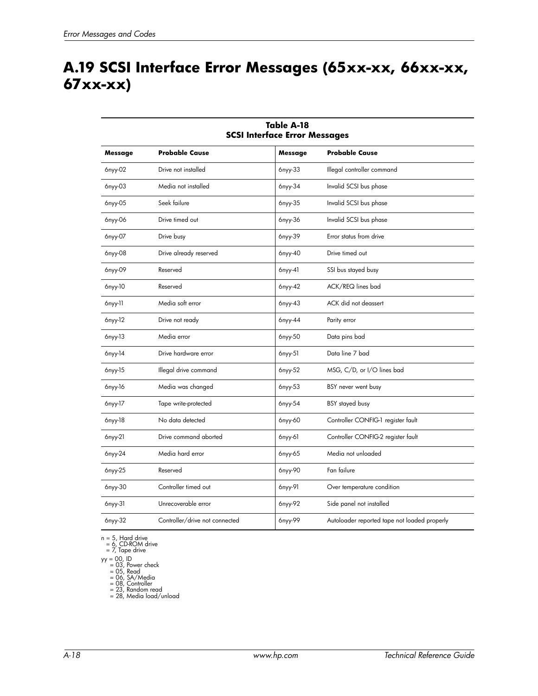# **A.19 SCSI Interface Error Messages (65xx-xx, 66xx-xx, 67xx-xx)**

| <b>SCSI Interface Error Messages</b> |                                |               |                                              |  |  |  |  |
|--------------------------------------|--------------------------------|---------------|----------------------------------------------|--|--|--|--|
| Message                              | <b>Probable Cause</b>          | Message       | <b>Probable Cause</b>                        |  |  |  |  |
| 6nyy-02                              | Drive not installed            | 6nyy-33       | Illegal controller command                   |  |  |  |  |
| 6nyy-03                              | Media not installed            | $6$ nyy- $34$ | Invalid SCSI bus phase                       |  |  |  |  |
| 6nyy-05                              | Seek failure                   | 6nyy-35       | Invalid SCSI bus phase                       |  |  |  |  |
| 6nyy-06                              | Drive timed out                | 6nyy-36       | Invalid SCSI bus phase                       |  |  |  |  |
| 6nyy-07                              | Drive busy                     | 6nyy-39       | Error status from drive                      |  |  |  |  |
| 6nyy-08                              | Drive already reserved         | 6nyy-40       | Drive timed out                              |  |  |  |  |
| 6nyy-09                              | Reserved                       | $6nyy-41$     | SSI bus stayed busy                          |  |  |  |  |
| 6nyy-10                              | Reserved                       | $6nyy-42$     | ACK/REQ lines bad                            |  |  |  |  |
| 6nyy-11                              | Media soft error               | 6nyy-43       | ACK did not deassert                         |  |  |  |  |
| 6nyy-12                              | Drive not ready                | $6nyy-44$     | Parity error                                 |  |  |  |  |
| $6nyy-13$                            | Media error                    | 6nyy-50       | Data pins bad                                |  |  |  |  |
| 6nyy-14                              | Drive hardware error           | $6nyy-51$     | Data line 7 bad                              |  |  |  |  |
| 6nyy-15                              | Illegal drive command          | 6nyy-52       | MSG, C/D, or I/O lines bad                   |  |  |  |  |
| 6nyy-16                              | Media was changed              | 6nyy-53       | BSY never went busy                          |  |  |  |  |
| 6nyy-17                              | Tape write-protected           | 6nyy-54       | BSY stayed busy                              |  |  |  |  |
| 6nyy-18                              | No data detected               | 6nyy-60       | Controller CONFIG-1 register fault           |  |  |  |  |
| 6nyy-21                              | Drive command aborted          | $6nyy-61$     | Controller CONFIG-2 register fault           |  |  |  |  |
| 6nyy-24                              | Media hard error               | 6nyy-65       | Media not unloaded                           |  |  |  |  |
| 6nyy-25                              | Reserved                       | 6nyy-90       | Fan failure                                  |  |  |  |  |
| 6nyy-30                              | Controller timed out           | 6nyy-91       | Over temperature condition                   |  |  |  |  |
| $6nyy-31$                            | Unrecoverable error            | 6nyy-92       | Side panel not installed                     |  |  |  |  |
| $6nyy-32$                            | Controller/drive not connected | 6nyy-99       | Autoloader reported tape not loaded properly |  |  |  |  |

# **Table A-18**

n = 5, Hard drive = 6, CD-ROM drive = 7, Tape drive

yy = 00, ID = 03, Power check = 05, Read = 06, SA/Media = 08, Controller = 23, Random read = 28, Media load/unload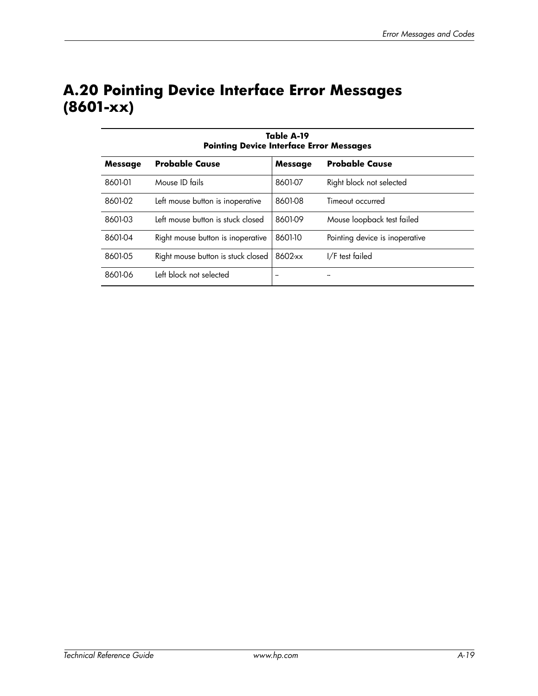# **A.20 Pointing Device Interface Error Messages (8601-xx)**

| Table A-19<br><b>Pointing Device Interface Error Messages</b> |                                    |                |                                |  |  |  |
|---------------------------------------------------------------|------------------------------------|----------------|--------------------------------|--|--|--|
| Message                                                       | <b>Probable Cause</b>              | <b>Message</b> | <b>Probable Cause</b>          |  |  |  |
| 8601-01                                                       | Mouse ID fails                     | 8601-07        | Right block not selected       |  |  |  |
| 8601-02                                                       | Left mouse button is inoperative   | 8601-08        | Timeout occurred               |  |  |  |
| 8601-03                                                       | Left mouse button is stuck closed  | 8601-09        | Mouse loopback test failed     |  |  |  |
| 8601-04                                                       | Right mouse button is inoperative  | 8601-10        | Pointing device is inoperative |  |  |  |
| 8601-05                                                       | Right mouse button is stuck closed | 8602-xx        | I/F test failed                |  |  |  |
| 8601-06                                                       | Left block not selected            | --             |                                |  |  |  |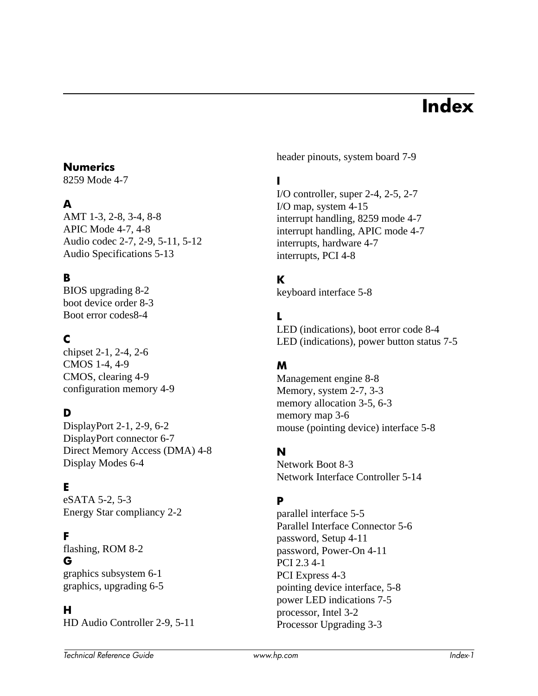# **Index**

#### **Numerics**

8259 Mode 4-7

### **A**

AMT 1-3, 2-8, 3-4, 8-8 APIC Mode 4-7, 4-8 Audio codec 2-7, 2-9, 5-11, 5-12 Audio Specifications 5-13

### **B**

BIOS upgrading 8-2 boot device order 8-3 Boot error codes8-4

# **C**

chipset 2-1, 2-4, 2-6 CMOS 1-4, 4-9 CMOS, clearing 4-9 configuration memory 4-9

## **D**

DisplayPort 2-1, 2-9, 6-2 DisplayPort connector 6-7 Direct Memory Access (DMA) 4-8 Display Modes 6-4

## **E**

eSATA 5-2, 5-3 Energy Star compliancy 2-2

#### **F**

flashing, ROM 8-2 **G** graphics subsystem 6-1 graphics, upgrading 6-5

#### **H**

HD Audio Controller 2-9, 5-11

header pinouts, system board 7-9

### **I**

I/O controller, super 2-4, 2-5, 2-7 I/O map, system 4-15 interrupt handling, 8259 mode 4-7 interrupt handling, APIC mode 4-7 interrupts, hardware 4-7 interrupts, PCI 4-8

## **K**

keyboard interface 5-8

#### **L**

LED (indications), boot error code 8-4 LED (indications), power button status 7-5

#### **M**

Management engine 8-8 Memory, system 2-7, 3-3 memory allocation 3-5, 6-3 memory map 3-6 mouse (pointing device) interface 5-8

#### **N**

Network Boot 8-3 Network Interface Controller 5-14

#### **P**

parallel interface 5-5 Parallel Interface Connector 5-6 password, Setup 4-11 password, Power-On 4-11 PCI 2.3 4-1 PCI Express 4-3 pointing device interface, 5-8 power LED indications 7-5 processor, Intel 3-2 Processor Upgrading 3-3